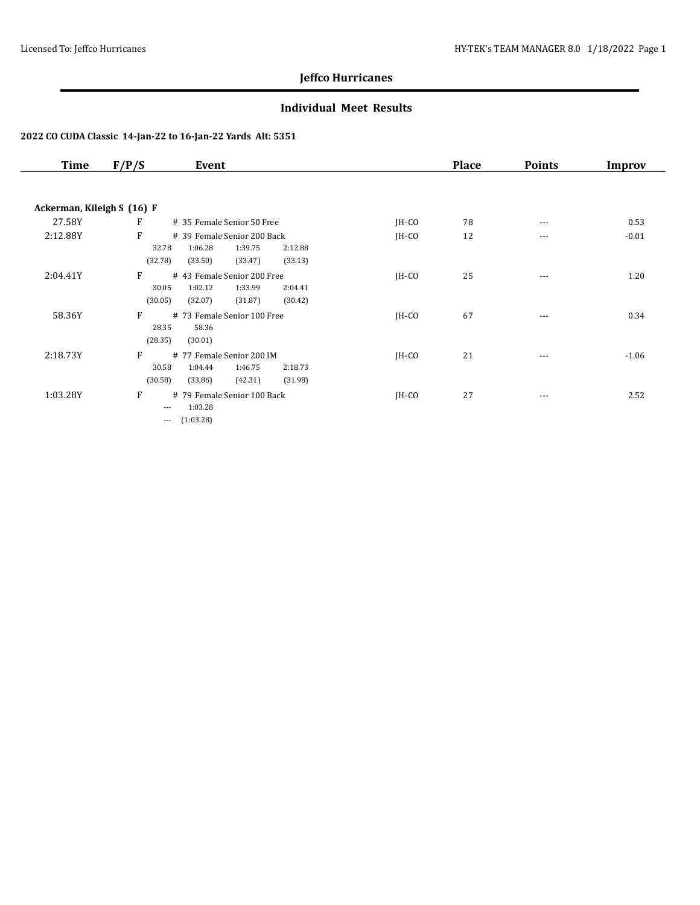### **Individual Meet Results**

| <b>Time</b>                | F/P/S<br>Event                                                                                                         |         | <b>Place</b> | <b>Points</b> | Improv  |
|----------------------------|------------------------------------------------------------------------------------------------------------------------|---------|--------------|---------------|---------|
|                            |                                                                                                                        |         |              |               |         |
| Ackerman, Kileigh S (16) F |                                                                                                                        |         |              |               |         |
| 27.58Y                     | $\mathbf{F}$<br># 35 Female Senior 50 Free                                                                             | $IH-CO$ | 78           | $\cdots$      | 0.53    |
| 2:12.88Y                   | F<br># 39 Female Senior 200 Back<br>1:06.28<br>32.78<br>1:39.75<br>2:12.88<br>(32.78)<br>(33.50)<br>(33.47)<br>(33.13) | $IH-CO$ | 12           | $\cdots$      | $-0.01$ |
| 2:04.41Y                   | F<br># 43 Female Senior 200 Free<br>1:02.12<br>1:33.99<br>30.05<br>2:04.41<br>(30.05)<br>(32.07)<br>(31.87)<br>(30.42) | $IH-CO$ | 25           | ---           | 1.20    |
| 58.36Y                     | F<br># 73 Female Senior 100 Free<br>28.35<br>58.36<br>(28.35)<br>(30.01)                                               | $IH-CO$ | 67           | $\cdots$      | 0.34    |
| 2:18.73Y                   | F<br># 77 Female Senior 200 IM<br>30.58<br>1:04.44<br>1:46.75<br>2:18.73<br>(42.31)<br>(30.58)<br>(33.86)<br>(31.98)   | $IH-CO$ | 21           | ---           | $-1.06$ |
| 1:03.28Y                   | F<br># 79 Female Senior 100 Back<br>1:03.28<br>$\cdots$<br>(1:03.28)<br>$---$                                          | $IH-CO$ | 27           | $\cdots$      | 2.52    |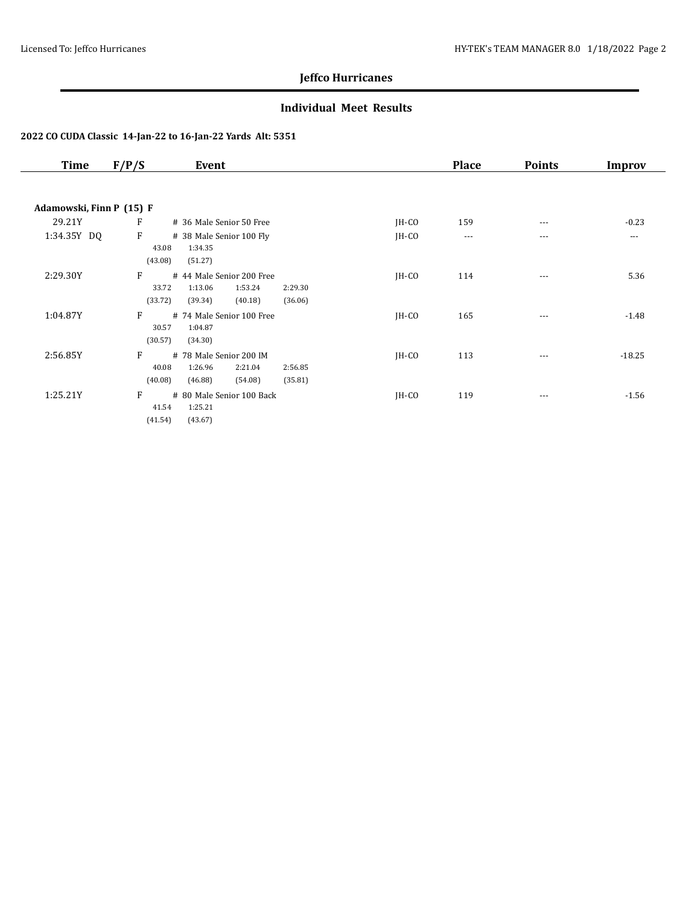### **Individual Meet Results**

| Time                     | F/P/S            | Event                                         |         |         | <b>Place</b> | <b>Points</b> | Improv   |
|--------------------------|------------------|-----------------------------------------------|---------|---------|--------------|---------------|----------|
|                          |                  |                                               |         |         |              |               |          |
| Adamowski, Finn P (15) F |                  |                                               |         |         |              |               |          |
| 29.21Y                   | F                | # 36 Male Senior 50 Free                      |         | $IH-CO$ | 159          | $\cdots$      | $-0.23$  |
| 1:34.35Y DQ              | F                | # 38 Male Senior 100 Fly                      |         | $IH-CO$ | $\cdots$     | $---$         | $---$    |
|                          | 43.08            | 1:34.35                                       |         |         |              |               |          |
|                          | (43.08)          | (51.27)                                       |         |         |              |               |          |
| 2:29.30Y                 | F                | # 44 Male Senior 200 Free                     |         | $IH-CO$ | 114          | $\cdots$      | 5.36     |
|                          | 33.72            | 1:13.06<br>1:53.24                            | 2:29.30 |         |              |               |          |
|                          | (33.72)          | (39.34)<br>(40.18)                            | (36.06) |         |              |               |          |
| 1:04.87Y                 | F                | # 74 Male Senior 100 Free                     |         | $IH-CO$ | 165          | $\cdots$      | $-1.48$  |
|                          | 30.57<br>(30.57) | 1:04.87<br>(34.30)                            |         |         |              |               |          |
|                          |                  |                                               |         |         |              |               |          |
| 2:56.85Y                 | F<br>40.08       | # 78 Male Senior 200 IM<br>1:26.96<br>2:21.04 | 2:56.85 | $IH-CO$ | 113          | ---           | $-18.25$ |
|                          | (40.08)          | (46.88)<br>(54.08)                            | (35.81) |         |              |               |          |
| 1:25.21Y                 | F                | # 80 Male Senior 100 Back                     |         |         |              |               |          |
|                          | 41.54            | 1:25.21                                       |         | $IH-CO$ | 119          | $\cdots$      | $-1.56$  |
|                          |                  |                                               |         |         |              |               |          |
|                          | (41.54)          | (43.67)                                       |         |         |              |               |          |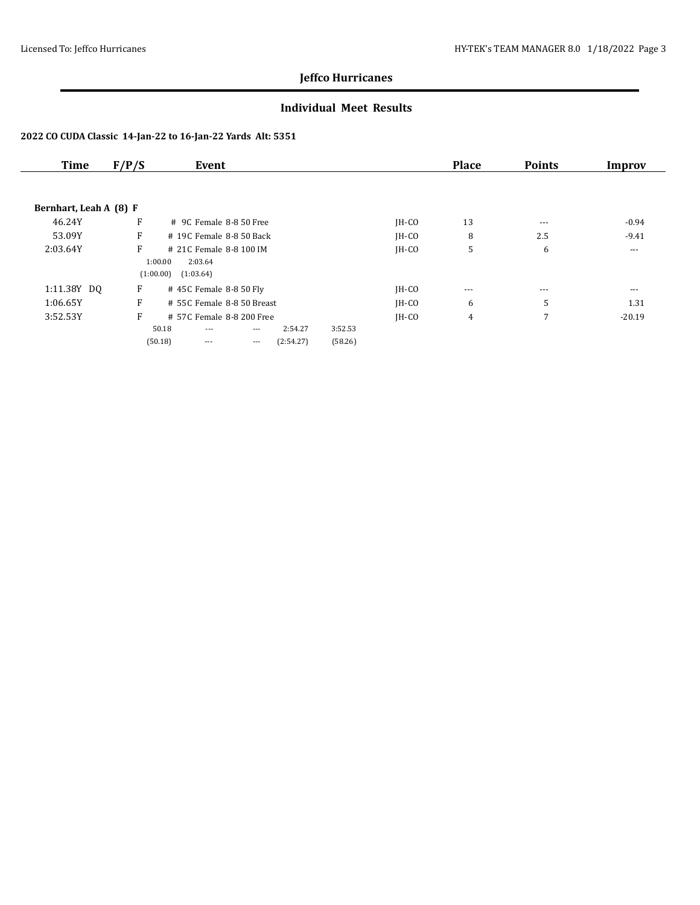### **Individual Meet Results**

| <b>Time</b>            | F/P/S |           | Event                      |          |           |         |         | <b>Place</b> | <b>Points</b> | Improv   |
|------------------------|-------|-----------|----------------------------|----------|-----------|---------|---------|--------------|---------------|----------|
|                        |       |           |                            |          |           |         |         |              |               |          |
| Bernhart, Leah A (8) F |       |           |                            |          |           |         |         |              |               |          |
| 46.24Y                 | F     |           | $#$ 9C Female 8-8.50 Free  |          |           |         | $IH-CO$ | 13           | $- - -$       | $-0.94$  |
| 53.09Y                 | F     |           | # 19C Female 8-8 50 Back   |          |           |         | $IH-CO$ | 8            | 2.5           | $-9.41$  |
| 2:03.64Y               | F     |           | # 21C Female 8-8 100 IM    |          |           |         | $IH-CO$ | 5            | 6             | $---$    |
|                        |       | 1:00.00   | 2:03.64                    |          |           |         |         |              |               |          |
|                        |       | (1:00.00) | (1:03.64)                  |          |           |         |         |              |               |          |
| 1:11.38Y DQ            | F     |           | #45C Female 8-850 Fly      |          |           |         | $IH-CO$ | ---          | $- - -$       | ---      |
| 1:06.65Y               | F     |           | # 55C Female 8-8 50 Breast |          |           |         | $IH-CO$ | 6            | 5             | 1.31     |
| 3:52.53Y               | F     |           | # 57C Female 8-8 200 Free  |          |           |         | $IH-CO$ | 4            | 7             | $-20.19$ |
|                        |       | 50.18     | $---$                      | $\cdots$ | 2:54.27   | 3:52.53 |         |              |               |          |
|                        |       | (50.18)   | $---$                      | $\cdots$ | (2:54.27) | (58.26) |         |              |               |          |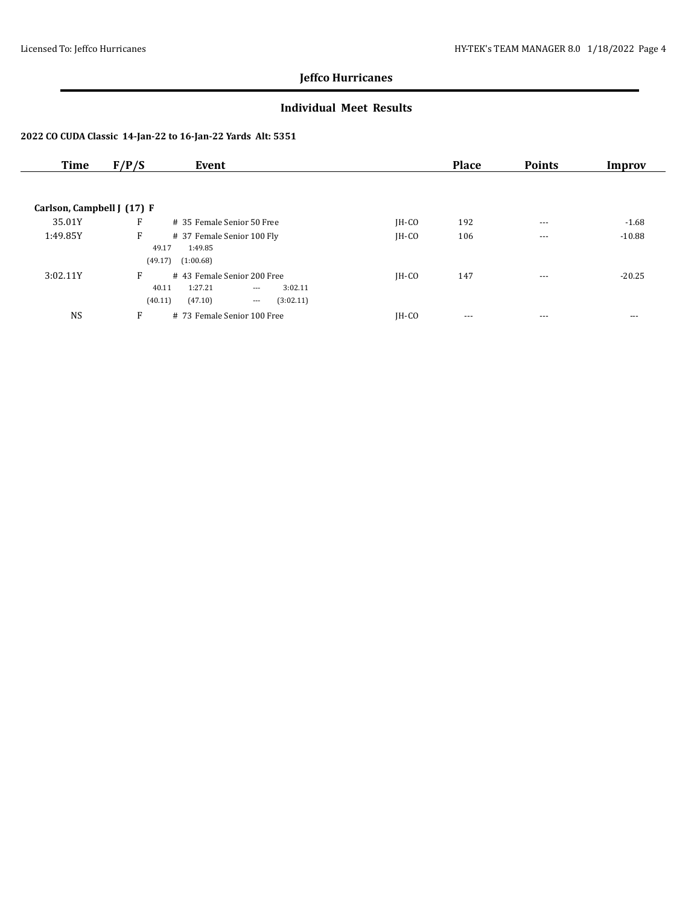### **Individual Meet Results**

| <b>Time</b>                | F/P/S   | Event                                        |         | <b>Place</b> | <b>Points</b> | Improv   |
|----------------------------|---------|----------------------------------------------|---------|--------------|---------------|----------|
|                            |         |                                              |         |              |               |          |
| Carlson, Campbell J (17) F |         |                                              |         |              |               |          |
| 35.01Y                     | F       | # 35 Female Senior 50 Free                   | $IH-CO$ | 192          | $- - -$       | $-1.68$  |
| 1:49.85Y                   | F       | # 37 Female Senior 100 Fly                   | IH-CO   | 106          | $---$         | $-10.88$ |
|                            | 49.17   | 1:49.85                                      |         |              |               |          |
|                            | (49.17) | (1:00.68)                                    |         |              |               |          |
| 3:02.11Y                   | F       | #43 Female Senior 200 Free                   | $IH-CO$ | 147          | $---$         | $-20.25$ |
|                            | 40.11   | 1:27.21<br>3:02.11<br>$\cdots$               |         |              |               |          |
|                            | (40.11) | (47.10)<br>(3:02.11)<br>$\scriptstyle\cdots$ |         |              |               |          |
| <b>NS</b>                  | F       | # 73 Female Senior 100 Free                  | $IH-CO$ | ---          | ---           | ---      |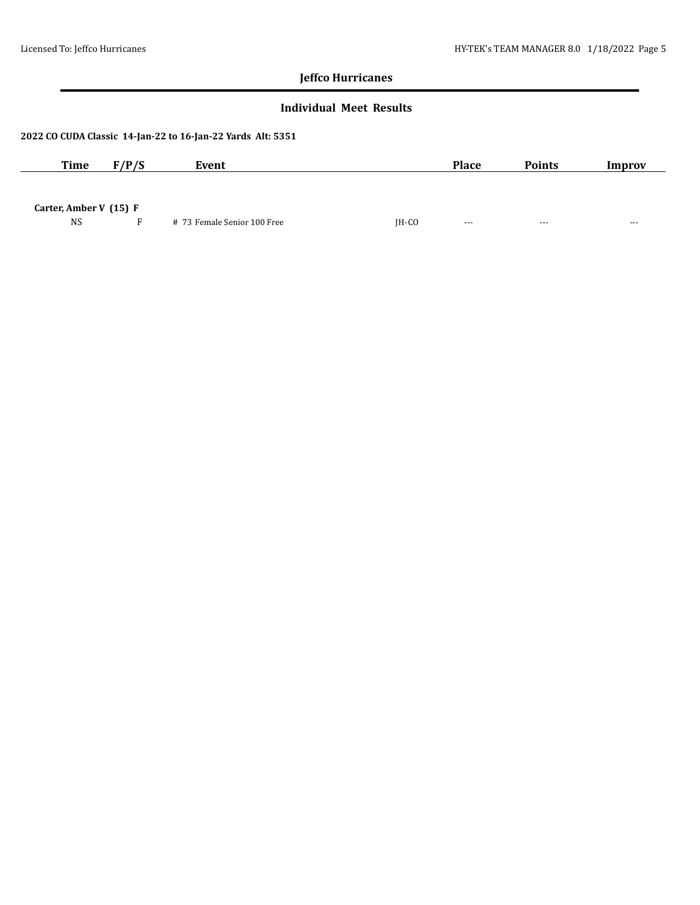### **Individual Meet Results**

| <b>Time</b>              | F/P/S | Event                       |         | <b>Place</b> | <b>Points</b> | Improv |
|--------------------------|-------|-----------------------------|---------|--------------|---------------|--------|
|                          |       |                             |         |              |               |        |
| Carter, Amber V $(15)$ F |       |                             |         |              |               |        |
| <b>NS</b>                |       | # 73 Female Senior 100 Free | $IH-CO$ | $\cdots$     | $- - -$       | ---    |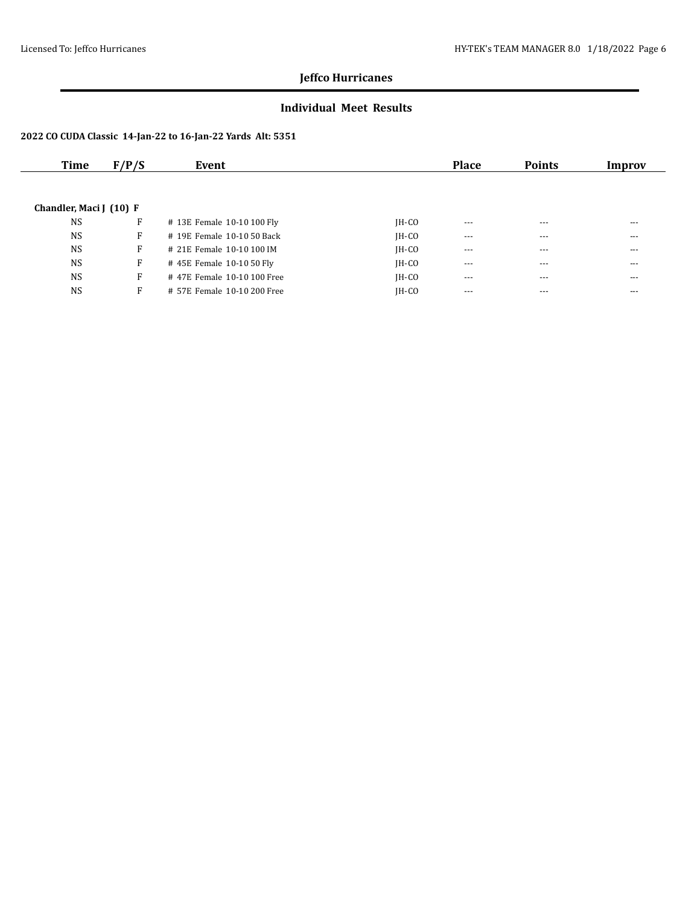### **Individual Meet Results**

| Time                    | F/P/S | Event                       |         | <b>Place</b> | <b>Points</b> | Improv |
|-------------------------|-------|-----------------------------|---------|--------------|---------------|--------|
|                         |       |                             |         |              |               |        |
| Chandler, Maci J (10) F |       |                             |         |              |               |        |
|                         |       |                             |         |              |               |        |
| <b>NS</b>               | F     | # 13E Female 10-10 100 Fly  | $IH-CO$ | $- - -$      | $---$         | $---$  |
| <b>NS</b>               | F     | # 19E Female 10-10 50 Back  | $IH-CO$ | $---$        | ---           | ---    |
| <b>NS</b>               | F     | # 21E Female 10-10 100 IM   | $IH-CO$ | $- - -$      | $---$         | $---$  |
| <b>NS</b>               | F     | #45E Female 10-10 50 Fly    | $IH-CO$ | $---$        | $---$         | $---$  |
| <b>NS</b>               | F     | #47E Female 10-10 100 Free  | $IH-CO$ | $\cdots$     | $---$         | $---$  |
| <b>NS</b>               | F     | # 57E Female 10-10 200 Free | IH-CO   | $- - -$      | $---$         | $---$  |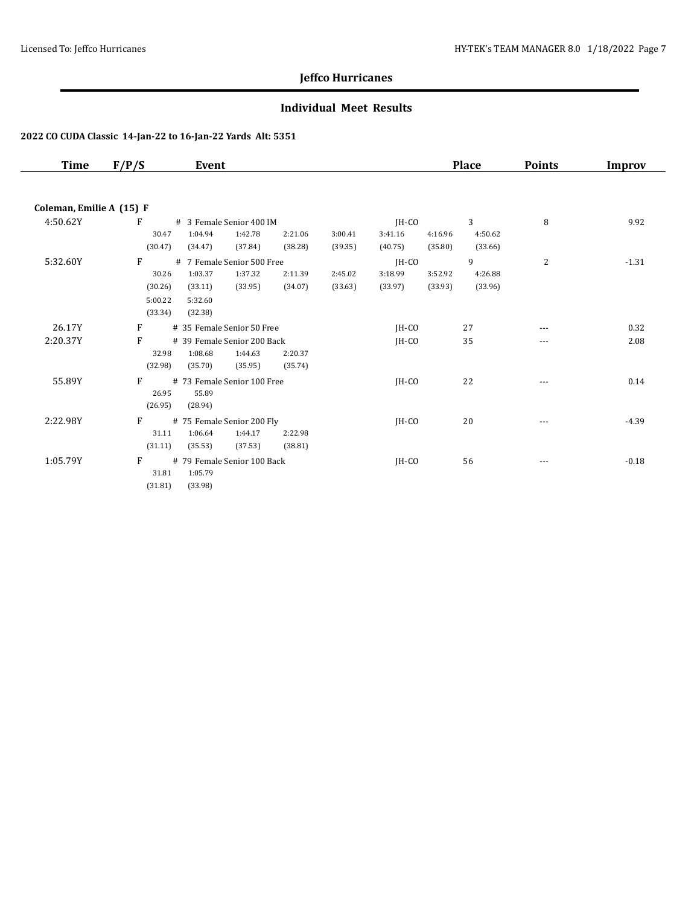### **Individual Meet Results**

| <b>Time</b>              | F/P/S   | Event                       |         |         |         |         | <b>Place</b> | <b>Points</b> | Improv  |
|--------------------------|---------|-----------------------------|---------|---------|---------|---------|--------------|---------------|---------|
|                          |         |                             |         |         |         |         |              |               |         |
| Coleman, Emilie A (15) F |         |                             |         |         |         |         |              |               |         |
| 4:50.62Y                 | F       | # 3 Female Senior 400 IM    |         |         | JH-CO   |         | 3            | 8             | 9.92    |
|                          | 30.47   | 1:04.94<br>1:42.78          | 2:21.06 | 3:00.41 | 3:41.16 | 4:16.96 | 4:50.62      |               |         |
|                          | (30.47) | (37.84)<br>(34.47)          | (38.28) | (39.35) | (40.75) | (35.80) | (33.66)      |               |         |
| 5:32.60Y                 | F       | # 7 Female Senior 500 Free  |         |         | $IH-CO$ |         | 9            | 2             | $-1.31$ |
|                          | 30.26   | 1:03.37<br>1:37.32          | 2:11.39 | 2:45.02 | 3:18.99 | 3:52.92 | 4:26.88      |               |         |
|                          | (30.26) | (33.95)<br>(33.11)          | (34.07) | (33.63) | (33.97) | (33.93) | (33.96)      |               |         |
|                          | 5:00.22 | 5:32.60                     |         |         |         |         |              |               |         |
|                          | (33.34) | (32.38)                     |         |         |         |         |              |               |         |
| 26.17Y                   | F       | # 35 Female Senior 50 Free  |         |         | $IH-CO$ |         | 27           | ---           | 0.32    |
| 2:20.37Y                 | F       | # 39 Female Senior 200 Back |         |         | IH-CO   |         | 35           | ---           | 2.08    |
|                          | 32.98   | 1:08.68<br>1:44.63          | 2:20.37 |         |         |         |              |               |         |
|                          | (32.98) | (35.70)<br>(35.95)          | (35.74) |         |         |         |              |               |         |
| 55.89Y                   | F       | # 73 Female Senior 100 Free |         |         | $IH-CO$ |         | 22           | $---$         | 0.14    |
|                          | 26.95   | 55.89                       |         |         |         |         |              |               |         |
|                          | (26.95) | (28.94)                     |         |         |         |         |              |               |         |
| 2:22.98Y                 | F       | # 75 Female Senior 200 Fly  |         |         | $IH-CO$ |         | 20           | ---           | $-4.39$ |
|                          | 31.11   | 1:06.64<br>1:44.17          | 2:22.98 |         |         |         |              |               |         |
|                          | (31.11) | (35.53)<br>(37.53)          | (38.81) |         |         |         |              |               |         |
| 1:05.79Y                 | F       | # 79 Female Senior 100 Back |         |         | $IH-CO$ |         | 56           | $---$         | $-0.18$ |
|                          | 31.81   | 1:05.79                     |         |         |         |         |              |               |         |
|                          | (31.81) | (33.98)                     |         |         |         |         |              |               |         |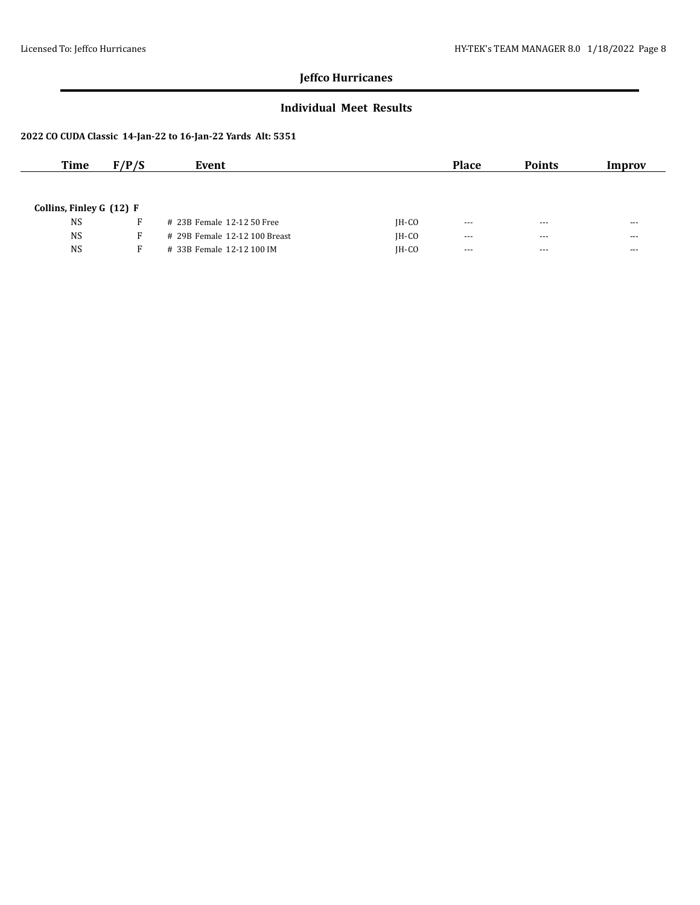### **Individual Meet Results**

| <b>Time</b>                | F/P/S | Event                         |         | <b>Place</b> | <b>Points</b> | Improv  |
|----------------------------|-------|-------------------------------|---------|--------------|---------------|---------|
|                            |       |                               |         |              |               |         |
|                            |       |                               |         |              |               |         |
| Collins, Finley G $(12)$ F |       |                               |         |              |               |         |
| <b>NS</b>                  | R     | # 23B Female 12-12 50 Free    | $IH-CO$ | $--$         | $- - -$       | $- - -$ |
| <b>NS</b>                  | F.    | # 29B Female 12-12 100 Breast | $IH-CO$ | $--$         | $- - -$       | $- - -$ |
| <b>NS</b>                  |       | # 33B Female 12-12 100 IM     | $IH-CO$ | $---$        | $- - -$       | $- - -$ |
|                            |       |                               |         |              |               |         |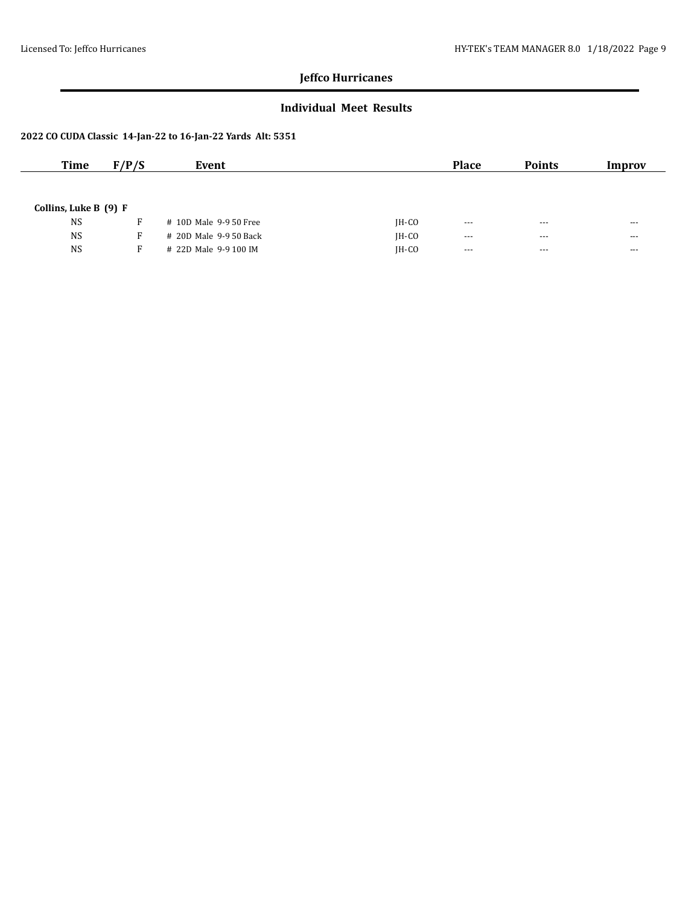### **Individual Meet Results**

| <b>Time</b>           | F/P/S | Event                  |         | <b>Place</b>         | <b>Points</b>        | Improv   |
|-----------------------|-------|------------------------|---------|----------------------|----------------------|----------|
|                       |       |                        |         |                      |                      |          |
|                       |       |                        |         |                      |                      |          |
| Collins, Luke B (9) F |       |                        |         |                      |                      |          |
| <b>NS</b>             | F.    | # 10D Male 9-9 50 Free | $IH-CO$ | $- - -$              | $- - -$              | $---$    |
| <b>NS</b>             | F.    | # 20D Male 9-9 50 Back | $IH-CO$ | $\sim$ $\sim$ $\sim$ | $\sim$ $\sim$ $\sim$ | $\cdots$ |
| <b>NS</b>             | F     | # 22D Male 9-9 100 IM  | $IH-CO$ | $- - -$              | $- - -$              | $---$    |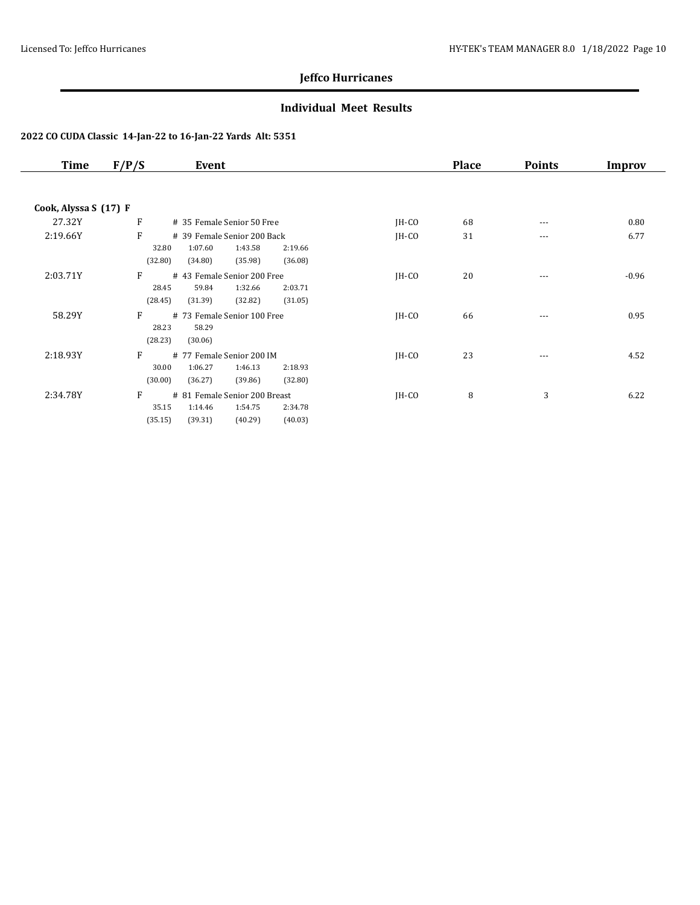### **Individual Meet Results**

| Time                  | F/P/S<br>Event                                                                                                           |         | <b>Place</b> | <b>Points</b> | <b>Improv</b> |
|-----------------------|--------------------------------------------------------------------------------------------------------------------------|---------|--------------|---------------|---------------|
|                       |                                                                                                                          |         |              |               |               |
| Cook, Alyssa S (17) F |                                                                                                                          |         |              |               |               |
| 27.32Y                | F<br># 35 Female Senior 50 Free                                                                                          | JH-CO   | 68           | $- - -$       | 0.80          |
| 2:19.66Y              | F<br># 39 Female Senior 200 Back<br>1:07.60<br>1:43.58<br>32.80<br>2:19.66<br>(32.80)<br>(35.98)<br>(34.80)<br>(36.08)   | $IH-CO$ | 31           | ---           | 6.77          |
| 2:03.71Y              | F<br>#43 Female Senior 200 Free<br>28.45<br>59.84<br>1:32.66<br>2:03.71<br>(28.45)<br>(32.82)<br>(31.05)<br>(31.39)      | $IH-CO$ | 20           | $---$         | $-0.96$       |
| 58.29Y                | F<br># 73 Female Senior 100 Free<br>28.23<br>58.29<br>(28.23)<br>(30.06)                                                 | $IH-CO$ | 66           | $--$          | 0.95          |
| 2:18.93Y              | F<br># 77 Female Senior 200 IM<br>30.00<br>1:06.27<br>1:46.13<br>2:18.93<br>(32.80)<br>(30.00)<br>(36.27)<br>(39.86)     | $IH-CO$ | 23           | $---$         | 4.52          |
| 2:34.78Y              | F<br># 81 Female Senior 200 Breast<br>35.15<br>1:54.75<br>2:34.78<br>1:14.46<br>(40.03)<br>(35.15)<br>(39.31)<br>(40.29) | $IH-CO$ | 8            | 3             | 6.22          |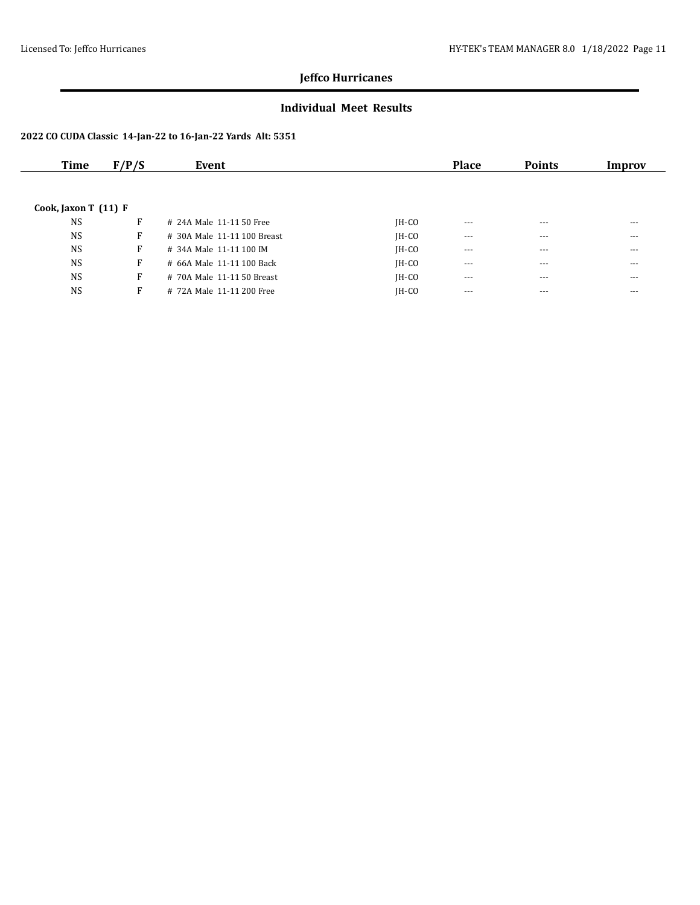### **Individual Meet Results**

| Time                   | F/P/S | Event                       |         | <b>Place</b> | <b>Points</b> | Improv  |
|------------------------|-------|-----------------------------|---------|--------------|---------------|---------|
|                        |       |                             |         |              |               |         |
|                        |       |                             |         |              |               |         |
| Cook, Jaxon T $(11)$ F |       |                             |         |              |               |         |
| <b>NS</b>              | F     | # 24A Male 11-11 50 Free    | $IH-CO$ | $- - -$      | $- - -$       | $---$   |
| <b>NS</b>              | F     | # 30A Male 11-11 100 Breast | $IH-CO$ | $\cdots$     | $- - -$       | $---$   |
| <b>NS</b>              | F     | # 34A Male 11-11 100 IM     | $IH-CO$ | $---$        | $- - -$       | $---$   |
| <b>NS</b>              | F     | # 66A Male 11-11 100 Back   | $IH-CO$ | $- - -$      | $- - -$       | $- - -$ |
| <b>NS</b>              | F     | # 70A Male 11-11 50 Breast  | $IH-CO$ | $---$        | $- - -$       | $---$   |
| <b>NS</b>              | F     | # 72A Male 11-11 200 Free   | $IH-CO$ | $---$        | $- - -$       | ---     |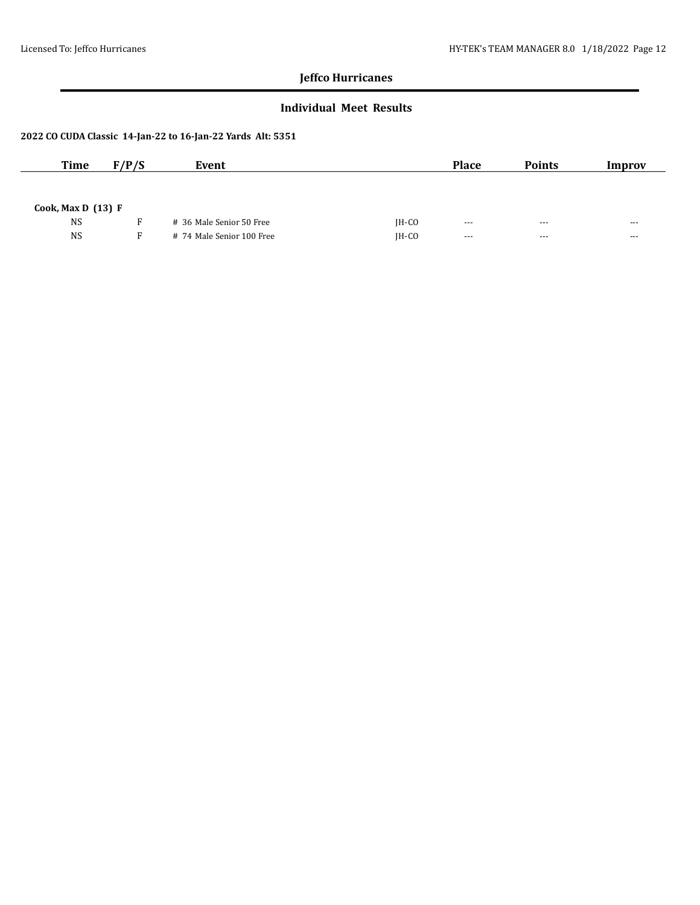### **Individual Meet Results**

| <b>Time</b>          | F/P/S | Event                     |         | <b>Place</b>         | <b>Points</b> | Improv               |
|----------------------|-------|---------------------------|---------|----------------------|---------------|----------------------|
|                      |       |                           |         |                      |               |                      |
| Cook, Max D $(13)$ F |       |                           |         |                      |               |                      |
| <b>NS</b>            |       | # 36 Male Senior 50 Free  | $IH-CO$ | $--$                 | $- - -$       | ---                  |
| <b>NS</b>            | F.    | # 74 Male Senior 100 Free | $IH-CO$ | $\sim$ $\sim$ $\sim$ | $- - -$       | $\sim$ $\sim$ $\sim$ |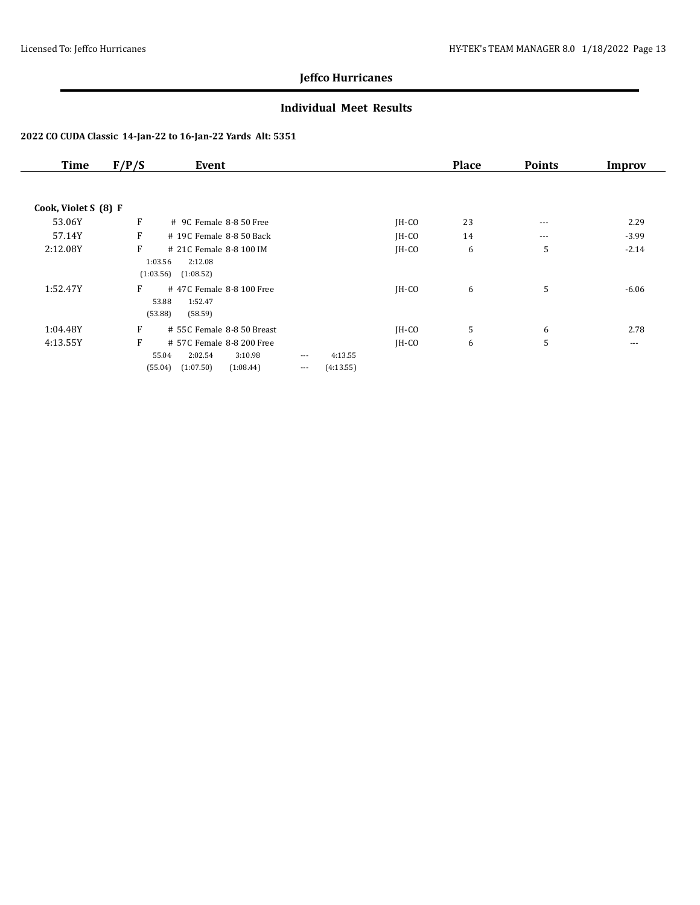### **Individual Meet Results**

| <b>Time</b>          | F/P/S          | Event                                                                                         |                      |                      |         | <b>Place</b> | <b>Points</b> | Improv   |
|----------------------|----------------|-----------------------------------------------------------------------------------------------|----------------------|----------------------|---------|--------------|---------------|----------|
| Cook, Violet S (8) F |                |                                                                                               |                      |                      |         |              |               |          |
| 53.06Y               | F              | # 9C Female 8-8 50 Free                                                                       |                      |                      | $IH-CO$ | 23           | $\cdots$      | 2.29     |
| 57.14Y               | F              | # 19C Female 8-8 50 Back                                                                      |                      |                      | $IH-CO$ | 14           | $\cdots$      | $-3.99$  |
| 2:12.08Y             | F<br>(1:03.56) | # 21C Female 8-8 100 IM<br>1:03.56<br>2:12.08<br>(1:08.52)                                    |                      |                      | $IH-CO$ | 6            | 5             | $-2.14$  |
| 1:52.47Y             | F              | #47C Female 8-8 100 Free<br>53.88<br>1:52.47<br>(53.88)<br>(58.59)                            |                      |                      | $IH-CO$ | 6            | 5             | $-6.06$  |
| 1:04.48Y             | F              | # 55C Female 8-8 50 Breast                                                                    |                      |                      | $IH-CO$ | 5            | 6             | 2.78     |
| 4:13.55Y             | F              | # 57C Female 8-8 200 Free<br>55.04<br>2:02.54<br>3:10.98<br>(1:07.50)<br>(55.04)<br>(1:08.44) | $\cdots$<br>$\cdots$ | 4:13.55<br>(4:13.55) | $IH-CO$ | 6            | 5             | $\cdots$ |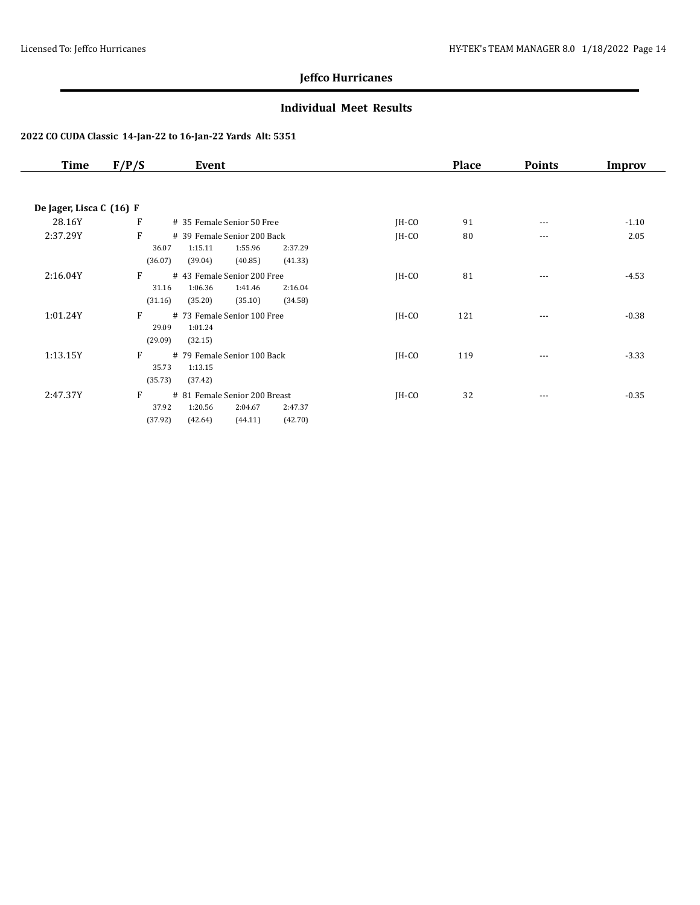### **Individual Meet Results**

| Time                     | F/P/S                 | Event                                                                                           |         | <b>Place</b> | <b>Points</b> | Improv  |
|--------------------------|-----------------------|-------------------------------------------------------------------------------------------------|---------|--------------|---------------|---------|
|                          |                       |                                                                                                 |         |              |               |         |
| De Jager, Lisca C (16) F |                       |                                                                                                 |         |              |               |         |
| 28.16Y                   | F                     | # 35 Female Senior 50 Free                                                                      | $IH-CO$ | 91           | $\cdots$      | $-1.10$ |
| 2:37.29Y                 | F                     | # 39 Female Senior 200 Back                                                                     | $IH-CO$ | 80           | $---$         | 2.05    |
|                          | 36.07<br>(36.07)      | 1:15.11<br>1:55.96<br>2:37.29<br>(39.04)<br>(40.85)<br>(41.33)                                  |         |              |               |         |
| 2:16.04Y                 | F                     | # 43 Female Senior 200 Free                                                                     | $IH-CO$ | 81           | $\cdots$      | $-4.53$ |
|                          | 31.16<br>(31.16)      | 1:06.36<br>1:41.46<br>2:16.04<br>(35.20)<br>(35.10)<br>(34.58)                                  |         |              |               |         |
| 1:01.24Y                 | F<br>29.09            | # 73 Female Senior 100 Free<br>1:01.24                                                          | $IH-CO$ | 121          | $\cdots$      | $-0.38$ |
|                          | (29.09)               | (32.15)                                                                                         |         |              |               |         |
| 1:13.15Y                 | F<br>35.73<br>(35.73) | # 79 Female Senior 100 Back<br>1:13.15<br>(37.42)                                               | $IH-CO$ | 119          | ---           | $-3.33$ |
| 2:47.37Y                 | F<br>37.92<br>(37.92) | # 81 Female Senior 200 Breast<br>1:20.56<br>2:04.67<br>2:47.37<br>(44.11)<br>(42.70)<br>(42.64) | $IH-CO$ | 32           | $\cdots$      | $-0.35$ |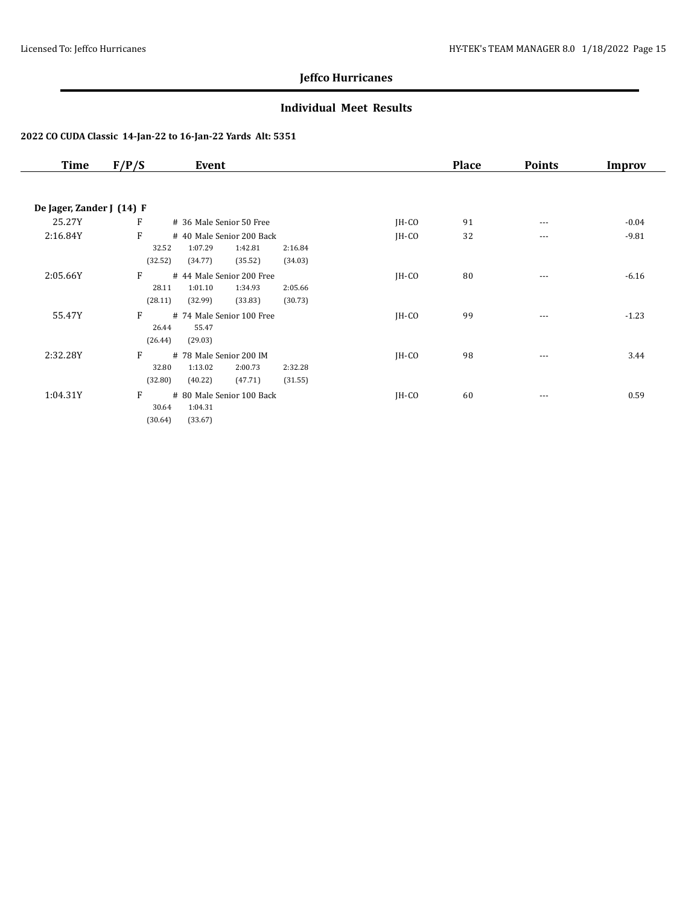### **Individual Meet Results**

| <b>Time</b>               | F/P/S                 | Event                                                                 |                    |         | <b>Place</b> | <b>Points</b> | Improv  |
|---------------------------|-----------------------|-----------------------------------------------------------------------|--------------------|---------|--------------|---------------|---------|
|                           |                       |                                                                       |                    |         |              |               |         |
| De Jager, Zander J (14) F |                       |                                                                       |                    |         |              |               |         |
| 25.27Y                    | F                     | # 36 Male Senior 50 Free                                              |                    | $IH-CO$ | 91           | $\cdots$      | $-0.04$ |
| 2:16.84Y                  | F<br>32.52<br>(32.52) | # 40 Male Senior 200 Back<br>1:07.29<br>1:42.81<br>(34.77)<br>(35.52) | 2:16.84<br>(34.03) | $IH-CO$ | 32           | $\cdots$      | $-9.81$ |
| 2:05.66Y                  | F<br>28.11<br>(28.11) | # 44 Male Senior 200 Free<br>1:01.10<br>1:34.93<br>(33.83)<br>(32.99) | 2:05.66<br>(30.73) | $IH-CO$ | 80           | ---           | $-6.16$ |
| 55.47Y                    | F<br>26.44<br>(26.44) | # 74 Male Senior 100 Free<br>55.47<br>(29.03)                         |                    | $IH-CO$ | 99           | $\cdots$      | $-1.23$ |
| 2:32.28Y                  | F<br>32.80<br>(32.80) | # 78 Male Senior 200 IM<br>2:00.73<br>1:13.02<br>(47.71)<br>(40.22)   | 2:32.28<br>(31.55) | $IH-CO$ | 98           | ---           | 3.44    |
| 1:04.31Y                  | F<br>30.64<br>(30.64) | # 80 Male Senior 100 Back<br>1:04.31<br>(33.67)                       |                    | $IH-CO$ | 60           | $\cdots$      | 0.59    |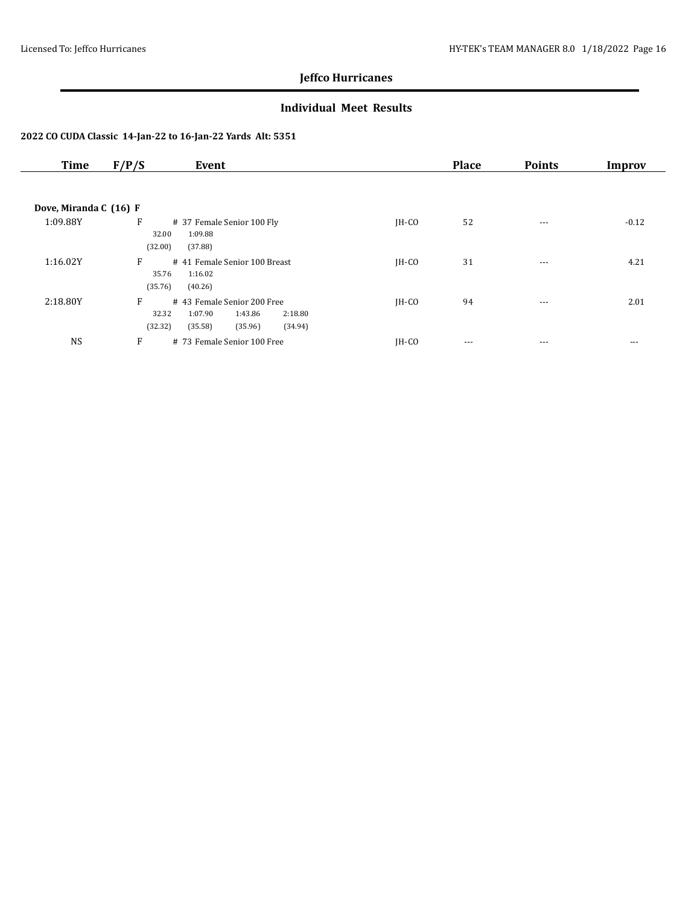### **Individual Meet Results**

| <b>Time</b>            | F/P/S<br>Event                                                                     |         | <b>Place</b> | <b>Points</b> | Improv  |
|------------------------|------------------------------------------------------------------------------------|---------|--------------|---------------|---------|
|                        |                                                                                    |         |              |               |         |
| Dove, Miranda C (16) F |                                                                                    |         |              |               |         |
| 1:09.88Y               | F<br># 37 Female Senior 100 Fly<br>1:09.88<br>32.00                                | $IH-CO$ | 52           | $- - -$       | $-0.12$ |
|                        | (32.00)<br>(37.88)                                                                 |         |              |               |         |
| 1:16.02Y               | F<br># 41 Female Senior 100 Breast                                                 | $IH-CO$ | 31           | $\cdots$      | 4.21    |
|                        | 35.76<br>1:16.02<br>(35.76)<br>(40.26)                                             |         |              |               |         |
| 2:18.80Y               | F<br># 43 Female Senior 200 Free                                                   | $IH-CO$ | 94           | $---$         | 2.01    |
|                        | 32.32<br>1:07.90<br>1:43.86<br>2:18.80<br>(32.32)<br>(35.58)<br>(35.96)<br>(34.94) |         |              |               |         |
| <b>NS</b>              | F<br># 73 Female Senior 100 Free                                                   | $IH-CO$ | $---$        | $---$         | $---$   |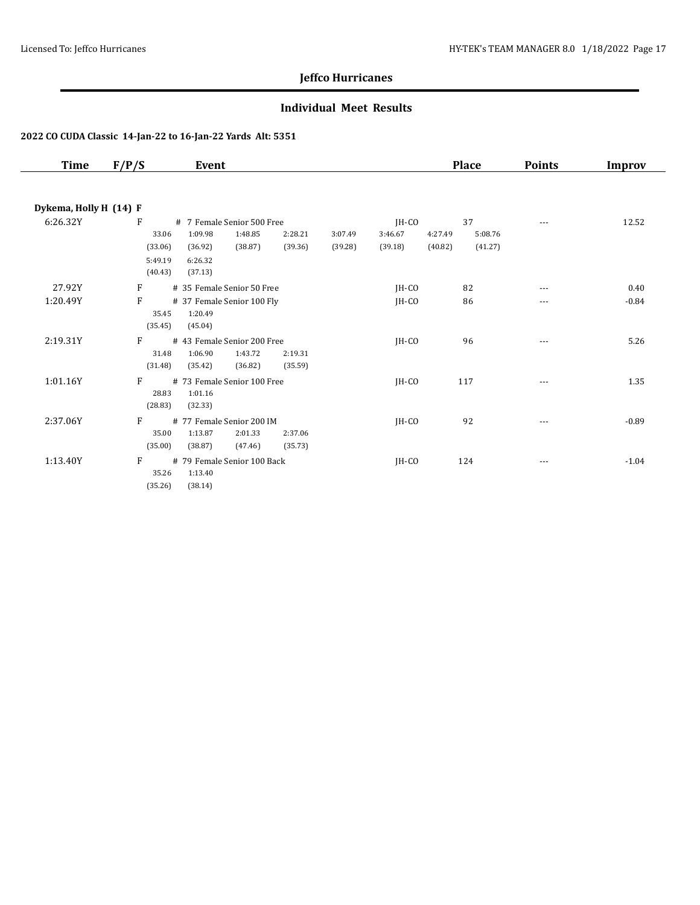### **Individual Meet Results**

| Time                   | F/P/S                                       | Event                                                                                        |                    |                    |                             | <b>Place</b>             |                    | <b>Points</b> | Improv  |
|------------------------|---------------------------------------------|----------------------------------------------------------------------------------------------|--------------------|--------------------|-----------------------------|--------------------------|--------------------|---------------|---------|
| Dykema, Holly H (14) F |                                             |                                                                                              |                    |                    |                             |                          |                    |               |         |
| 6:26.32Y               | F<br>33.06<br>(33.06)<br>5:49.19<br>(40.43) | # 7 Female Senior 500 Free<br>1:09.98<br>1:48.85<br>(38.87)<br>(36.92)<br>6:26.32<br>(37.13) | 2:28.21<br>(39.36) | 3:07.49<br>(39.28) | IH-CO<br>3:46.67<br>(39.18) | 37<br>4:27.49<br>(40.82) | 5:08.76<br>(41.27) | $---$         | 12.52   |
| 27.92Y                 | F                                           | # 35 Female Senior 50 Free                                                                   |                    |                    | IH-CO                       | 82                       |                    | $---$         | 0.40    |
| 1:20.49Y               | F<br>35.45<br>(35.45)                       | # 37 Female Senior 100 Fly<br>1:20.49<br>(45.04)                                             |                    |                    | IH-CO                       | 86                       |                    |               | $-0.84$ |
| 2:19.31Y               | F<br>31.48<br>(31.48)                       | # 43 Female Senior 200 Free<br>1:06.90<br>1:43.72<br>(35.42)<br>(36.82)                      | 2:19.31<br>(35.59) |                    | IH-CO                       | 96                       |                    | $---$         | 5.26    |
| 1:01.16Y               | F<br>28.83<br>(28.83)                       | # 73 Female Senior 100 Free<br>1:01.16<br>(32.33)                                            |                    |                    | IH-CO                       | 117                      |                    | ---           | 1.35    |
| 2:37.06Y               | F<br>35.00<br>(35.00)                       | # 77 Female Senior 200 IM<br>1:13.87<br>2:01.33<br>(38.87)<br>(47.46)                        | 2:37.06<br>(35.73) |                    | $IH-CO$                     | 92                       |                    |               | $-0.89$ |
| 1:13.40Y               | F<br>35.26<br>(35.26)                       | # 79 Female Senior 100 Back<br>1:13.40<br>(38.14)                                            |                    |                    | IH-CO                       | 124                      |                    | ---           | $-1.04$ |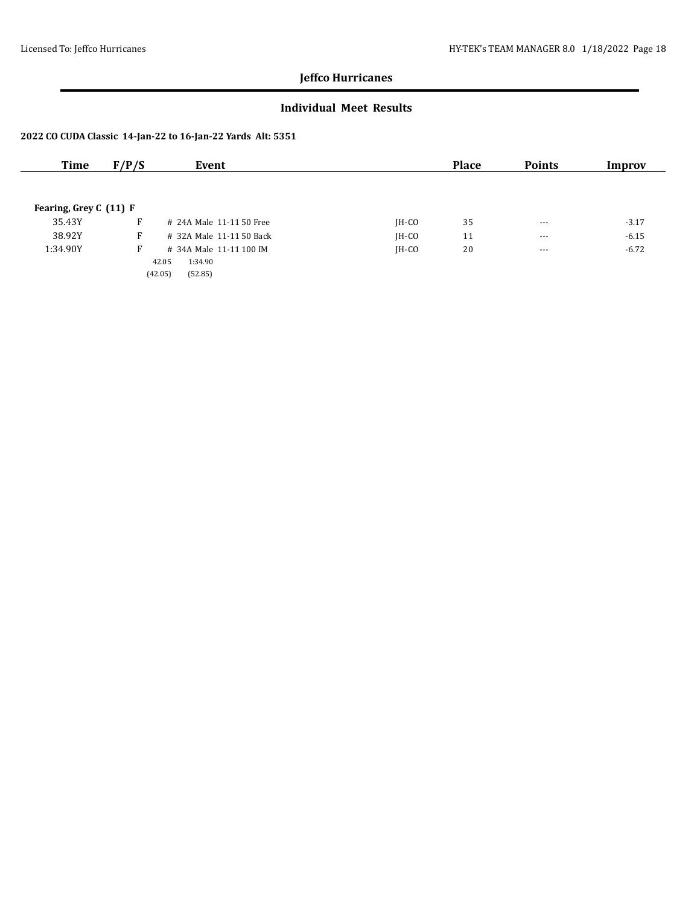### **Individual Meet Results**

| Time                   | F/P/S | Event                    |         | <b>Place</b> | <b>Points</b> | Improv  |
|------------------------|-------|--------------------------|---------|--------------|---------------|---------|
|                        |       |                          |         |              |               |         |
| Fearing, Grey C (11) F |       |                          |         |              |               |         |
| 35.43Y                 | F.    | # 24A Male 11-11 50 Free | $IH-CO$ | 35           | $- - -$       | $-3.17$ |
| 38.92Y                 | F     | # 32A Male 11-11 50 Back | $IH-CO$ | 11           | $\cdots$      | $-6.15$ |
| 1:34.90Y               | F     | # 34A Male 11-11 100 IM  | $IH-CO$ | 20           | $- - -$       | $-6.72$ |
|                        |       | 42.05<br>1:34.90         |         |              |               |         |
|                        |       | (42.05)<br>(52.85)       |         |              |               |         |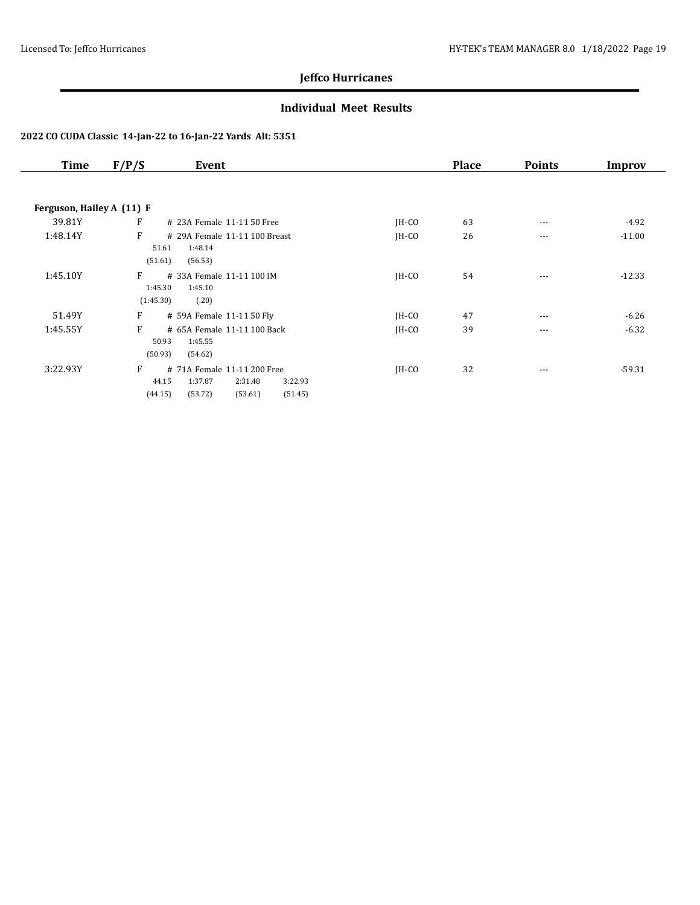### **Individual Meet Results**

| <b>Time</b>               | F/P/S<br>Event                                                                                                         |         | <b>Place</b> | <b>Points</b> | Improv   |
|---------------------------|------------------------------------------------------------------------------------------------------------------------|---------|--------------|---------------|----------|
|                           |                                                                                                                        |         |              |               |          |
| Ferguson, Hailey A (11) F |                                                                                                                        |         |              |               |          |
| 39.81Y                    | F<br># 23A Female 11-11 50 Free                                                                                        | JH-CO   | 63           | $\cdots$      | $-4.92$  |
| 1:48.14Y                  | F<br># 29A Female 11-11 100 Breast<br>51.61<br>1:48.14<br>(51.61)<br>(56.53)                                           | $IH-CO$ | 26           | $\cdots$      | $-11.00$ |
| 1:45.10Y                  | F<br># 33A Female 11-11 100 IM<br>1:45.30<br>1:45.10<br>(1:45.30)<br>(.20)                                             | $IH-CO$ | 54           | $\cdots$      | $-12.33$ |
| 51.49Y                    | F<br># 59A Female 11-11 50 Fly                                                                                         | $IH-CO$ | 47           | $---$         | $-6.26$  |
| 1:45.55Y                  | F<br># 65A Female 11-11 100 Back<br>50.93<br>1:45.55<br>(50.93)<br>(54.62)                                             | $IH-CO$ | 39           | $\cdots$      | $-6.32$  |
| 3:22.93Y                  | F<br># 71A Female 11-11 200 Free<br>44.15<br>1:37.87<br>2:31.48<br>3:22.93<br>(53.72)<br>(53.61)<br>(51.45)<br>(44.15) | $IH-CO$ | 32           | $\cdots$      | $-59.31$ |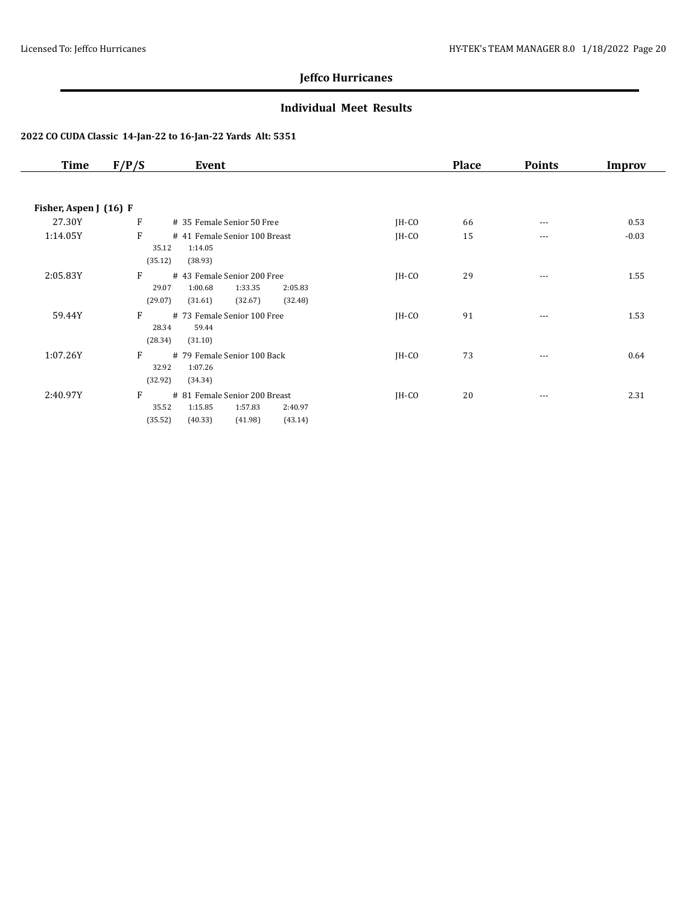### **Individual Meet Results**

| <b>Time</b>            | F/P/S<br>Event                             |         | <b>Place</b> | <b>Points</b> | Improv  |
|------------------------|--------------------------------------------|---------|--------------|---------------|---------|
|                        |                                            |         |              |               |         |
| Fisher, Aspen J (16) F |                                            |         |              |               |         |
| 27.30Y                 | $\mathbf{F}$<br># 35 Female Senior 50 Free | $IH-CO$ | 66           | $\cdots$      | 0.53    |
| 1:14.05Y               | F<br># 41 Female Senior 100 Breast         | $IH-CO$ | 15           | $\cdots$      | $-0.03$ |
|                        | 1:14.05<br>35.12                           |         |              |               |         |
|                        | (35.12)<br>(38.93)                         |         |              |               |         |
| 2:05.83Y               | F<br># 43 Female Senior 200 Free           | $IH-CO$ | 29           | $\cdots$      | 1.55    |
|                        | 1:33.35<br>29.07<br>1:00.68<br>2:05.83     |         |              |               |         |
|                        | (29.07)<br>(31.61)<br>(32.67)<br>(32.48)   |         |              |               |         |
| 59.44Y                 | F<br># 73 Female Senior 100 Free           | $IH-CO$ | 91           | $\cdots$      | 1.53    |
|                        | 28.34<br>59.44<br>(28.34)<br>(31.10)       |         |              |               |         |
| 1:07.26Y               | F<br># 79 Female Senior 100 Back           | $IH-CO$ | 73           |               |         |
|                        | 32.92<br>1:07.26                           |         |              | ---           | 0.64    |
|                        | (32.92)<br>(34.34)                         |         |              |               |         |
| 2:40.97Y               | F<br># 81 Female Senior 200 Breast         | $IH-CO$ | 20           | $\cdots$      | 2.31    |
|                        | 35.52<br>1:15.85<br>1:57.83<br>2:40.97     |         |              |               |         |
|                        | (35.52)<br>(40.33)<br>(41.98)<br>(43.14)   |         |              |               |         |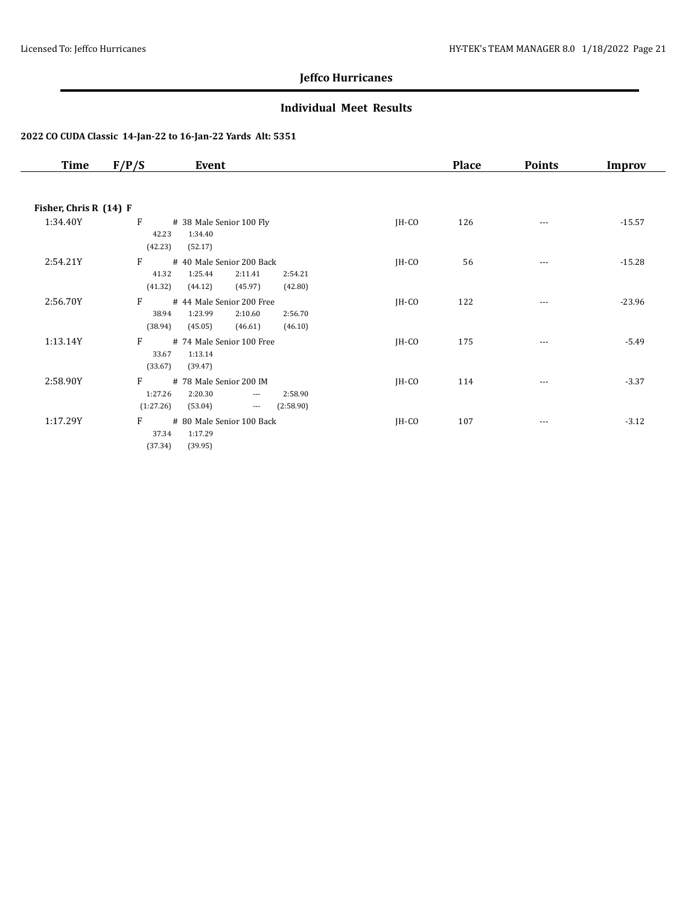### **Individual Meet Results**

| Time                   | F/P/S<br>Event                                                         |         | <b>Place</b> | <b>Points</b> | Improv   |
|------------------------|------------------------------------------------------------------------|---------|--------------|---------------|----------|
|                        |                                                                        |         |              |               |          |
| Fisher, Chris R (14) F |                                                                        |         |              |               |          |
| 1:34.40Y               | F<br># 38 Male Senior 100 Fly                                          | JH-CO   | 126          | $\cdots$      | $-15.57$ |
|                        | 1:34.40<br>42.23                                                       |         |              |               |          |
|                        | (42.23)<br>(52.17)                                                     |         |              |               |          |
| 2:54.21Y               | F<br># 40 Male Senior 200 Back                                         | $IH-CO$ | 56           | $---$         | $-15.28$ |
|                        | 41.32<br>1:25.44<br>2:11.41<br>2:54.21                                 |         |              |               |          |
|                        | (41.32)<br>(44.12)<br>(45.97)<br>(42.80)                               |         |              |               |          |
| 2:56.70Y               | F<br># 44 Male Senior 200 Free                                         | JH-CO   | 122          | $\cdots$      | $-23.96$ |
|                        | 38.94<br>1:23.99<br>2:10.60<br>2:56.70                                 |         |              |               |          |
|                        | (38.94)<br>(45.05)<br>(46.10)<br>(46.61)                               |         |              |               |          |
| 1:13.14Y               | F<br># 74 Male Senior 100 Free                                         | JH-CO   | 175          | $---$         | $-5.49$  |
|                        | 33.67<br>1:13.14<br>(33.67)<br>(39.47)                                 |         |              |               |          |
|                        |                                                                        |         |              |               |          |
| 2:58.90Y               | F<br># 78 Male Senior 200 IM<br>1:27.26<br>2:20.30<br>2:58.90<br>$---$ | JH-CO   | 114          | ---           | $-3.37$  |
|                        | (1:27.26)<br>(53.04)<br>(2:58.90)<br>$\scriptstyle\cdots$              |         |              |               |          |
| 1:17.29Y               | F<br># 80 Male Senior 100 Back                                         | $IH-CO$ | 107          | ---           | $-3.12$  |
|                        | 37.34<br>1:17.29                                                       |         |              |               |          |
|                        | (37.34)<br>(39.95)                                                     |         |              |               |          |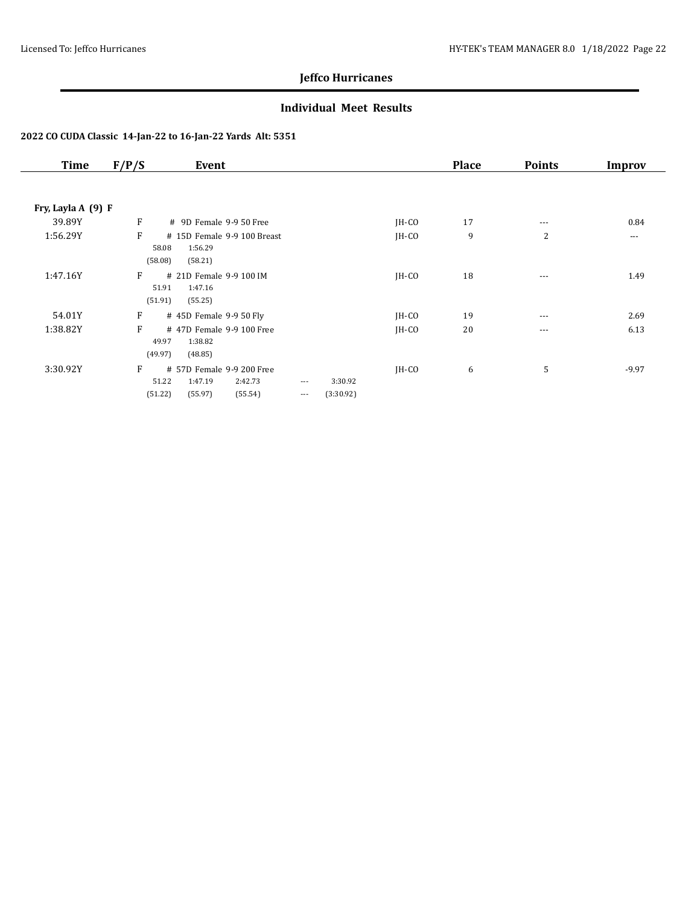### **Individual Meet Results**

| <b>Time</b>        | F/P/S                 | Event                                                                 |                      |                      |         | <b>Place</b> | <b>Points</b> | Improv   |
|--------------------|-----------------------|-----------------------------------------------------------------------|----------------------|----------------------|---------|--------------|---------------|----------|
|                    |                       |                                                                       |                      |                      |         |              |               |          |
| Fry, Layla A (9) F |                       |                                                                       |                      |                      |         |              |               |          |
| 39.89Y             | F                     | # 9D Female 9-9 50 Free                                               |                      |                      | $IH-CO$ | 17           | $\cdots$      | 0.84     |
| 1:56.29Y           | F<br>58.08<br>(58.08) | # 15D Female 9-9 100 Breast<br>1:56.29<br>(58.21)                     |                      |                      | $IH-CO$ | 9            | 2             | $\cdots$ |
| 1:47.16Y           | F<br>51.91<br>(51.91) | # 21D Female 9-9 100 IM<br>1:47.16<br>(55.25)                         |                      |                      | $IH-CO$ | 18           | $\cdots$      | 1.49     |
| 54.01Y             | F                     | # 45D Female 9-9 50 Fly                                               |                      |                      | $IH-CO$ | 19           | $---$         | 2.69     |
| 1:38.82Y           | F<br>49.97<br>(49.97) | #47D Female 9-9100 Free<br>1:38.82<br>(48.85)                         |                      |                      | $IH-CO$ | 20           | $\cdots$      | 6.13     |
| 3:30.92Y           | F<br>51.22<br>(51.22) | # 57D Female 9-9 200 Free<br>1:47.19<br>2:42.73<br>(55.54)<br>(55.97) | $\cdots$<br>$\cdots$ | 3:30.92<br>(3:30.92) | $IH-CO$ | 6            | 5             | $-9.97$  |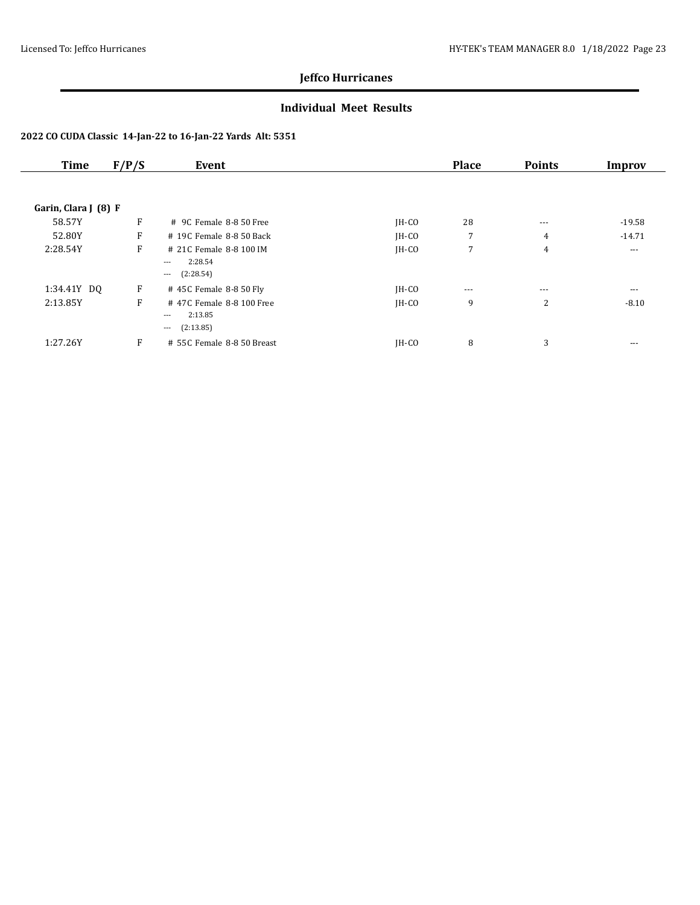### **Individual Meet Results**

| <b>Time</b>          | F/P/S | Event                                                                 |         | <b>Place</b> | <b>Points</b>  | Improv   |
|----------------------|-------|-----------------------------------------------------------------------|---------|--------------|----------------|----------|
|                      |       |                                                                       |         |              |                |          |
| Garin, Clara J (8) F |       |                                                                       |         |              |                |          |
| 58.57Y               | F     | # 9C Female 8-8 50 Free                                               | $IH-CO$ | 28           | $\cdots$       | $-19.58$ |
| 52.80Y               | F     | # 19C Female 8-8 50 Back                                              | $IH-CO$ | 7            | $\overline{4}$ | $-14.71$ |
| 2:28.54Y             | F     | # 21C Female 8-8 100 IM<br>2:28.54<br>$---$<br>(2:28.54)<br>$\cdots$  | $IH-CO$ | 7            | $\overline{4}$ | $---$    |
| 1:34.41Y DQ          | F     | # 45C Female 8-8 50 Fly                                               | $IH-CO$ | $---$        | $---$          | $---$    |
| 2:13.85Y             | F     | #47C Female 8-8 100 Free<br>2:13.85<br>$---$<br>(2:13.85)<br>$\cdots$ | $IH-CO$ | 9            | 2              | $-8.10$  |
| 1:27.26Y             | F     | # 55C Female 8-8 50 Breast                                            | $IH-CO$ | 8            | 3              | $---$    |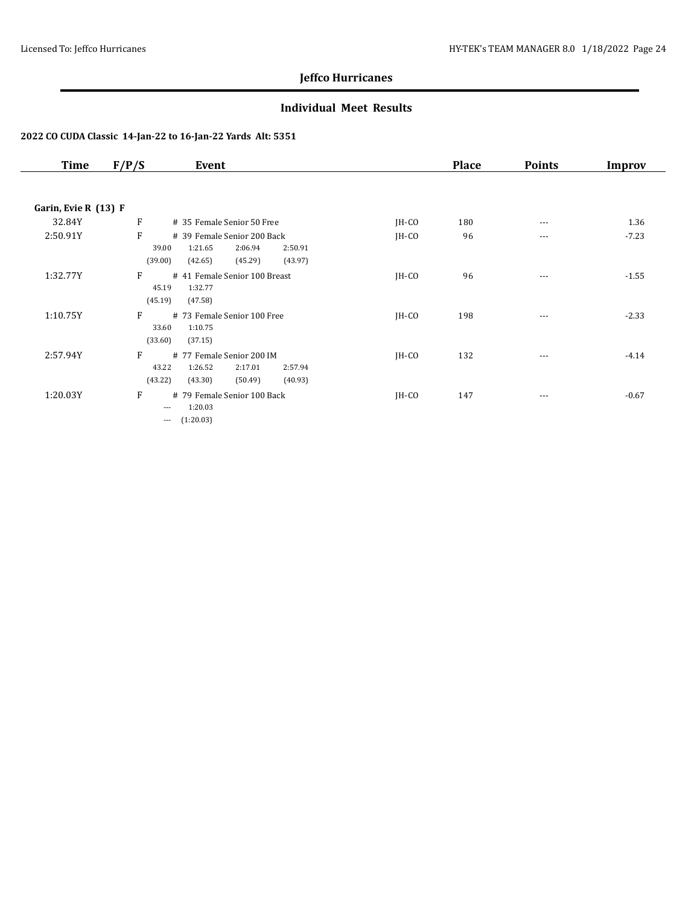### **Individual Meet Results**

| Time                 | F/P/S<br>Event                                                                                                         |         | <b>Place</b> | <b>Points</b> | Improv  |
|----------------------|------------------------------------------------------------------------------------------------------------------------|---------|--------------|---------------|---------|
|                      |                                                                                                                        |         |              |               |         |
| Garin, Evie R (13) F |                                                                                                                        |         |              |               |         |
| 32.84Y               | F<br># 35 Female Senior 50 Free                                                                                        | $IH-CO$ | 180          | $- - -$       | 1.36    |
| 2:50.91Y             | F<br># 39 Female Senior 200 Back<br>1:21.65<br>2:06.94<br>39.00<br>2:50.91<br>(39.00)<br>(45.29)<br>(43.97)<br>(42.65) | $IH-CO$ | 96           | $---$         | $-7.23$ |
| 1:32.77Y             | F<br># 41 Female Senior 100 Breast<br>45.19<br>1:32.77<br>(45.19)<br>(47.58)                                           | $IH-CO$ | 96           | $- - -$       | $-1.55$ |
| 1:10.75Y             | F<br># 73 Female Senior 100 Free<br>1:10.75<br>33.60<br>(33.60)<br>(37.15)                                             | $IH-CO$ | 198          | $- - -$       | $-2.33$ |
| 2:57.94Y             | F<br># 77 Female Senior 200 IM<br>43.22<br>1:26.52<br>2:17.01<br>2:57.94<br>(43.22)<br>(43.30)<br>(50.49)<br>(40.93)   | JH-CO   | 132          | ---           | $-4.14$ |
| 1:20.03Y             | F<br># 79 Female Senior 100 Back<br>1:20.03<br>$\cdots$<br>(1:20.03)<br>$---$                                          | $IH-CO$ | 147          | $\cdots$      | $-0.67$ |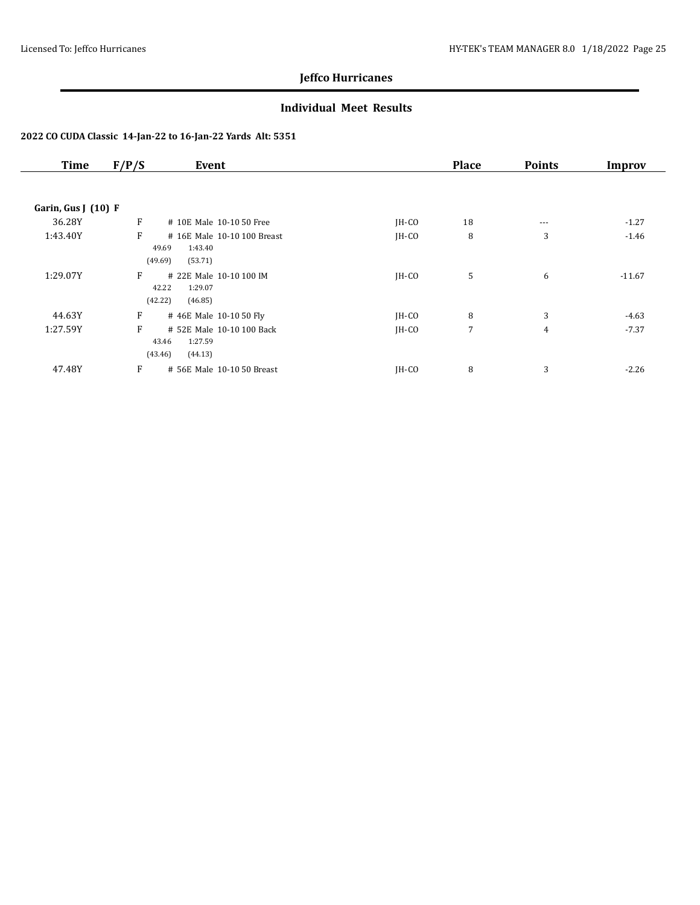### **Individual Meet Results**

| <b>Time</b>         | F/P/S<br>Event                                                             |         | <b>Place</b>   | <b>Points</b>  | Improv   |
|---------------------|----------------------------------------------------------------------------|---------|----------------|----------------|----------|
| Garin, Gus J (10) F |                                                                            |         |                |                |          |
| 36.28Y              | F<br># 10E Male 10-10 50 Free                                              | $IH-CO$ | 18             |                | $-1.27$  |
|                     |                                                                            |         |                | $\cdots$       |          |
| 1:43.40Y            | F<br># 16E Male 10-10 100 Breast<br>1:43.40<br>49.69<br>(49.69)<br>(53.71) | $IH-CO$ | 8              | 3              | $-1.46$  |
| 1:29.07Y            | F<br># 22E Male 10-10 100 IM<br>42.22<br>1:29.07<br>(42.22)<br>(46.85)     | $IH-CO$ | 5              | 6              | $-11.67$ |
| 44.63Y              | F<br>#46E Male 10-10 50 Fly                                                | JH-CO   | 8              | 3              | $-4.63$  |
| 1:27.59Y            | F<br># 52E Male 10-10 100 Back<br>1:27.59<br>43.46<br>(43.46)<br>(44.13)   | $IH-CO$ | $\overline{7}$ | $\overline{4}$ | $-7.37$  |
| 47.48Y              | F<br># 56E Male 10-10 50 Breast                                            | JH-CO   | 8              | 3              | $-2.26$  |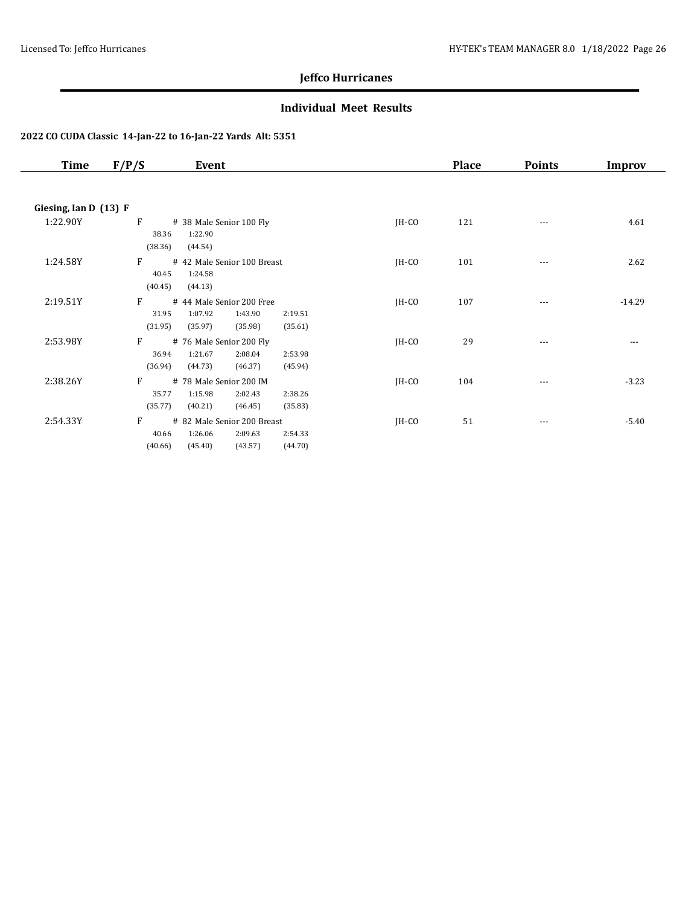### **Individual Meet Results**

| Time                  | F/P/S<br>Event                                                                                                         |         | <b>Place</b> | <b>Points</b> | Improv   |
|-----------------------|------------------------------------------------------------------------------------------------------------------------|---------|--------------|---------------|----------|
|                       |                                                                                                                        |         |              |               |          |
| Giesing, Ian D (13) F |                                                                                                                        |         |              |               |          |
| 1:22.90Y              | F<br># 38 Male Senior 100 Fly<br>1:22.90<br>38.36<br>(38.36)<br>(44.54)                                                | $IH-CO$ | 121          | $---$         | 4.61     |
| 1:24.58Y              | F<br># 42 Male Senior 100 Breast<br>1:24.58<br>40.45<br>(40.45)<br>(44.13)                                             | $IH-CO$ | 101          | $---$         | 2.62     |
| 2:19.51Y              | F<br># 44 Male Senior 200 Free<br>1:07.92<br>31.95<br>1:43.90<br>2:19.51<br>(31.95)<br>(35.97)<br>(35.98)<br>(35.61)   | $IH-CO$ | 107          | $---$         | $-14.29$ |
| 2:53.98Y              | F<br># 76 Male Senior 200 Fly<br>1:21.67<br>2:08.04<br>36.94<br>2:53.98<br>(36.94)<br>(44.73)<br>(45.94)<br>(46.37)    | $IH-CO$ | 29           | ---           | ---      |
| 2:38.26Y              | F<br># 78 Male Senior 200 IM<br>1:15.98<br>2:02.43<br>2:38.26<br>35.77<br>(35.77)<br>(40.21)<br>(35.83)<br>(46.45)     | $IH-CO$ | 104          |               | $-3.23$  |
| 2:54.33Y              | F<br># 82 Male Senior 200 Breast<br>40.66<br>1:26.06<br>2:09.63<br>2:54.33<br>(40.66)<br>(45.40)<br>(43.57)<br>(44.70) | $IH-CO$ | 51           | $\cdots$      | $-5.40$  |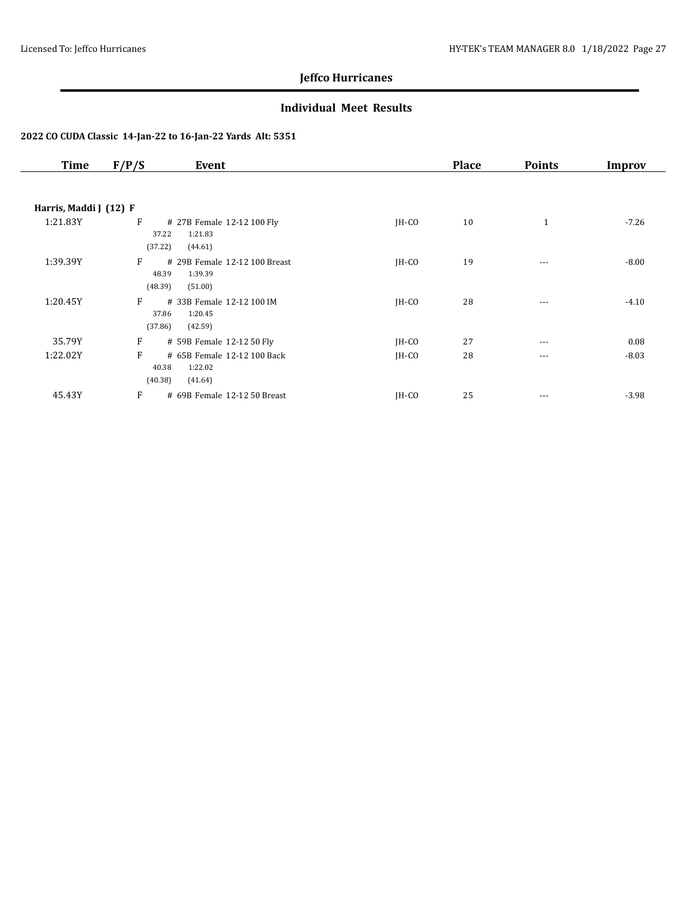### **Individual Meet Results**

| <b>Time</b>            | F/P/S<br>Event                                                               |         | <b>Place</b> | <b>Points</b> | Improv  |
|------------------------|------------------------------------------------------------------------------|---------|--------------|---------------|---------|
|                        |                                                                              |         |              |               |         |
| Harris, Maddi J (12) F |                                                                              |         |              |               |         |
| 1:21.83Y               | F<br># 27B Female 12-12 100 Fly<br>1:21.83<br>37.22<br>(37.22)<br>(44.61)    | $IH-CO$ | 10           | $\mathbf{1}$  | $-7.26$ |
| 1:39.39Y               | F<br># 29B Female 12-12 100 Breast<br>48.39<br>1:39.39<br>(48.39)<br>(51.00) | JH-CO   | 19           | $\cdots$      | $-8.00$ |
| 1:20.45Y               | F<br># 33B Female 12-12 100 IM<br>37.86<br>1:20.45<br>(37.86)<br>(42.59)     | $IH-CO$ | 28           | $---$         | $-4.10$ |
| 35.79Y                 | F<br># 59B Female 12-12 50 Fly                                               | $IH-CO$ | 27           | $\cdots$      | 0.08    |
| 1:22.02Y               | F<br># 65B Female 12-12 100 Back<br>40.38<br>1:22.02<br>(40.38)<br>(41.64)   | JH-CO   | 28           | $\cdots$      | $-8.03$ |
| 45.43Y                 | F<br># 69B Female 12-12 50 Breast                                            | $IH-CO$ | 25           | $\cdots$      | $-3.98$ |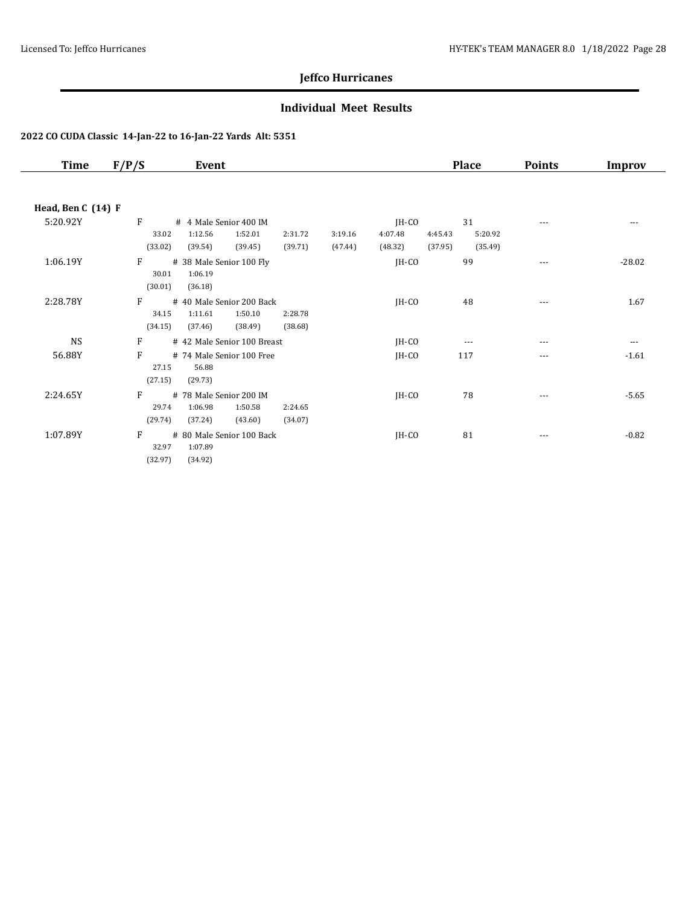### **Individual Meet Results**

| Time               | F/P/S            | Event                                    |                    |         |         | <b>Place</b> | <b>Points</b> | Improv   |
|--------------------|------------------|------------------------------------------|--------------------|---------|---------|--------------|---------------|----------|
|                    |                  |                                          |                    |         |         |              |               |          |
| Head, Ben C (14) F |                  |                                          |                    |         |         |              |               |          |
| 5:20.92Y           | F                | # 4 Male Senior 400 IM                   |                    |         | $IH-CO$ | 31           | $---$         | $---$    |
|                    | 33.02            | 1:12.56<br>1:52.01                       | 2:31.72            | 3:19.16 | 4:07.48 | 4:45.43      | 5:20.92       |          |
|                    | (33.02)          | (39.54)<br>(39.45)                       | (39.71)            | (47.44) | (48.32) | (37.95)      | (35.49)       |          |
| 1:06.19Y           | F                | # 38 Male Senior 100 Fly                 |                    |         | JH-CO   | 99           | $---$         | $-28.02$ |
|                    | 30.01            | 1:06.19                                  |                    |         |         |              |               |          |
|                    | (30.01)          | (36.18)                                  |                    |         |         |              |               |          |
| 2:28.78Y           | F                | # 40 Male Senior 200 Back                |                    |         | JH-CO   | 48           | $---$         | 1.67     |
|                    | 34.15<br>(34.15) | 1:11.61<br>1:50.10<br>(38.49)<br>(37.46) | 2:28.78<br>(38.68) |         |         |              |               |          |
|                    |                  |                                          |                    |         |         |              |               |          |
| <b>NS</b>          | F                | # 42 Male Senior 100 Breast              |                    |         | JH-CO   | $- - -$      | $---$         | $---$    |
| 56.88Y             | F                | # 74 Male Senior 100 Free<br>56.88       |                    |         | JH-CO   | 117          | $---$         | $-1.61$  |
|                    | 27.15<br>(27.15) | (29.73)                                  |                    |         |         |              |               |          |
| 2:24.65Y           | F                | # 78 Male Senior 200 IM                  |                    |         | JH-CO   | 78           |               | $-5.65$  |
|                    | 29.74            | 1:06.98<br>1:50.58                       | 2:24.65            |         |         |              | ---           |          |
|                    | (29.74)          | (37.24)<br>(43.60)                       | (34.07)            |         |         |              |               |          |
| 1:07.89Y           | F                | # 80 Male Senior 100 Back                |                    |         | JH-CO   | 81           | $---$         | $-0.82$  |
|                    | 32.97            | 1:07.89                                  |                    |         |         |              |               |          |
|                    | (32.97)          | (34.92)                                  |                    |         |         |              |               |          |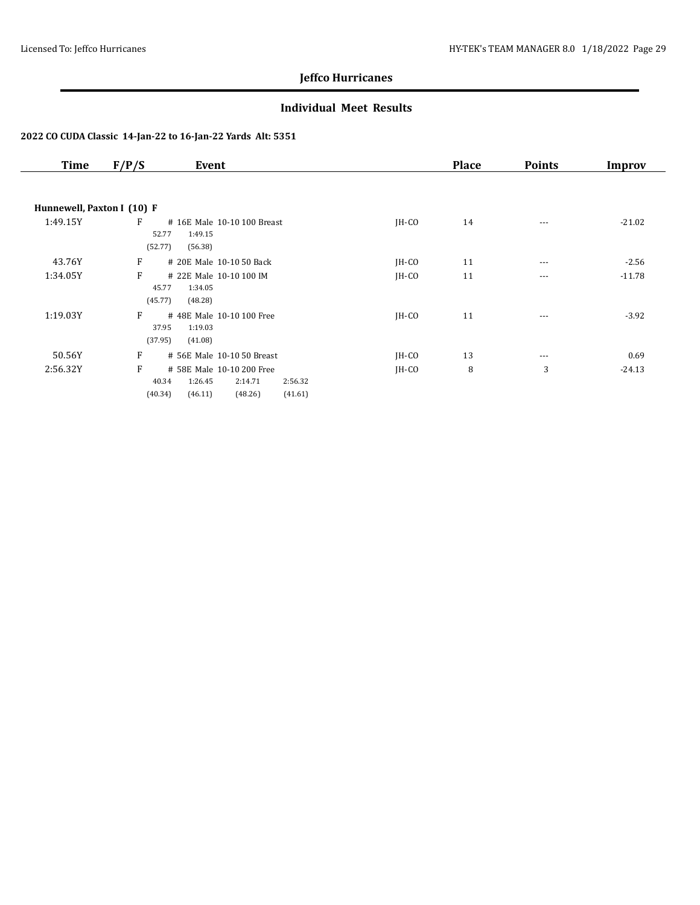### **Individual Meet Results**

| <b>Time</b>                | F/P/S<br>Event                                                                                                       |         | <b>Place</b> | <b>Points</b> | Improv   |
|----------------------------|----------------------------------------------------------------------------------------------------------------------|---------|--------------|---------------|----------|
|                            |                                                                                                                      |         |              |               |          |
| Hunnewell, Paxton I (10) F |                                                                                                                      |         |              |               |          |
| 1:49.15Y                   | F<br># 16E Male 10-10 100 Breast<br>52.77<br>1:49.15<br>(52.77)<br>(56.38)                                           | $IH-CO$ | 14           | $---$         | $-21.02$ |
| 43.76Y                     | F<br># 20E Male 10-10 50 Back                                                                                        | JH-CO   | 11           | $---$         | $-2.56$  |
| 1:34.05Y                   | F<br># 22E Male 10-10 100 IM<br>45.77<br>1:34.05<br>(45.77)<br>(48.28)                                               | $IH-CO$ | 11           | $\cdots$      | $-11.78$ |
| 1:19.03Y                   | F<br># 48E Male 10-10 100 Free<br>1:19.03<br>37.95<br>(37.95)<br>(41.08)                                             | $IH-CO$ | 11           | $\cdots$      | $-3.92$  |
| 50.56Y                     | F<br># 56E Male 10-10 50 Breast                                                                                      | $IH-CO$ | 13           | $\cdots$      | 0.69     |
| 2:56.32Y                   | F<br># 58E Male 10-10 200 Free<br>40.34<br>1:26.45<br>2:14.71<br>2:56.32<br>(40.34)<br>(46.11)<br>(48.26)<br>(41.61) | $IH-CO$ | 8            | 3             | $-24.13$ |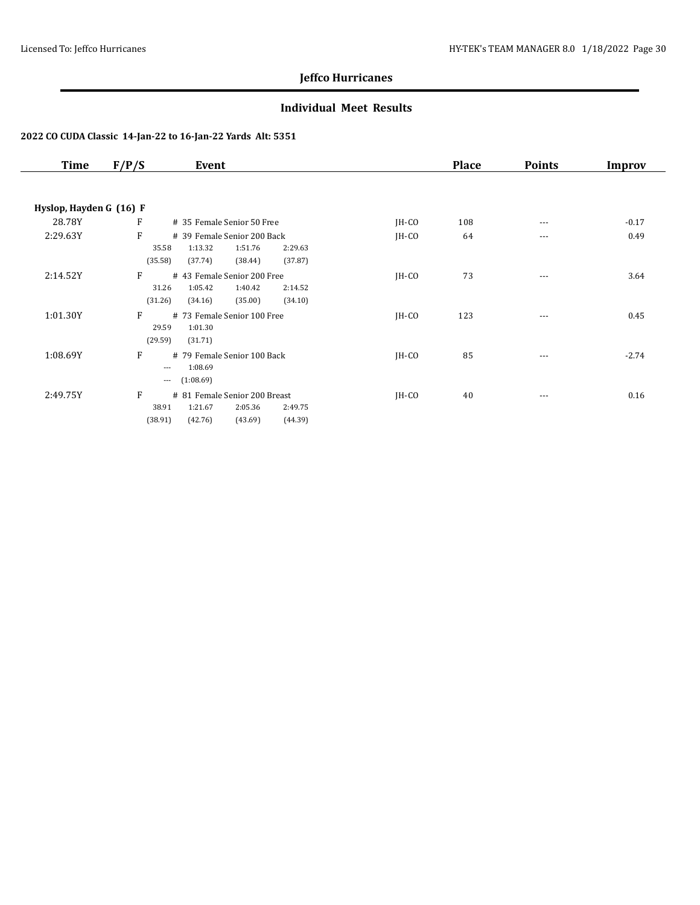### **Individual Meet Results**

| <b>Time</b>             | F/P/S                     | Event                                                                                           |         | <b>Place</b> | <b>Points</b> | Improv  |
|-------------------------|---------------------------|-------------------------------------------------------------------------------------------------|---------|--------------|---------------|---------|
|                         |                           |                                                                                                 |         |              |               |         |
| Hyslop, Hayden G (16) F |                           |                                                                                                 |         |              |               |         |
| 28.78Y                  | F                         | # 35 Female Senior 50 Free                                                                      | $IH-CO$ | 108          | $\cdots$      | $-0.17$ |
| 2:29.63Y                | F<br>35.58<br>(35.58)     | # 39 Female Senior 200 Back<br>1:13.32<br>1:51.76<br>2:29.63<br>(37.74)<br>(38.44)<br>(37.87)   | $IH-CO$ | 64           | ---           | 0.49    |
| 2:14.52Y                | F<br>31.26<br>(31.26)     | # 43 Female Senior 200 Free<br>1:05.42<br>1:40.42<br>2:14.52<br>(35.00)<br>(34.10)<br>(34.16)   | $IH-CO$ | 73           | $\cdots$      | 3.64    |
| 1:01.30Y                | F<br>29.59<br>(29.59)     | # 73 Female Senior 100 Free<br>1:01.30<br>(31.71)                                               | $IH-CO$ | 123          | $\cdots$      | 0.45    |
| 1:08.69Y                | F<br>$\cdots$<br>$\cdots$ | # 79 Female Senior 100 Back<br>1:08.69<br>(1:08.69)                                             | $IH-CO$ | 85           | ---           | $-2.74$ |
| 2:49.75Y                | F<br>38.91<br>(38.91)     | # 81 Female Senior 200 Breast<br>1:21.67<br>2:05.36<br>2:49.75<br>(42.76)<br>(43.69)<br>(44.39) | $IH-CO$ | 40           | $\cdots$      | 0.16    |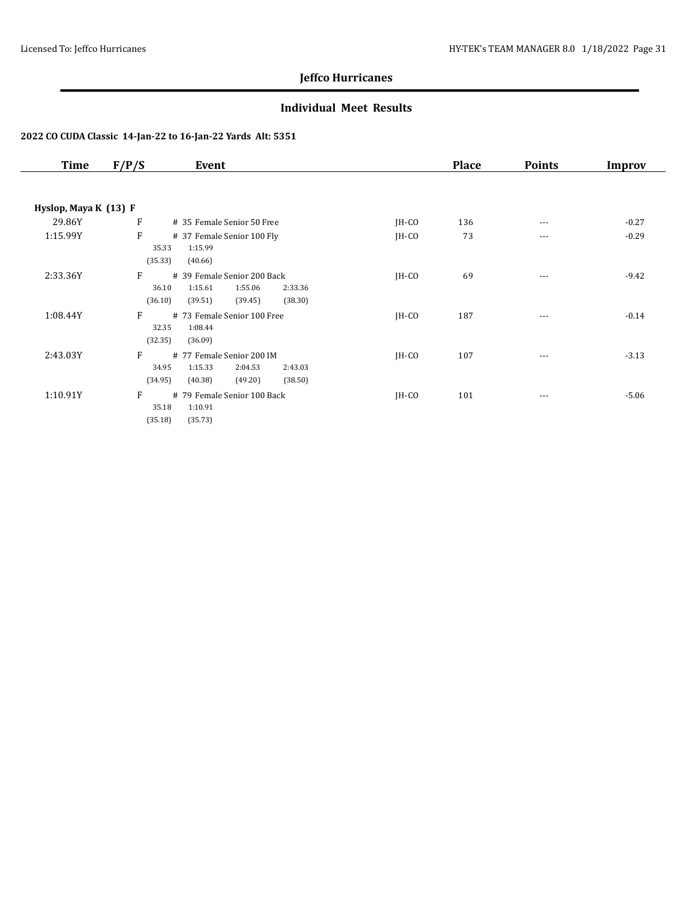### **Individual Meet Results**

| Time                  | F/P/S            | Event                                               |         | <b>Place</b> | <b>Points</b> | Improv  |
|-----------------------|------------------|-----------------------------------------------------|---------|--------------|---------------|---------|
|                       |                  |                                                     |         |              |               |         |
| Hyslop, Maya K (13) F |                  |                                                     |         |              |               |         |
| 29.86Y                | F                | # 35 Female Senior 50 Free                          | $IH-CO$ | 136          | $- - -$       | $-0.27$ |
| 1:15.99Y              | F                | # 37 Female Senior 100 Fly                          | $IH-CO$ | 73           | $---$         | $-0.29$ |
|                       | 35.33            | 1:15.99                                             |         |              |               |         |
|                       | (35.33)          | (40.66)                                             |         |              |               |         |
| 2:33.36Y              | F                | # 39 Female Senior 200 Back                         | $IH-CO$ | 69           | $- - -$       | $-9.42$ |
|                       | 36.10            | 1:15.61<br>1:55.06<br>2:33.36                       |         |              |               |         |
|                       | (36.10)          | (39.51)<br>(39.45)<br>(38.30)                       |         |              |               |         |
| 1:08.44Y              | F                | # 73 Female Senior 100 Free                         | $IH-CO$ | 187          | $\cdots$      | $-0.14$ |
|                       | 32.35<br>(32.35) | 1:08.44<br>(36.09)                                  |         |              |               |         |
|                       |                  |                                                     |         |              |               |         |
| 2:43.03Y              | F<br>34.95       | # 77 Female Senior 200 IM<br>1:15.33                | $IH-CO$ | 107          | ---           | $-3.13$ |
|                       | (34.95)          | 2:04.53<br>2:43.03<br>(40.38)<br>(49.20)<br>(38.50) |         |              |               |         |
|                       |                  |                                                     |         |              |               |         |
| 1:10.91Y              | F<br>35.18       | # 79 Female Senior 100 Back<br>1:10.91              | $IH-CO$ | 101          | $\cdots$      | $-5.06$ |
|                       | (35.18)          | (35.73)                                             |         |              |               |         |
|                       |                  |                                                     |         |              |               |         |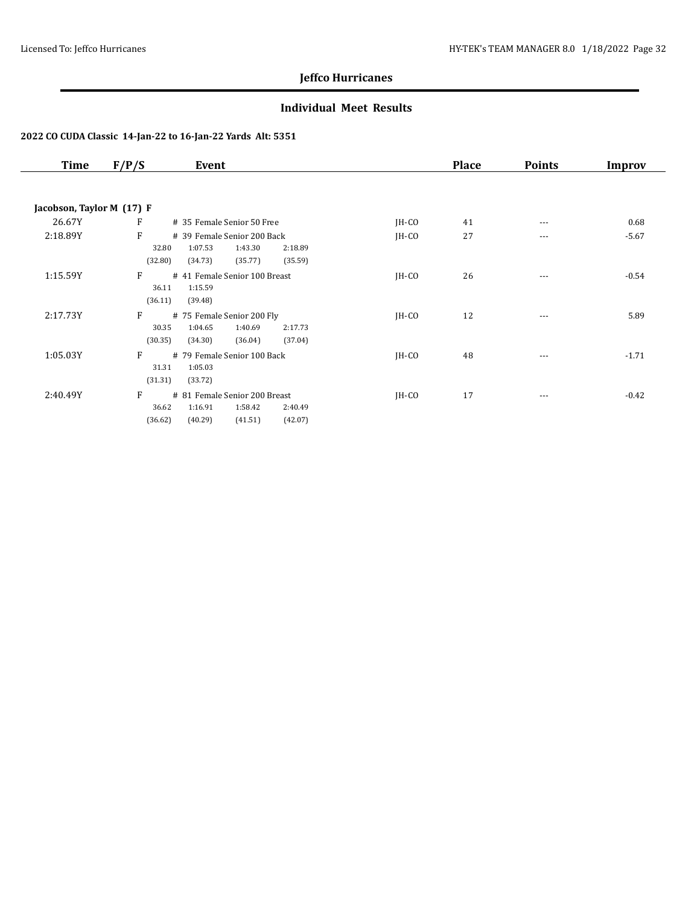### **Individual Meet Results**

| <b>Time</b>               | F/P/S<br>Event                                                                                                           |         | <b>Place</b> | <b>Points</b> | Improv  |
|---------------------------|--------------------------------------------------------------------------------------------------------------------------|---------|--------------|---------------|---------|
|                           |                                                                                                                          |         |              |               |         |
| Jacobson, Taylor M (17) F |                                                                                                                          |         |              |               |         |
| 26.67Y                    | $\mathbf{F}$<br># 35 Female Senior 50 Free                                                                               | $IH-CO$ | 41           | $\cdots$      | 0.68    |
| 2:18.89Y                  | F<br># 39 Female Senior 200 Back<br>1:07.53<br>1:43.30<br>32.80<br>2:18.89<br>(32.80)<br>(34.73)<br>(35.77)<br>(35.59)   | $IH-CO$ | 27           | $\cdots$      | $-5.67$ |
| 1:15.59Y                  | F<br># 41 Female Senior 100 Breast<br>1:15.59<br>36.11<br>(36.11)<br>(39.48)                                             | $IH-CO$ | 26           | ---           | $-0.54$ |
| 2:17.73Y                  | F<br># 75 Female Senior 200 Fly<br>1:40.69<br>1:04.65<br>30.35<br>2:17.73<br>(30.35)<br>(34.30)<br>(36.04)<br>(37.04)    | $IH-CO$ | 12           | $\cdots$      | 5.89    |
| 1:05.03Y                  | F<br># 79 Female Senior 100 Back<br>31.31<br>1:05.03<br>(31.31)<br>(33.72)                                               | $IH-CO$ | 48           | ---           | $-1.71$ |
| 2:40.49Y                  | F<br># 81 Female Senior 200 Breast<br>36.62<br>1:16.91<br>1:58.42<br>2:40.49<br>(36.62)<br>(40.29)<br>(41.51)<br>(42.07) | $IH-CO$ | 17           | $\cdots$      | $-0.42$ |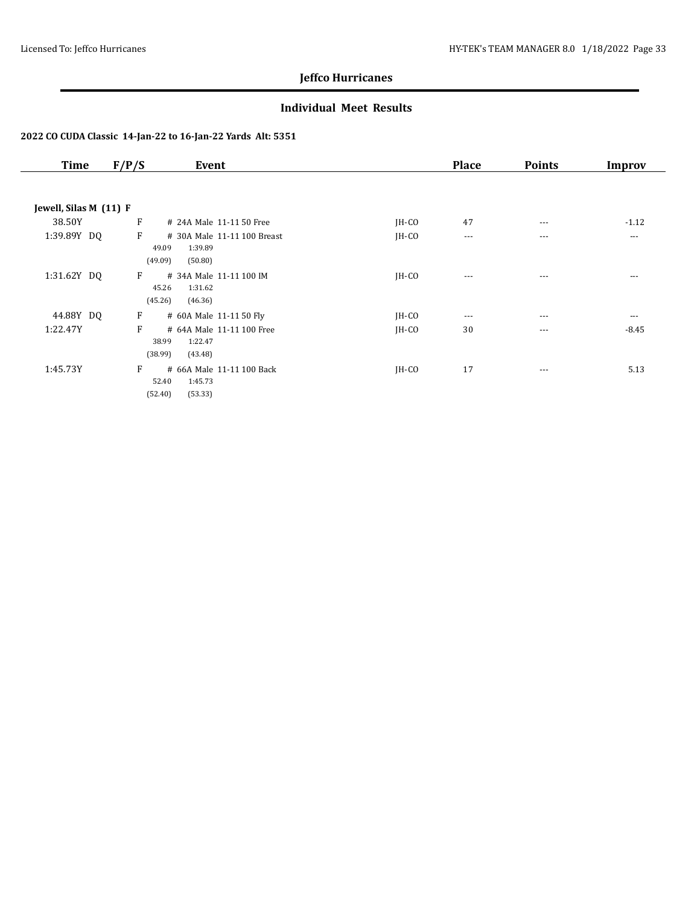### **Individual Meet Results**

| <b>Time</b>            | F/P/S<br>Event                                                             |         | <b>Place</b> | <b>Points</b> | Improv   |
|------------------------|----------------------------------------------------------------------------|---------|--------------|---------------|----------|
|                        |                                                                            |         |              |               |          |
| Jewell, Silas M (11) F |                                                                            |         |              |               |          |
| 38.50Y                 | F<br># 24A Male 11-11 50 Free                                              | $IH-CO$ | 47           | $---$         | $-1.12$  |
| 1:39.89Y DQ            | F<br># 30A Male 11-11 100 Breast<br>1:39.89<br>49.09<br>(49.09)<br>(50.80) | JH-CO   | $\cdots$     | $---$         | $\cdots$ |
| 1:31.62Y DQ            | F<br># 34A Male 11-11 100 IM<br>45.26<br>1:31.62<br>(45.26)<br>(46.36)     | $IH-CO$ | $---$        | $---$         | $---$    |
| 44.88Y DQ              | F<br># 60A Male 11-11 50 Fly                                               | $IH-CO$ | $\cdots$     | $---$         | $\cdots$ |
| 1:22.47Y               | F<br># 64A Male 11-11 100 Free<br>38.99<br>1:22.47<br>(38.99)<br>(43.48)   | JH-CO   | 30           | $\cdots$      | $-8.45$  |
| 1:45.73Y               | F<br># 66A Male 11-11 100 Back<br>1:45.73<br>52.40<br>(53.33)<br>(52.40)   | JH-CO   | 17           | $---$         | 5.13     |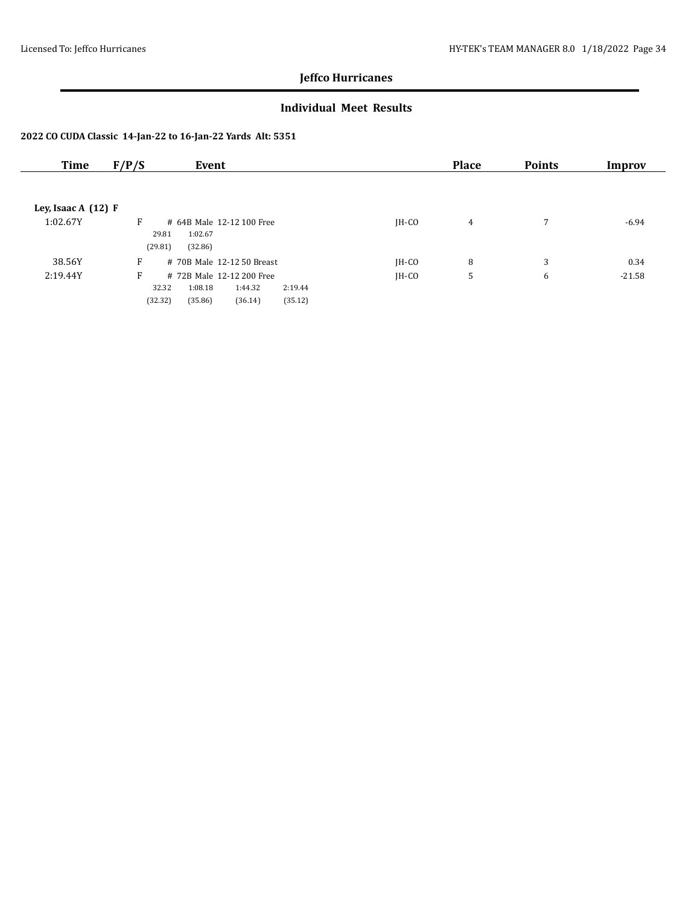### **Individual Meet Results**

| Time                  | F/P/S<br>Event                           |         | <b>Place</b> | <b>Points</b> | Improv   |
|-----------------------|------------------------------------------|---------|--------------|---------------|----------|
|                       |                                          |         |              |               |          |
| Ley, Isaac A $(12)$ F |                                          |         |              |               |          |
|                       |                                          |         |              |               |          |
| 1:02.67Y              | F<br># 64B Male 12-12 100 Free           | $IH-CO$ | 4            | 7             | $-6.94$  |
|                       | 29.81<br>1:02.67                         |         |              |               |          |
|                       | (29.81)<br>(32.86)                       |         |              |               |          |
| 38.56Y                | F<br># 70B Male 12-12 50 Breast          | $IH-CO$ | 8            | 3             | 0.34     |
| 2:19.44Y              | F<br># 72B Male 12-12 200 Free           | IH-CO   | 5            | 6             | $-21.58$ |
|                       | 32.32<br>1:08.18<br>1:44.32<br>2:19.44   |         |              |               |          |
|                       | (32.32)<br>(35.86)<br>(36.14)<br>(35.12) |         |              |               |          |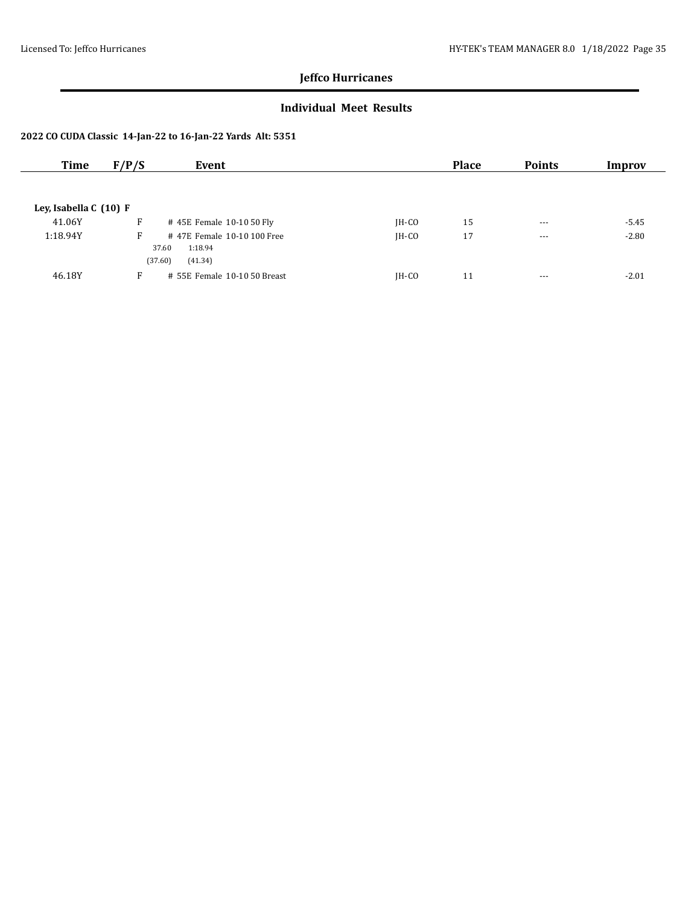### **Individual Meet Results**

| Time                   | F/P/S                 | Event                                            |         | <b>Place</b> | <b>Points</b> | Improv  |
|------------------------|-----------------------|--------------------------------------------------|---------|--------------|---------------|---------|
|                        |                       |                                                  |         |              |               |         |
| Ley, Isabella C (10) F |                       |                                                  |         |              |               |         |
| 41.06Y                 | F                     | #45E Female 10-10 50 Fly                         | $IH-CO$ | 15           | $\cdots$      | $-5.45$ |
| 1:18.94Y               | F<br>37.60<br>(37.60) | #47E Female 10-10 100 Free<br>1:18.94<br>(41.34) | $IH-CO$ | 17           | $--$          | $-2.80$ |
| 46.18Y                 | F                     | # 55E Female 10-10 50 Breast                     | $IH-CO$ | 11           | $\cdots$      | $-2.01$ |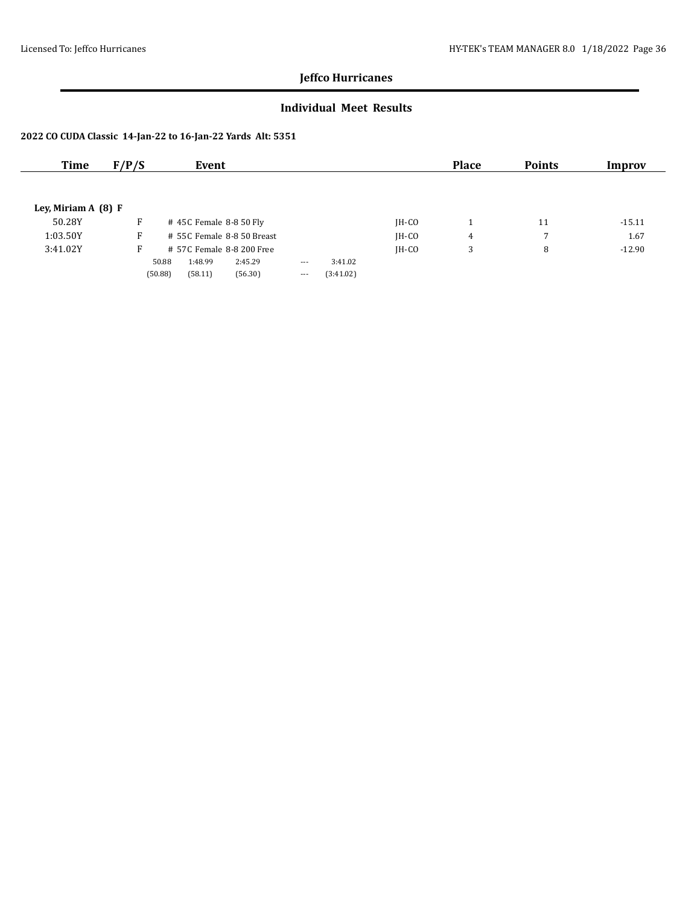### **Individual Meet Results**

| Time                 | F/P/S | Event                      |         |         |           |         | <b>Place</b> | <b>Points</b> | Improv   |
|----------------------|-------|----------------------------|---------|---------|-----------|---------|--------------|---------------|----------|
|                      |       |                            |         |         |           |         |              |               |          |
| Ley, Miriam $A(8) F$ |       |                            |         |         |           |         |              |               |          |
|                      |       |                            |         |         |           |         |              |               |          |
| 50.28Y               | F     | $\#$ 45C Female 8-8 50 Fly |         |         |           | $IH-CO$ |              | 11            | $-15.11$ |
| 1:03.50Y             | F     | # 55C Female 8-8 50 Breast |         |         |           | $IH-CO$ | 4            | 7             | 1.67     |
| 3:41.02Y             | Е.    | # 57C Female 8-8 200 Free  |         |         |           | $IH-CO$ | 3            | 8             | $-12.90$ |
|                      |       | 1:48.99<br>50.88           | 2:45.29 | $- - -$ | 3:41.02   |         |              |               |          |
|                      |       | (50.88)<br>(58.11)         | (56.30) | $- - -$ | (3:41.02) |         |              |               |          |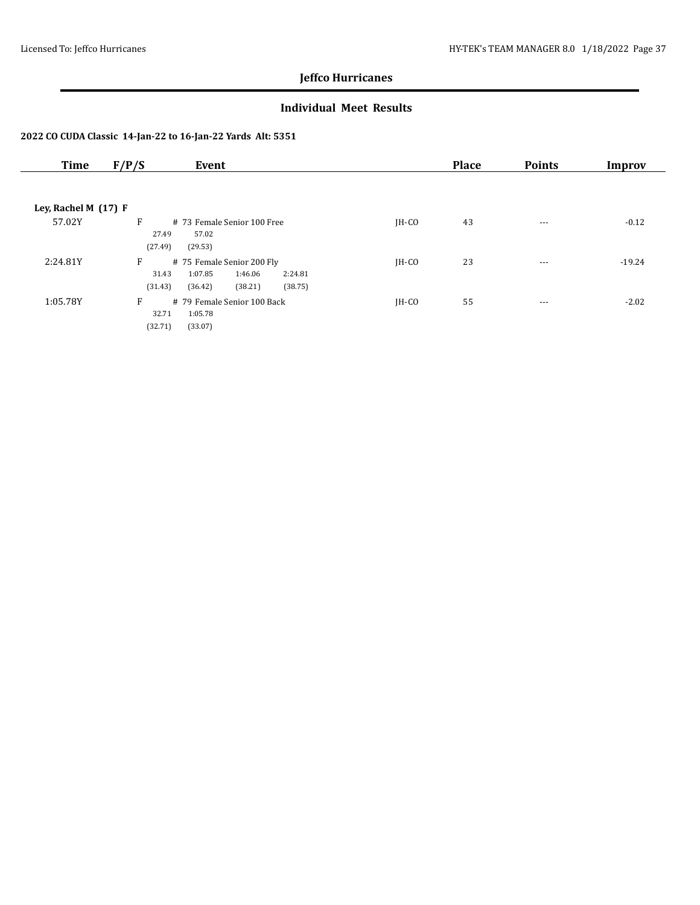### **Individual Meet Results**

| <b>Time</b>            | F/P/S<br>Event                                                                                                        |         | <b>Place</b> | <b>Points</b> | Improv   |
|------------------------|-----------------------------------------------------------------------------------------------------------------------|---------|--------------|---------------|----------|
|                        |                                                                                                                       |         |              |               |          |
| Ley, Rachel M $(17)$ F |                                                                                                                       |         |              |               |          |
| 57.02Y                 | F<br># 73 Female Senior 100 Free<br>27.49<br>57.02<br>(27.49)<br>(29.53)                                              | $IH-CO$ | 43           | $---$         | $-0.12$  |
| 2:24.81Y               | F<br># 75 Female Senior 200 Fly<br>1:07.85<br>1:46.06<br>31.43<br>2:24.81<br>(31.43)<br>(36.42)<br>(38.21)<br>(38.75) | $IH-CO$ | 23           | $---$         | $-19.24$ |
| 1:05.78Y               | F<br># 79 Female Senior 100 Back<br>1:05.78<br>32.71<br>(32.71)<br>(33.07)                                            | $IH-CO$ | 55           | $\cdots$      | $-2.02$  |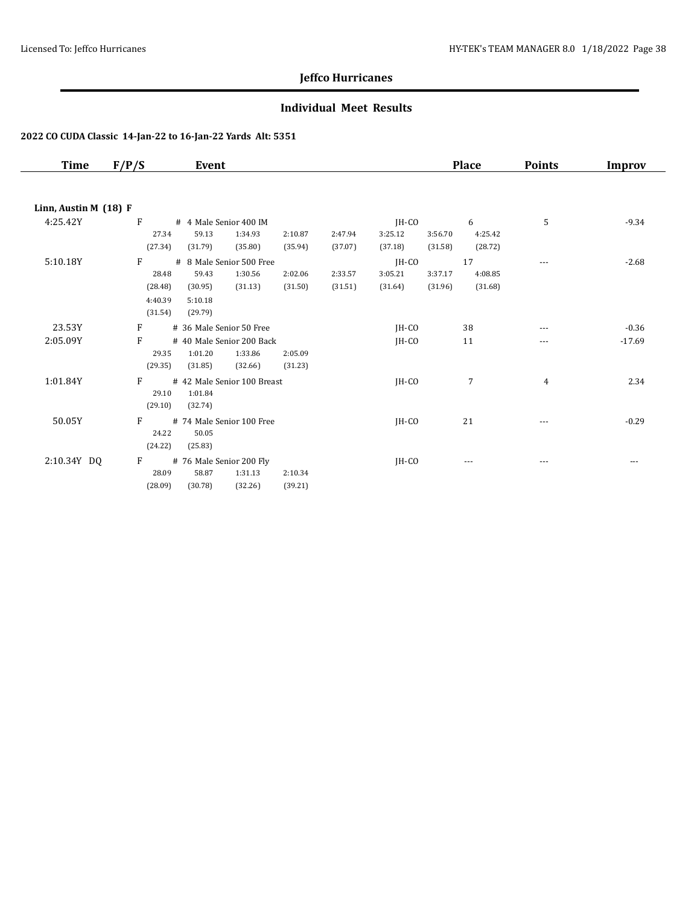### **Individual Meet Results**

| Time                  | F/P/S   | Event                       |         |         |         |         | <b>Place</b> | <b>Points</b> | Improv   |
|-----------------------|---------|-----------------------------|---------|---------|---------|---------|--------------|---------------|----------|
|                       |         |                             |         |         |         |         |              |               |          |
| Linn, Austin M (18) F |         |                             |         |         |         |         |              |               |          |
| 4:25.42Y              | F       | # 4 Male Senior 400 IM      |         |         | IH-CO   |         | 6            | 5             | $-9.34$  |
|                       | 27.34   | 59.13<br>1:34.93            | 2:10.87 | 2:47.94 | 3:25.12 | 3:56.70 | 4:25.42      |               |          |
|                       | (27.34) | (35.80)<br>(31.79)          | (35.94) | (37.07) | (37.18) | (31.58) | (28.72)      |               |          |
| 5:10.18Y              | F       | # 8 Male Senior 500 Free    |         |         | $IH-CO$ |         | 17           | $---$         | $-2.68$  |
|                       | 28.48   | 59.43<br>1:30.56            | 2:02.06 | 2:33.57 | 3:05.21 | 3:37.17 | 4:08.85      |               |          |
|                       | (28.48) | (31.13)<br>(30.95)          | (31.50) | (31.51) | (31.64) | (31.96) | (31.68)      |               |          |
|                       | 4:40.39 | 5:10.18                     |         |         |         |         |              |               |          |
|                       | (31.54) | (29.79)                     |         |         |         |         |              |               |          |
| 23.53Y                | F       | # 36 Male Senior 50 Free    |         |         | $IH-CO$ |         | 38           |               | $-0.36$  |
| 2:05.09Y              | F       | # 40 Male Senior 200 Back   |         |         | IH-CO   |         | 11           | ---           | $-17.69$ |
|                       | 29.35   | 1:01.20<br>1:33.86          | 2:05.09 |         |         |         |              |               |          |
|                       | (29.35) | (31.85)<br>(32.66)          | (31.23) |         |         |         |              |               |          |
| 1:01.84Y              | F       | # 42 Male Senior 100 Breast |         |         | JH-CO   |         | 7            | 4             | 2.34     |
|                       | 29.10   | 1:01.84                     |         |         |         |         |              |               |          |
|                       | (29.10) | (32.74)                     |         |         |         |         |              |               |          |
| 50.05Y                | F       | # 74 Male Senior 100 Free   |         |         | JH-CO   |         | 21           | $---$         | $-0.29$  |
|                       | 24.22   | 50.05                       |         |         |         |         |              |               |          |
|                       | (24.22) | (25.83)                     |         |         |         |         |              |               |          |
| 2:10.34Y DQ           | F       | # 76 Male Senior 200 Fly    |         |         | JH-CO   |         |              |               |          |
|                       | 28.09   | 58.87<br>1:31.13            | 2:10.34 |         |         |         |              |               |          |
|                       | (28.09) | (30.78)<br>(32.26)          | (39.21) |         |         |         |              |               |          |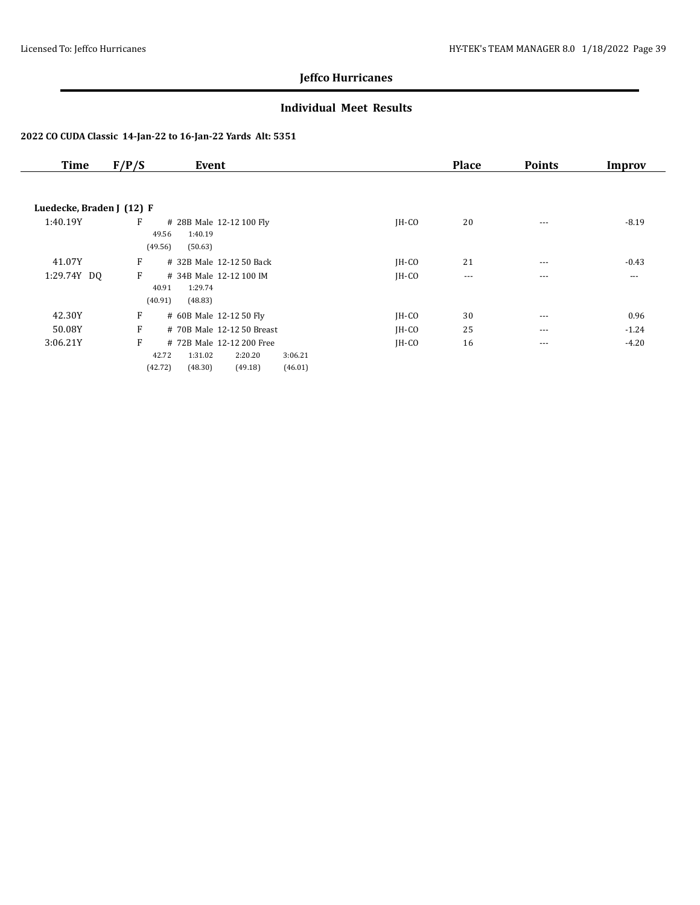### **Individual Meet Results**

| <b>Time</b>               | F/P/S<br>Event                              |                                                                       |         | <b>Place</b> | <b>Points</b> | Improv  |
|---------------------------|---------------------------------------------|-----------------------------------------------------------------------|---------|--------------|---------------|---------|
|                           |                                             |                                                                       |         |              |               |         |
| Luedecke, Braden J (12) F |                                             |                                                                       |         |              |               |         |
| 1:40.19Y                  | F<br>1:40.19<br>49.56<br>(49.56)<br>(50.63) | # 28B Male 12-12 100 Fly                                              | $IH-CO$ | 20           | $---$         | $-8.19$ |
| 41.07Y                    | F                                           | # 32B Male 12-12 50 Back                                              | $IH-CO$ | 21           | $---$         | $-0.43$ |
| 1:29.74Y DQ               | F<br>1:29.74<br>40.91<br>(40.91)<br>(48.83) | # 34B Male 12-12 100 IM                                               | $IH-CO$ | $---$        | ---           | $---$   |
| 42.30Y                    | F                                           | # 60B Male 12-12 50 Fly                                               | JH-CO   | 30           | $\cdots$      | 0.96    |
| 50.08Y                    | F                                           | # 70B Male 12-12 50 Breast                                            | JH-CO   | 25           | $---$         | $-1.24$ |
| 3:06.21Y                  | F<br>42.72<br>1:31.02<br>(42.72)<br>(48.30) | # 72B Male 12-12 200 Free<br>3:06.21<br>2:20.20<br>(49.18)<br>(46.01) | $IH-CO$ | 16           | ---           | $-4.20$ |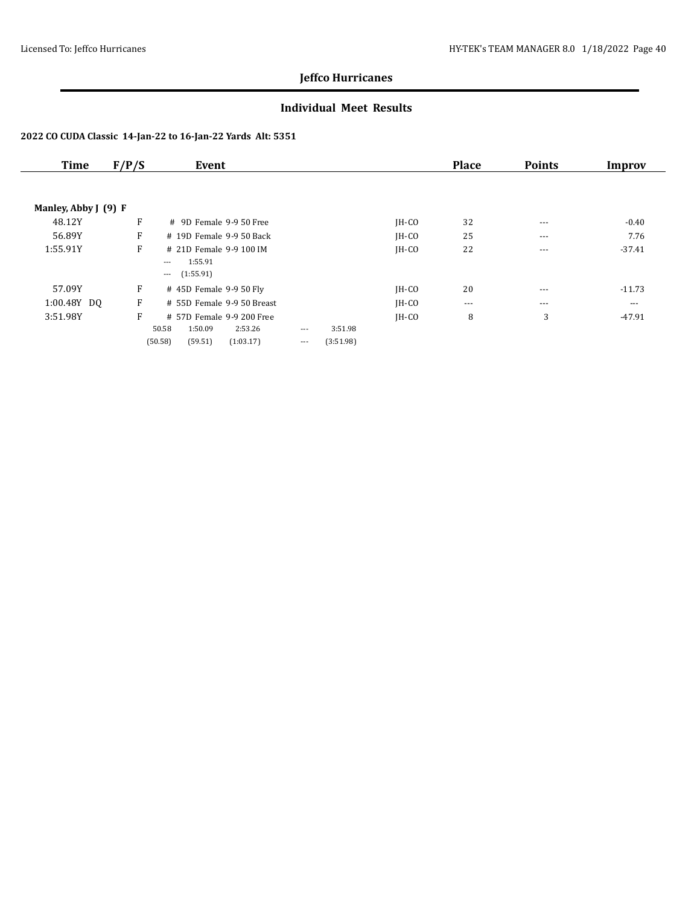### **Individual Meet Results**

|                      | Event                                                                |                  |          |           | <b>Place</b> | <b>Points</b>        | Improv   |
|----------------------|----------------------------------------------------------------------|------------------|----------|-----------|--------------|----------------------|----------|
|                      |                                                                      |                  |          |           |              |                      |          |
| Manley, Abby J (9) F |                                                                      |                  |          |           |              |                      |          |
| F                    | # 9D Female 9-9 50 Free                                              |                  |          | $IH-CO$   | 32           | $\cdots$             | $-0.40$  |
| F                    | # 19D Female 9-9 50 Back                                             |                  |          | $IH-CO$   | 25           | $- - -$              | 7.76     |
| F                    | # 21D Female 9-9 100 IM<br>1:55.91<br>$---$<br>(1:55.91)<br>$\cdots$ |                  |          | $IH-CO$   | 22           | $- - -$              | $-37.41$ |
| F                    | # 45D Female 9-9 50 Fly                                              |                  |          | $IH-CO$   | 20           | $\cdots$             | $-11.73$ |
| F                    | # 55D Female 9-9 50 Breast                                           |                  |          | $IH-CO$   | $\cdots$     | $- - -$              | $--$     |
| F                    | # 57D Female 9-9 200 Free<br>1:50.09<br>2:53.26                      | $\cdots$         | 3:51.98  | $IH-CO$   | 8            | 3                    | $-47.91$ |
|                      |                                                                      | 50.58<br>(59.51) | $\cdots$ | (3:51.98) |              | (50.58)<br>(1:03.17) |          |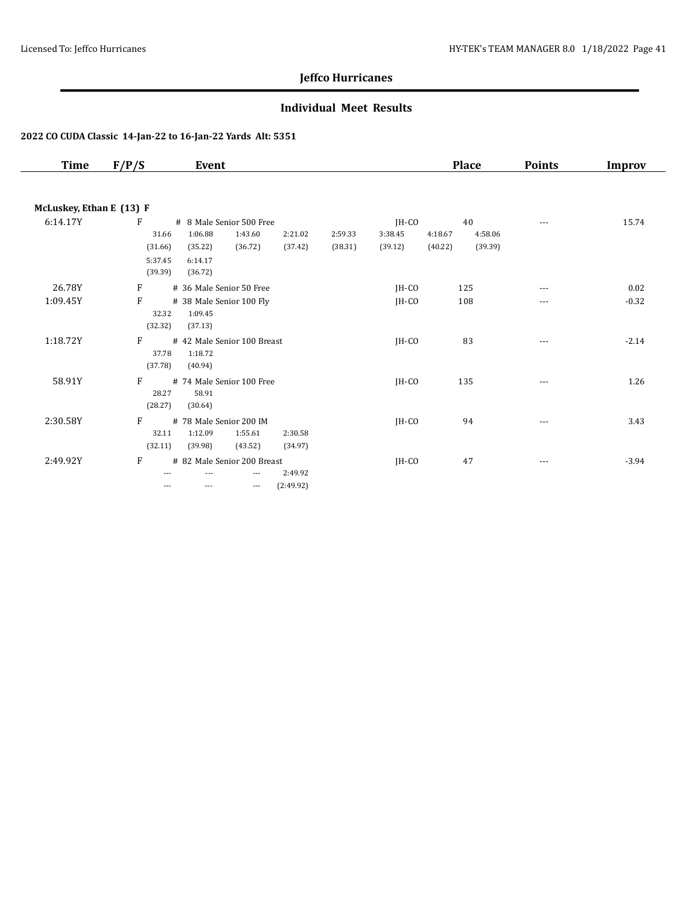### **Individual Meet Results**

| Time                     | F/P/S                                       | Event                                                                                      |                      |                    |                             | <b>Place</b>                                   | <b>Points</b> | <b>Improv</b> |
|--------------------------|---------------------------------------------|--------------------------------------------------------------------------------------------|----------------------|--------------------|-----------------------------|------------------------------------------------|---------------|---------------|
| McLuskey, Ethan E (13) F |                                             |                                                                                            |                      |                    |                             |                                                |               |               |
| 6:14.17Y                 | F<br>31.66<br>(31.66)<br>5:37.45<br>(39.39) | # 8 Male Senior 500 Free<br>1:06.88<br>1:43.60<br>(36.72)<br>(35.22)<br>6:14.17<br>(36.72) | 2:21.02<br>(37.42)   | 2:59.33<br>(38.31) | JH-CO<br>3:38.45<br>(39.12) | 40<br>4:18.67<br>4:58.06<br>(39.39)<br>(40.22) | $---$         | 15.74         |
| 26.78Y                   | F                                           | # 36 Male Senior 50 Free                                                                   |                      |                    | JH-CO                       | 125                                            | ---           | 0.02          |
| 1:09.45Y                 | F<br>32.32<br>(32.32)                       | # 38 Male Senior 100 Fly<br>1:09.45<br>(37.13)                                             |                      |                    | IH-CO                       | 108                                            | ---           | $-0.32$       |
| 1:18.72Y                 | F<br>37.78<br>(37.78)                       | # 42 Male Senior 100 Breast<br>1:18.72<br>(40.94)                                          |                      |                    | $IH-CO$                     | 83                                             | $---$         | $-2.14$       |
| 58.91Y                   | F<br>28.27<br>(28.27)                       | # 74 Male Senior 100 Free<br>58.91<br>(30.64)                                              |                      |                    | $IH-CO$                     | 135                                            |               | 1.26          |
| 2:30.58Y                 | F<br>32.11<br>(32.11)                       | # 78 Male Senior 200 IM<br>1:12.09<br>1:55.61<br>(39.98)<br>(43.52)                        | 2:30.58<br>(34.97)   |                    | $IH-CO$                     | 94                                             | ---           | 3.43          |
| 2:49.92Y                 | F<br>$---$                                  | # 82 Male Senior 200 Breast<br>$---$<br>$\qquad \qquad - -$<br>$---$                       | 2:49.92<br>(2:49.92) |                    | $IH-CO$                     | 47                                             | ---           | $-3.94$       |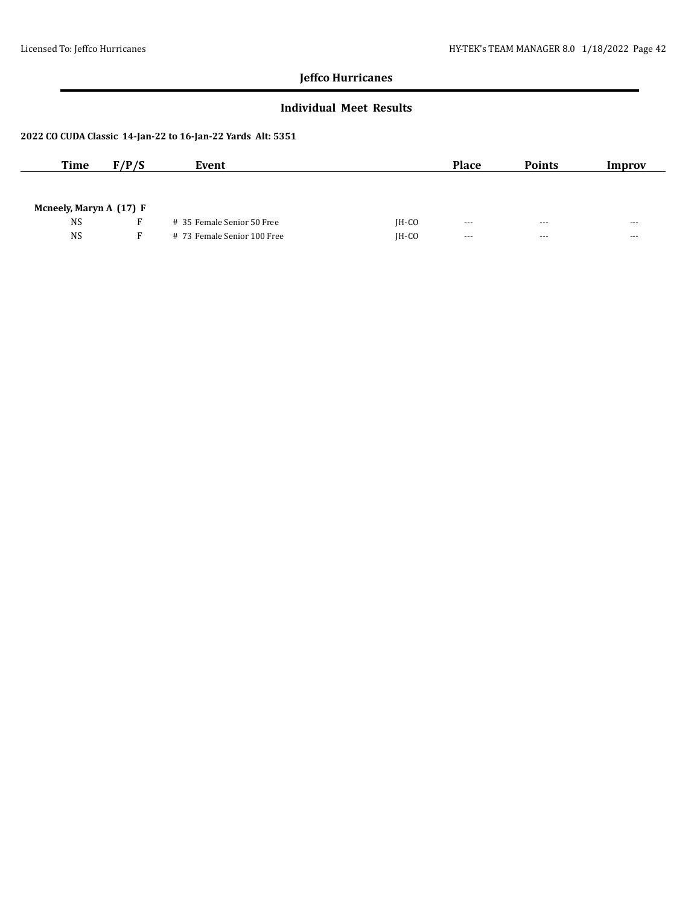### **Individual Meet Results**

| <b>Time</b>             | F/P/S | Event                       |         | <b>Place</b>         | <b>Points</b> | Improv               |
|-------------------------|-------|-----------------------------|---------|----------------------|---------------|----------------------|
|                         |       |                             |         |                      |               |                      |
| Mcneely, Maryn A (17) F |       |                             |         |                      |               |                      |
| <b>NS</b>               |       | # 35 Female Senior 50 Free  | $IH-CO$ | $- - -$              | $- - -$       | ---                  |
| <b>NS</b>               | F.    | # 73 Female Senior 100 Free | $IH-CO$ | $\sim$ $\sim$ $\sim$ | $- - -$       | $\sim$ $\sim$ $\sim$ |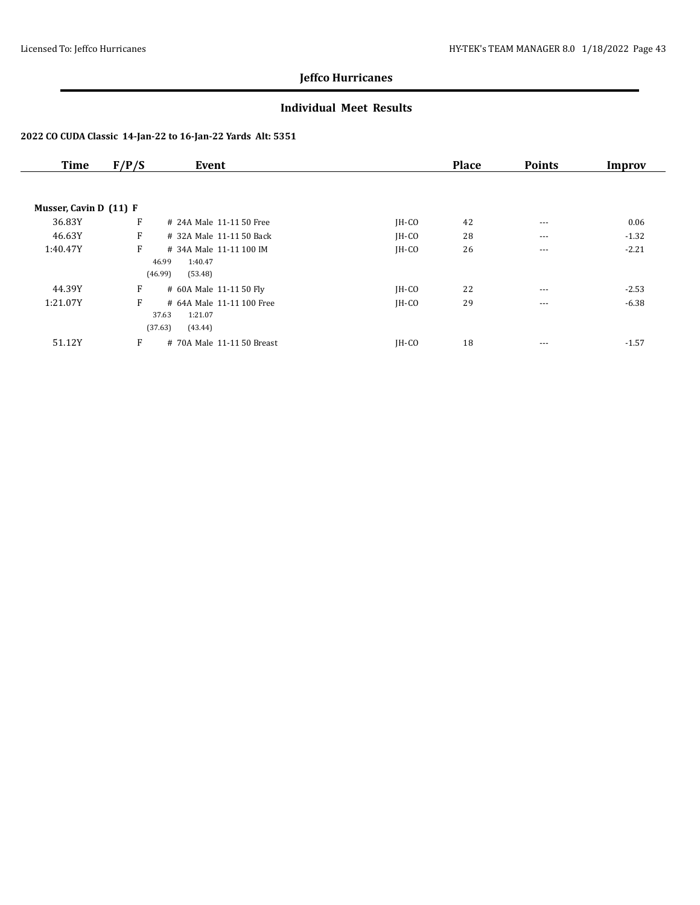### **Individual Meet Results**

| <b>Time</b>            | F/P/S | Event                      |         | <b>Place</b> | <b>Points</b> | Improv  |
|------------------------|-------|----------------------------|---------|--------------|---------------|---------|
|                        |       |                            |         |              |               |         |
| Musser, Cavin D (11) F |       |                            |         |              |               |         |
| 36.83Y                 | F     | # 24A Male 11-11 50 Free   | $IH-CO$ | 42           | $---$         | 0.06    |
| 46.63Y                 | F     | # 32A Male 11-11 50 Back   | JH-CO   | 28           | $- - -$       | $-1.32$ |
| 1:40.47Y               | F     | # 34A Male 11-11 100 IM    | $IH-CO$ | 26           | $\cdots$      | $-2.21$ |
|                        |       | 46.99<br>1:40.47           |         |              |               |         |
|                        |       | (46.99)<br>(53.48)         |         |              |               |         |
| 44.39Y                 | F     | # 60A Male 11-11 50 Fly    | $IH-CO$ | 22           | $- - -$       | $-2.53$ |
| 1:21.07Y               | F     | # 64A Male 11-11 100 Free  | $IH-CO$ | 29           | $- - -$       | $-6.38$ |
|                        |       | 1:21.07<br>37.63           |         |              |               |         |
|                        |       | (37.63)<br>(43.44)         |         |              |               |         |
| 51.12Y                 | F     | # 70A Male 11-11 50 Breast | IH-CO   | 18           | $- - -$       | $-1.57$ |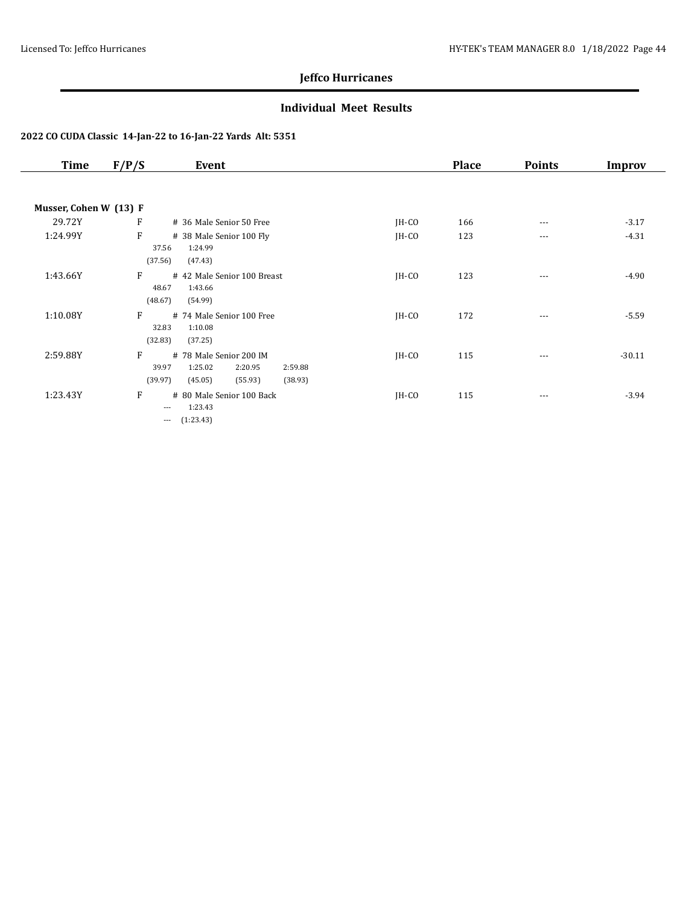### **Individual Meet Results**

| Time                   | F/P/S                  | Event                                                                                     |         | <b>Place</b> | <b>Points</b> | Improv   |
|------------------------|------------------------|-------------------------------------------------------------------------------------------|---------|--------------|---------------|----------|
|                        |                        |                                                                                           |         |              |               |          |
| Musser, Cohen W (13) F |                        |                                                                                           |         |              |               |          |
| 29.72Y                 | F                      | # 36 Male Senior 50 Free                                                                  | $IH-CO$ | 166          | $---$         | $-3.17$  |
| 1:24.99Y               | F<br>37.56             | # 38 Male Senior 100 Fly<br>1:24.99                                                       | JH-CO   | 123          | $\cdots$      | $-4.31$  |
|                        | (37.56)                | (47.43)                                                                                   |         |              |               |          |
| 1:43.66Y               | F<br>48.67<br>(48.67)  | # 42 Male Senior 100 Breast<br>1:43.66<br>(54.99)                                         | $IH-CO$ | 123          | $\cdots$      | $-4.90$  |
| 1:10.08Y               | F<br>32.83<br>(32.83)  | # 74 Male Senior 100 Free<br>1:10.08<br>(37.25)                                           | $IH-CO$ | 172          | $\cdots$      | $-5.59$  |
| 2:59.88Y               | F<br>39.97<br>(39.97)  | # 78 Male Senior 200 IM<br>1:25.02<br>2:20.95<br>2:59.88<br>(45.05)<br>(55.93)<br>(38.93) | JH-CO   | 115          | ---           | $-30.11$ |
| 1:23.43Y               | F<br>$\cdots$<br>$---$ | # 80 Male Senior 100 Back<br>1:23.43<br>(1:23.43)                                         | IH-CO   | 115          | $\cdots$      | $-3.94$  |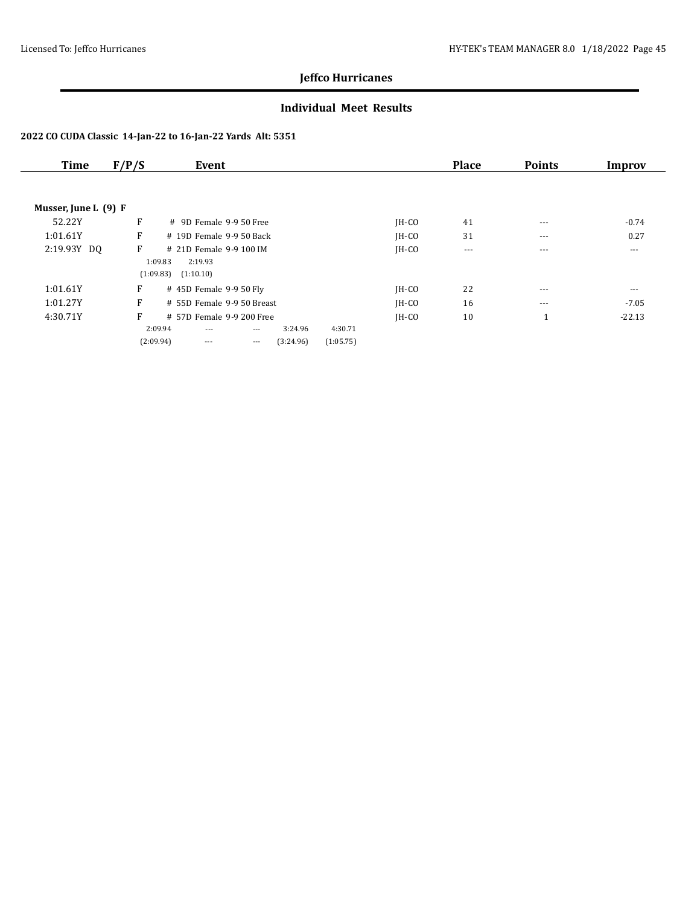### **Individual Meet Results**

| Time                 | F/P/S | Event                      |          |           |           |         | <b>Place</b> | <b>Points</b> | Improv   |
|----------------------|-------|----------------------------|----------|-----------|-----------|---------|--------------|---------------|----------|
|                      |       |                            |          |           |           |         |              |               |          |
| Musser, June L (9) F |       |                            |          |           |           |         |              |               |          |
| 52.22Y               | F     | $\#$ 9D Female 9-9.50 Free |          |           |           | $IH-CO$ | 41           | $--$          | $-0.74$  |
| 1:01.61Y             | F     | # 19D Female 9-9 50 Back   |          |           |           | IH-CO   | 31           | ---           | 0.27     |
| 2:19.93Y DQ          | F     | # 21D Female 9-9 100 IM    |          |           |           | $IH-CO$ | $\cdots$     | $---$         | $\cdots$ |
|                      |       | 1:09.83<br>2:19.93         |          |           |           |         |              |               |          |
|                      |       | (1:09.83)<br>(1:10.10)     |          |           |           |         |              |               |          |
| 1:01.61Y             | F     | # 45D Female 9-9 50 Fly    |          |           |           | $IH-CO$ | 22           | $---$         | $---$    |
| 1:01.27Y             | F     | # 55D Female 9-9 50 Breast |          |           |           | $IH-CO$ | 16           | $- - -$       | $-7.05$  |
| 4:30.71Y             | F     | # 57D Female 9-9 200 Free  |          |           |           | IH-CO   | 10           | 1             | $-22.13$ |
|                      |       | 2:09.94<br>$---$           | $\cdots$ | 3:24.96   | 4:30.71   |         |              |               |          |
|                      |       | (2:09.94)<br>$---$         | $\cdots$ | (3:24.96) | (1:05.75) |         |              |               |          |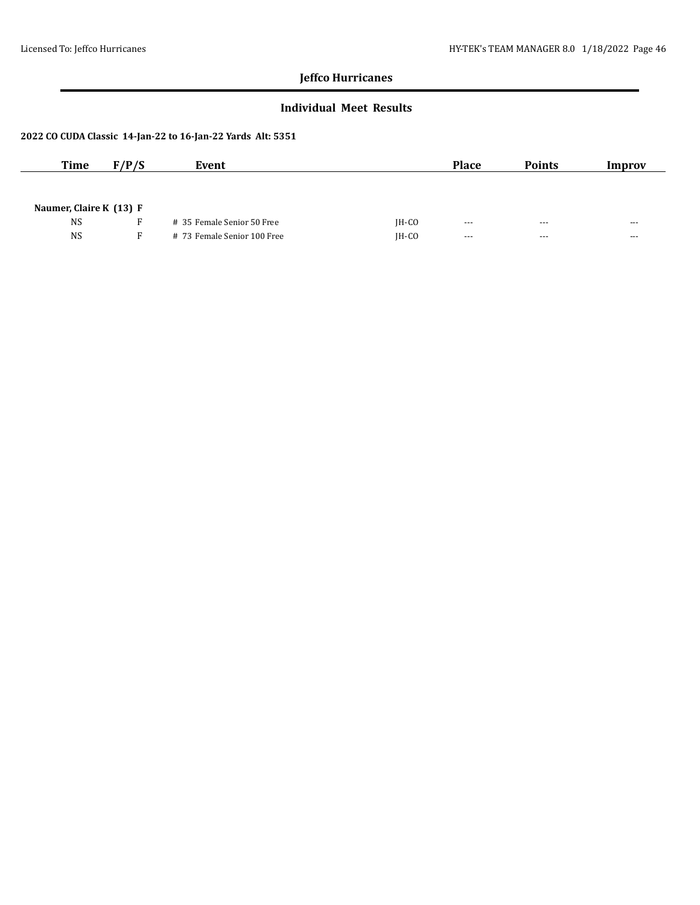### **Individual Meet Results**

| <b>Time</b>             | F/P/S | Event                       |         | <b>Place</b>         | <b>Points</b> | Improv               |
|-------------------------|-------|-----------------------------|---------|----------------------|---------------|----------------------|
|                         |       |                             |         |                      |               |                      |
| Naumer, Claire K (13) F |       |                             |         |                      |               |                      |
| <b>NS</b>               |       | # 35 Female Senior 50 Free  | $IH-CO$ | $--$                 | $--$          | $- - -$              |
| <b>NS</b>               | F.    | # 73 Female Senior 100 Free | $IH-CO$ | $\sim$ $\sim$ $\sim$ | $- - -$       | $\sim$ $\sim$ $\sim$ |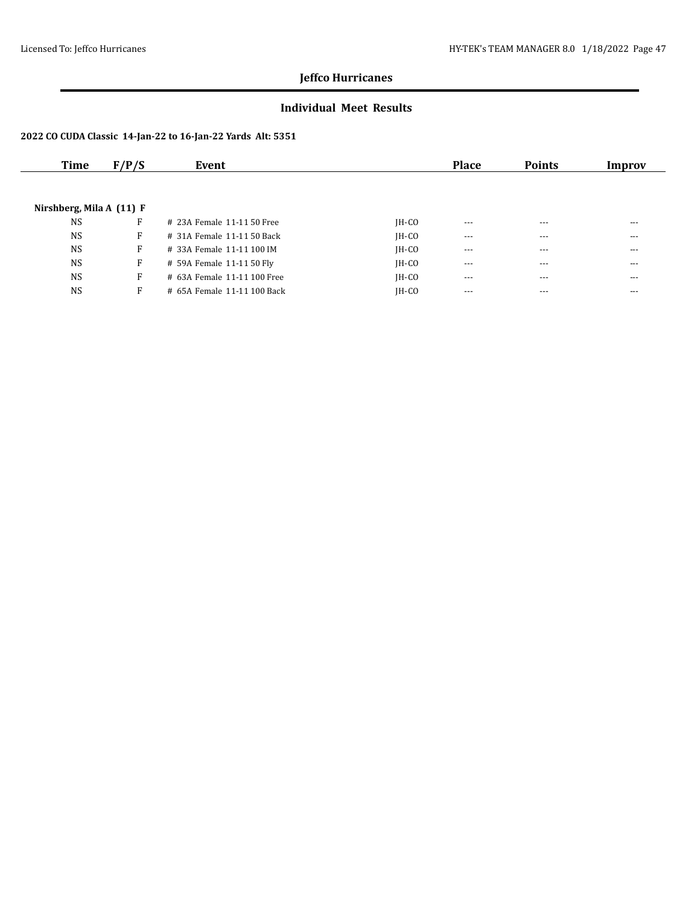### **Individual Meet Results**

| Time                       | F/P/S | Event                       |         | <b>Place</b> | <b>Points</b> | Improv |
|----------------------------|-------|-----------------------------|---------|--------------|---------------|--------|
|                            |       |                             |         |              |               |        |
| Nirshberg, Mila A $(11)$ F |       |                             |         |              |               |        |
| <b>NS</b>                  | F     | # 23A Female 11-11 50 Free  | $IH-CO$ | $- - -$      | $- - -$       | $---$  |
| <b>NS</b>                  | F     | # 31A Female 11-11 50 Back  | $IH-CO$ | $---$        | ---           | ---    |
| <b>NS</b>                  | F     | # 33A Female 11-11 100 IM   | $IH-CO$ | $- - -$      | $---$         | $---$  |
| <b>NS</b>                  | F     | # 59A Female 11-11 50 Fly   | $IH-CO$ | $---$        | $- - -$       | $---$  |
| <b>NS</b>                  | F     | # 63A Female 11-11 100 Free | $IH-CO$ | $\cdots$     | $- - -$       | $---$  |
| <b>NS</b>                  | F     | # 65A Female 11-11 100 Back | IH-CO   | $- - -$      | $- - -$       | $---$  |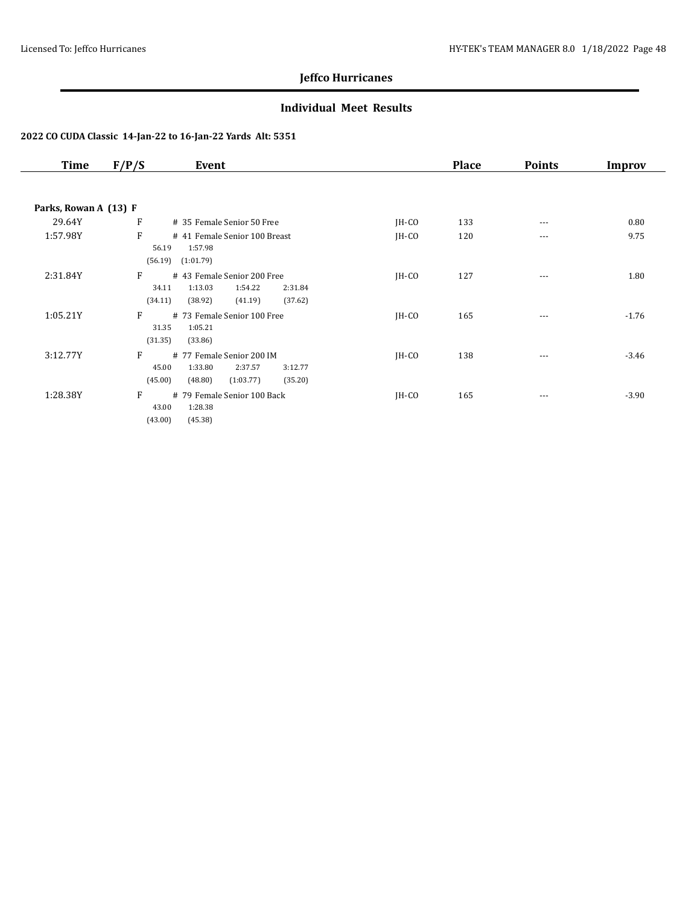### **Individual Meet Results**

| Time                  | F/P/S            | Event                                                            |         | <b>Place</b> | <b>Points</b> | Improv  |
|-----------------------|------------------|------------------------------------------------------------------|---------|--------------|---------------|---------|
|                       |                  |                                                                  |         |              |               |         |
| Parks, Rowan A (13) F |                  |                                                                  |         |              |               |         |
| 29.64Y                | F                | # 35 Female Senior 50 Free                                       | $IH-CO$ | 133          | $- - -$       | 0.80    |
| 1:57.98Y              | F                | # 41 Female Senior 100 Breast                                    | $IH-CO$ | 120          | $---$         | 9.75    |
|                       | 56.19            | 1:57.98                                                          |         |              |               |         |
|                       | (56.19)          | (1:01.79)                                                        |         |              |               |         |
| 2:31.84Y              | F                | # 43 Female Senior 200 Free                                      | $IH-CO$ | 127          | $\cdots$      | 1.80    |
|                       | 34.11            | 1:13.03<br>1:54.22<br>2:31.84                                    |         |              |               |         |
|                       | (34.11)          | (41.19)<br>(37.62)<br>(38.92)                                    |         |              |               |         |
| 1:05.21Y              | F                | # 73 Female Senior 100 Free                                      | $IH-CO$ | 165          | $- - -$       | $-1.76$ |
|                       | 31.35<br>(31.35) | 1:05.21                                                          |         |              |               |         |
|                       |                  | (33.86)                                                          |         |              |               |         |
| 3:12.77Y              | F<br>45.00       | # 77 Female Senior 200 IM                                        | $IH-CO$ | 138          | ---           | $-3.46$ |
|                       | (45.00)          | 1:33.80<br>2:37.57<br>3:12.77<br>(48.80)<br>(1:03.77)<br>(35.20) |         |              |               |         |
|                       |                  |                                                                  |         |              |               |         |
| 1:28.38Y              | F<br>43.00       | # 79 Female Senior 100 Back<br>1:28.38                           | $IH-CO$ | 165          | $\cdots$      | $-3.90$ |
|                       | (43.00)          | (45.38)                                                          |         |              |               |         |
|                       |                  |                                                                  |         |              |               |         |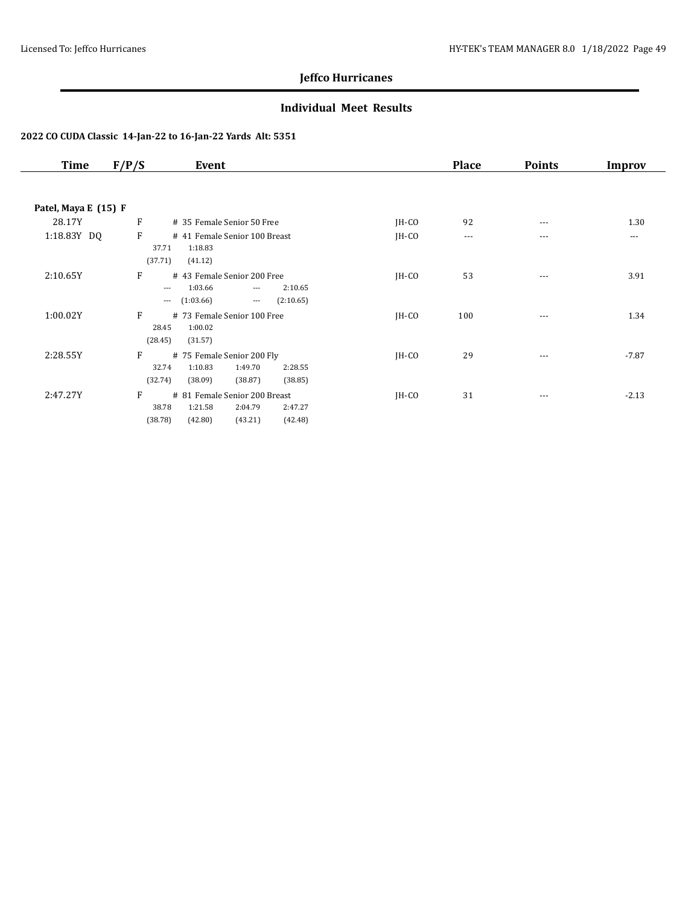### **Individual Meet Results**

| Time                 | F/P/S                                | Event                                                                                                     |         | <b>Place</b> | <b>Points</b> | Improv  |
|----------------------|--------------------------------------|-----------------------------------------------------------------------------------------------------------|---------|--------------|---------------|---------|
|                      |                                      |                                                                                                           |         |              |               |         |
| Patel, Maya E (15) F |                                      |                                                                                                           |         |              |               |         |
| 28.17Y               | F                                    | # 35 Female Senior 50 Free                                                                                | $IH-CO$ | 92           | $- - -$       | 1.30    |
| 1:18.83Y DQ          | F<br>37.71                           | # 41 Female Senior 100 Breast<br>1:18.83                                                                  | $IH-CO$ | $---$        | $---$         | $- - -$ |
| 2:10.65Y             | (37.71)<br>F<br>$\cdots$<br>$\cdots$ | (41.12)<br># 43 Female Senior 200 Free<br>1:03.66<br>2:10.65<br>$  -$<br>(1:03.66)<br>(2:10.65)<br>$\sim$ | $IH-CO$ | 53           | $- - -$       | 3.91    |
| 1:00.02Y             | F<br>28.45<br>(28.45)                | # 73 Female Senior 100 Free<br>1:00.02<br>(31.57)                                                         | $IH-CO$ | 100          | $- - -$       | 1.34    |
| 2:28.55Y             | F<br>32.74<br>(32.74)                | # 75 Female Senior 200 Fly<br>1:49.70<br>1:10.83<br>2:28.55<br>(38.09)<br>(38.87)<br>(38.85)              | $IH-CO$ | 29           | ---           | $-7.87$ |
| 2:47.27Y             | F<br>38.78<br>(38.78)                | # 81 Female Senior 200 Breast<br>1:21.58<br>2:04.79<br>2:47.27<br>(42.80)<br>(43.21)<br>(42.48)           | $IH-CO$ | 31           | $\cdots$      | $-2.13$ |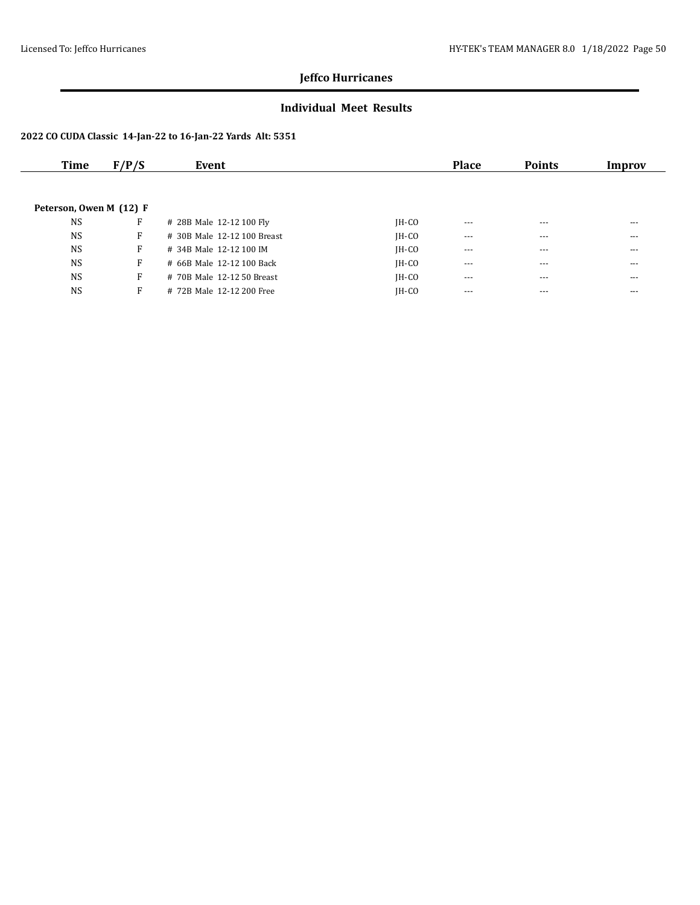### **Individual Meet Results**

| Time                    | F/P/S | Event                       |         | <b>Place</b> | <b>Points</b> | Improv |
|-------------------------|-------|-----------------------------|---------|--------------|---------------|--------|
|                         |       |                             |         |              |               |        |
|                         |       |                             |         |              |               |        |
| Peterson, Owen M (12) F |       |                             |         |              |               |        |
| <b>NS</b>               | F     | # 28B Male 12-12 100 Fly    | $IH-CO$ | $\cdots$     | $- - -$       | $---$  |
| <b>NS</b>               | F     | # 30B Male 12-12 100 Breast | $IH-CO$ | $- - -$      | $- - -$       | $---$  |
| <b>NS</b>               | F     | # 34B Male 12-12 100 IM     | $IH-CO$ | $---$        | $- - -$       | $---$  |
| <b>NS</b>               | F     | # 66B Male 12-12 100 Back   | $IH-CO$ | $- - -$      | $- - -$       | $---$  |
| <b>NS</b>               | F     | # 70B Male 12-12 50 Breast  | $IH-CO$ | $---$        | ---           | ---    |
| <b>NS</b>               | F     | # 72B Male 12-12 200 Free   | $IH-CO$ | $- - -$      | $- - -$       | $---$  |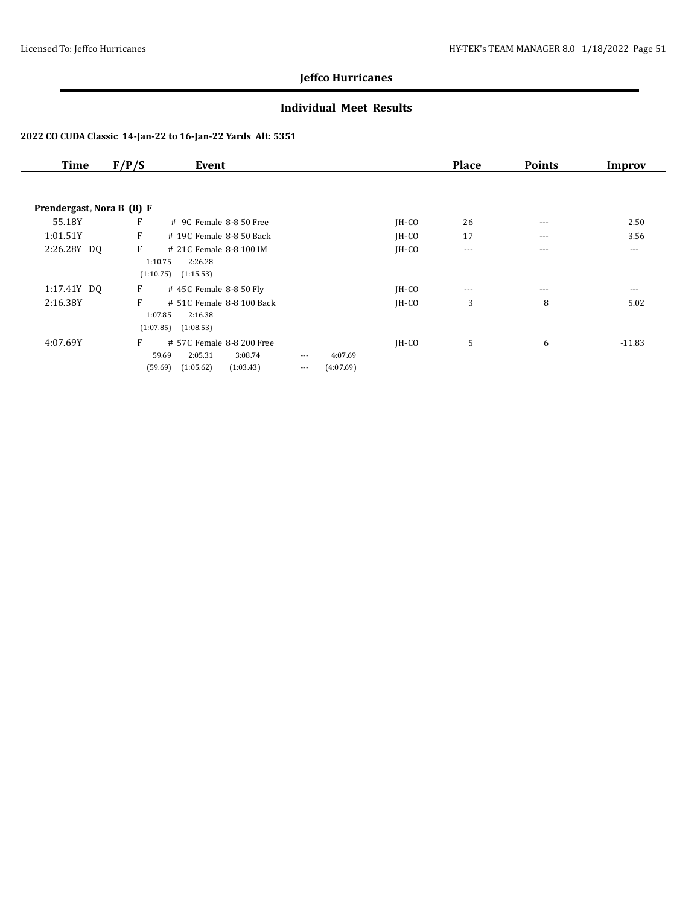### **Individual Meet Results**

| <b>Time</b>               | F/P/S | Event                             |          |           |         | <b>Place</b> | <b>Points</b> | Improv   |
|---------------------------|-------|-----------------------------------|----------|-----------|---------|--------------|---------------|----------|
| Prendergast, Nora B (8) F |       |                                   |          |           |         |              |               |          |
| 55.18Y                    | F     | # 9C Female 8-8 50 Free           |          |           | $IH-CO$ | 26           | $---$         | 2.50     |
| 1:01.51Y                  | F     | # 19C Female 8-8 50 Back          |          |           | JH-CO   | 17           | $\cdots$      | 3.56     |
| 2:26.28Y DO               | F     | # 21C Female 8-8 100 IM           |          |           | IH-CO   | $\cdots$     | $---$         | $--$     |
|                           |       | 2:26.28<br>1:10.75                |          |           |         |              |               |          |
|                           |       | (1:10.75)<br>(1:15.53)            |          |           |         |              |               |          |
| 1:17.41Y DQ               | F     | # 45C Female 8-8 50 Fly           |          |           | $IH-CO$ | $\cdots$     | $---$         | $\cdots$ |
| 2:16.38Y                  | F     | # 51C Female 8-8 100 Back         |          |           | $IH-CO$ | 3            | 8             | 5.02     |
|                           |       | 1:07.85<br>2:16.38                |          |           |         |              |               |          |
|                           |       | (1:07.85)<br>(1:08.53)            |          |           |         |              |               |          |
| 4:07.69Y                  | F     | # 57C Female 8-8 200 Free         |          |           | $IH-CO$ | 5            | 6             | $-11.83$ |
|                           |       | 2:05.31<br>3:08.74<br>59.69       | $\cdots$ | 4:07.69   |         |              |               |          |
|                           |       | (59.69)<br>(1:05.62)<br>(1:03.43) | $\cdots$ | (4:07.69) |         |              |               |          |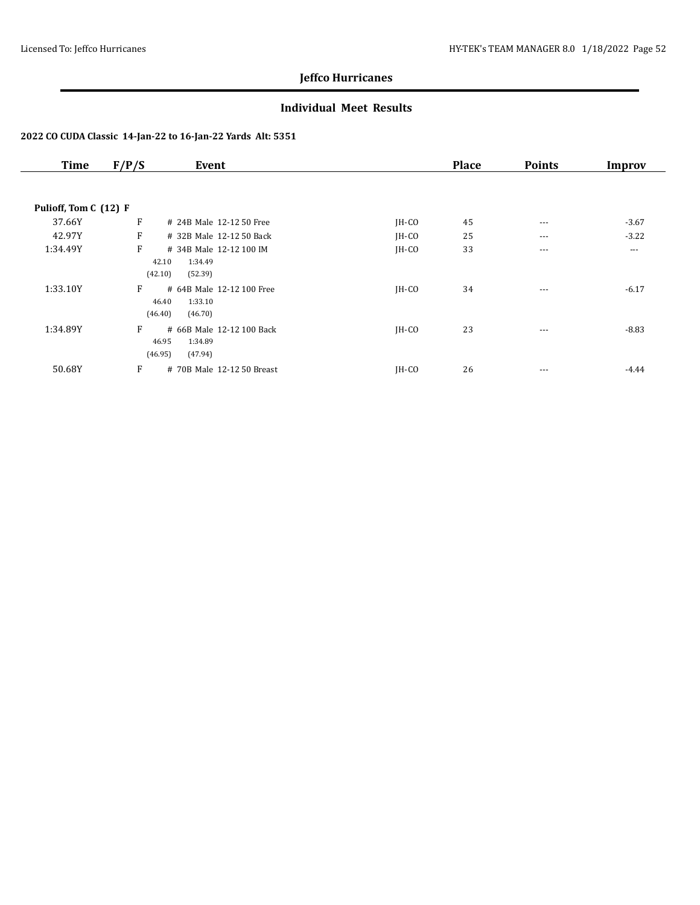### **Individual Meet Results**

| <b>Time</b>           | F/P/S                 | Event                                           |         | <b>Place</b> | <b>Points</b> | Improv  |
|-----------------------|-----------------------|-------------------------------------------------|---------|--------------|---------------|---------|
| Pulioff, Tom C (12) F |                       |                                                 |         |              |               |         |
| 37.66Y                | F                     | # 24B Male 12-12 50 Free                        | JH-CO   | 45           | $\cdots$      | $-3.67$ |
| 42.97Y                | F                     | # 32B Male 12-12 50 Back                        | $IH-CO$ | 25           | $\cdots$      | $-3.22$ |
| 1:34.49Y              | F<br>42.10<br>(42.10) | # 34B Male 12-12 100 IM<br>1:34.49<br>(52.39)   | JH-CO   | 33           | $- - -$       | $---$   |
| 1:33.10Y              | F<br>46.40<br>(46.40) | # 64B Male 12-12 100 Free<br>1:33.10<br>(46.70) | $IH-CO$ | 34           | $--$          | $-6.17$ |
| 1:34.89Y              | F<br>46.95<br>(46.95) | # 66B Male 12-12 100 Back<br>1:34.89<br>(47.94) | $IH-CO$ | 23           | $---$         | $-8.83$ |
| 50.68Y                | F                     | # 70B Male 12-12 50 Breast                      | $IH-CO$ | 26           | $\cdots$      | $-4.44$ |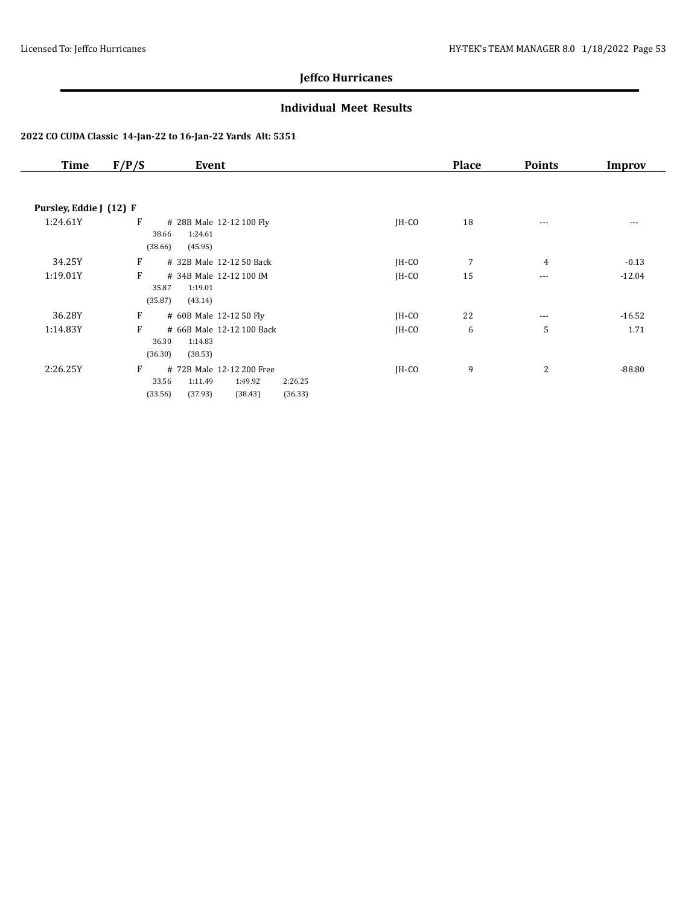### **Individual Meet Results**

| <b>Time</b>             | F/P/S<br>Event                                                                                                       |         | <b>Place</b> | <b>Points</b> | Improv   |
|-------------------------|----------------------------------------------------------------------------------------------------------------------|---------|--------------|---------------|----------|
|                         |                                                                                                                      |         |              |               |          |
| Pursley, Eddie J (12) F |                                                                                                                      |         |              |               |          |
| 1:24.61Y                | F<br># 28B Male 12-12 100 Fly<br>1:24.61<br>38.66<br>(38.66)<br>(45.95)                                              | $IH-CO$ | 18           | $---$         | $---$    |
| 34.25Y                  | F<br># 32B Male 12-12 50 Back                                                                                        | $IH-CO$ | 7            | 4             | $-0.13$  |
| 1:19.01Y                | F<br># 34B Male 12-12 100 IM<br>35.87<br>1:19.01<br>(35.87)<br>(43.14)                                               | $IH-CO$ | 15           | $\cdots$      | $-12.04$ |
| 36.28Y                  | F<br># 60B Male 12-12 50 Fly                                                                                         | JH-CO   | 22           | $\cdots$      | $-16.52$ |
| 1:14.83Y                | F<br># 66B Male 12-12 100 Back<br>1:14.83<br>36.30<br>(36.30)<br>(38.53)                                             | $IH-CO$ | 6            | 5             | 1.71     |
| 2:26.25Y                | F<br># 72B Male 12-12 200 Free<br>33.56<br>1:11.49<br>1:49.92<br>2:26.25<br>(33.56)<br>(37.93)<br>(38.43)<br>(36.33) | $IH-CO$ | 9            | 2             | $-88.80$ |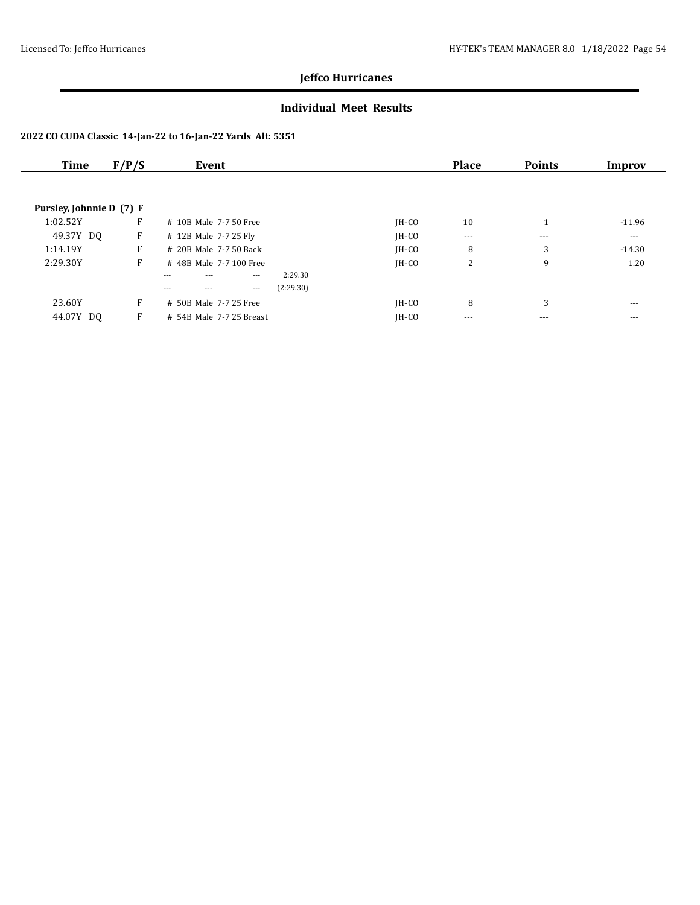### **Individual Meet Results**

| Time                     | F/P/S | Event                                 |         | <b>Place</b> | <b>Points</b> | Improv   |
|--------------------------|-------|---------------------------------------|---------|--------------|---------------|----------|
|                          |       |                                       |         |              |               |          |
| Pursley, Johnnie D (7) F |       |                                       |         |              |               |          |
| 1:02.52Y                 | F     | # 10B Male 7-7 50 Free                | $IH-CO$ | 10           | 1             | $-11.96$ |
| 49.37Y DQ                | F     | # 12B Male 7-7 25 Fly                 | IH-CO   | $\cdots$     | $---$         | $---$    |
| 1:14.19Y                 | F     | # 20B Male 7-7 50 Back                | $IH-CO$ | 8            | 3             | $-14.30$ |
| 2:29.30Y                 | F     | #48B Male 7-7 100 Free                | $IH-CO$ | 2            | 9             | 1.20     |
|                          |       | 2:29.30<br>$\cdots$<br>$---$          |         |              |               |          |
|                          |       | (2:29.30)<br>$\cdots$<br>$---$<br>--- |         |              |               |          |
| 23.60Y                   | F     | # 50B Male 7-7 25 Free                | $IH-CO$ | 8            | 3             | $---$    |
| 44.07Y DO                | F     | # 54B Male 7-7 25 Breast              | IH-CO   | $---$        | ---           | $---$    |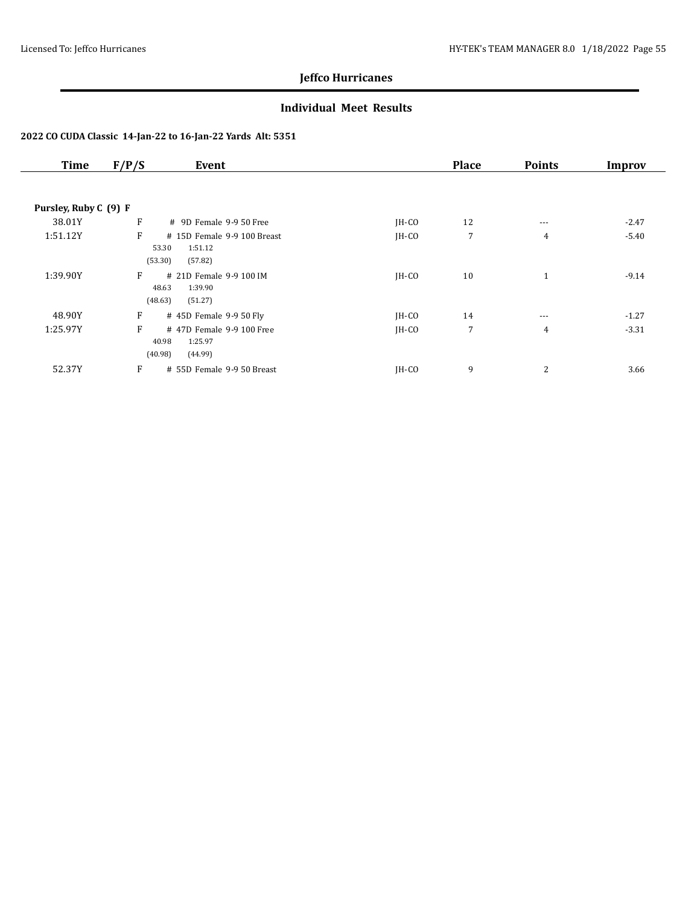### **Individual Meet Results**

| <b>Time</b>           | F/P/S<br>Event                                                             |         | <b>Place</b> | <b>Points</b>  | Improv  |
|-----------------------|----------------------------------------------------------------------------|---------|--------------|----------------|---------|
|                       |                                                                            |         |              |                |         |
| Pursley, Ruby C (9) F |                                                                            |         |              |                |         |
| 38.01Y                | F<br># 9D Female 9-9 50 Free                                               | $IH-CO$ | 12           | $---$          | $-2.47$ |
| 1:51.12Y              | F<br># 15D Female 9-9 100 Breast<br>1:51.12<br>53.30<br>(53.30)<br>(57.82) | $IH-CO$ | 7            | $\overline{4}$ | $-5.40$ |
| 1:39.90Y              | F<br># 21D Female 9-9 100 IM<br>48.63<br>1:39.90<br>(48.63)<br>(51.27)     | JH-CO   | 10           | $\mathbf{1}$   | $-9.14$ |
| 48.90Y                | F<br># 45D Female 9-9 50 Fly                                               | $IH-CO$ | 14           | $---$          | $-1.27$ |
| 1:25.97Y              | F<br>#47D Female 9-9 100 Free<br>40.98<br>1:25.97<br>(40.98)<br>(44.99)    | $IH-CO$ | 7            | $\overline{4}$ | $-3.31$ |
| 52.37Y                | F<br># 55D Female 9-9 50 Breast                                            | JH-CO   | 9            | $\overline{2}$ | 3.66    |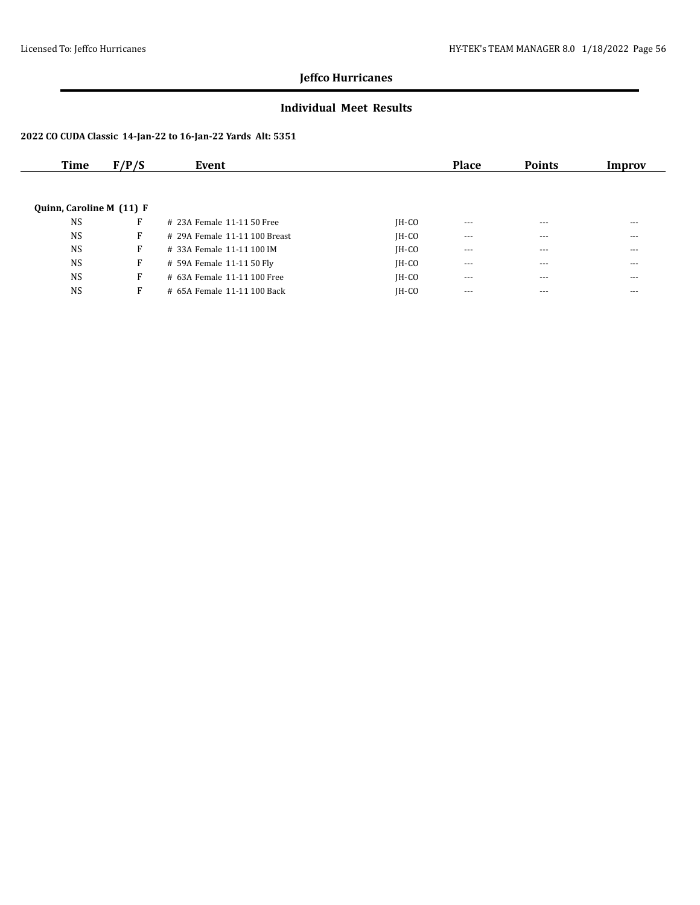### **Individual Meet Results**

| Time                     | F/P/S | Event                         |         | <b>Place</b> | <b>Points</b> | Improv  |
|--------------------------|-------|-------------------------------|---------|--------------|---------------|---------|
|                          |       |                               |         |              |               |         |
|                          |       |                               |         |              |               |         |
| Quinn, Caroline M (11) F |       |                               |         |              |               |         |
| <b>NS</b>                | F     | # 23A Female 11-11 50 Free    | $IH-CO$ | $---$        | $- - -$       | ---     |
| <b>NS</b>                | F     | # 29A Female 11-11 100 Breast | $IH-CO$ | $\cdots$     | $\cdots$      | $- - -$ |
| <b>NS</b>                | F     | # 33A Female 11-11 100 IM     | $IH-CO$ | ---          | $- - -$       | ---     |
| <b>NS</b>                | F     | # 59A Female 11-11 50 Fly     | $IH-CO$ | $\cdots$     | $\cdots$      | $- - -$ |
| <b>NS</b>                | F     | # 63A Female 11-11 100 Free   | $IH-CO$ | $---$        | ---           | ---     |
| <b>NS</b>                | F     | # 65A Female 11-11 100 Back   | $IH-CO$ | $---$        | $- - -$       | ---     |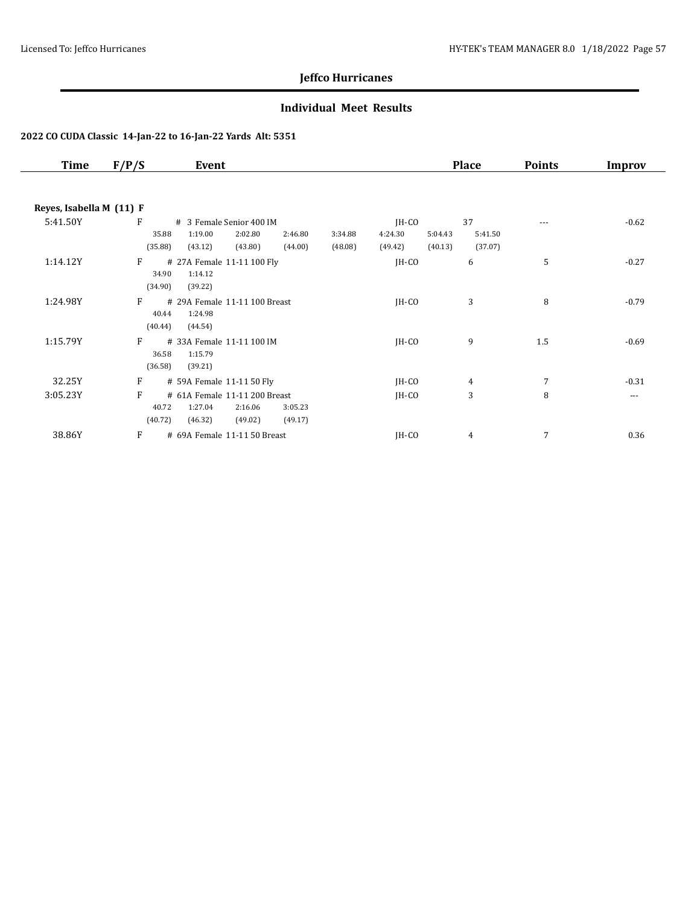### **Individual Meet Results**

| <b>Time</b> | F/P/S                    | Event                                                                     |                    |                    |                               |                    | <b>Place</b>             | <b>Points</b>  | Improv   |  |  |  |
|-------------|--------------------------|---------------------------------------------------------------------------|--------------------|--------------------|-------------------------------|--------------------|--------------------------|----------------|----------|--|--|--|
|             | Reyes, Isabella M (11) F |                                                                           |                    |                    |                               |                    |                          |                |          |  |  |  |
| 5:41.50Y    | F<br>35.88<br>(35.88)    | # 3 Female Senior 400 IM<br>1:19.00<br>2:02.80<br>(43.12)<br>(43.80)      | 2:46.80<br>(44.00) | 3:34.88<br>(48.08) | $IH-CO$<br>4:24.30<br>(49.42) | 5:04.43<br>(40.13) | 37<br>5:41.50<br>(37.07) |                | $-0.62$  |  |  |  |
| 1:14.12Y    | F<br>34.90<br>(34.90)    | # 27A Female 11-11 100 Fly<br>1:14.12<br>(39.22)                          |                    |                    | $IH-CO$                       |                    | 6                        | 5              | $-0.27$  |  |  |  |
| 1:24.98Y    | F<br>40.44<br>(40.44)    | # 29A Female 11-11 100 Breast<br>1:24.98<br>(44.54)                       |                    |                    | JH-CO                         |                    | 3                        | 8              | $-0.79$  |  |  |  |
| 1:15.79Y    | F<br>36.58<br>(36.58)    | # 33A Female 11-11 100 IM<br>1:15.79<br>(39.21)                           |                    |                    | $IH-CO$                       |                    | 9                        | 1.5            | $-0.69$  |  |  |  |
| 32.25Y      | F                        | # 59A Female 11-11 50 Fly                                                 |                    |                    | $IH-CO$                       |                    | 4                        | $\overline{7}$ | $-0.31$  |  |  |  |
| 3:05.23Y    | F<br>40.72<br>(40.72)    | # 61A Female 11-11 200 Breast<br>1:27.04<br>2:16.06<br>(46.32)<br>(49.02) | 3:05.23<br>(49.17) |                    | JH-CO                         |                    | 3                        | 8              | $\cdots$ |  |  |  |
| 38.86Y      | F                        | # 69A Female 11-11 50 Breast                                              |                    |                    | JH-CO                         |                    | 4                        | 7              | 0.36     |  |  |  |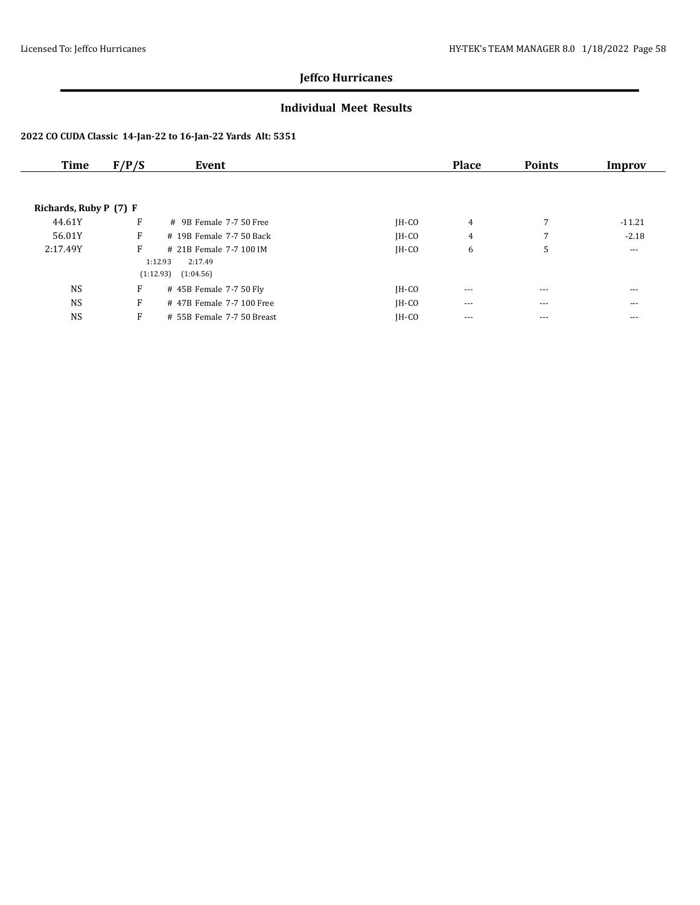### **Individual Meet Results**

| Time                   | F/P/S | Event                      |         | <b>Place</b> | <b>Points</b> | Improv   |
|------------------------|-------|----------------------------|---------|--------------|---------------|----------|
|                        |       |                            |         |              |               |          |
| Richards, Ruby P (7) F |       |                            |         |              |               |          |
| 44.61Y                 | F     | $\#$ 9B Female 7-7.50 Free | $IH-CO$ | 4            | 7             | $-11.21$ |
| 56.01Y                 | F     | # 19B Female 7-7 50 Back   | $IH-CO$ | 4            | 7             | $-2.18$  |
| 2:17.49Y               | F     | # 21B Female 7-7 100 IM    | $IH-CO$ | 6            | 5             | $\cdots$ |
|                        |       | 1:12.93<br>2:17.49         |         |              |               |          |
|                        |       | (1:12.93)<br>(1:04.56)     |         |              |               |          |
| <b>NS</b>              | F     | # 45B Female 7-7 50 Fly    | $IH-CO$ | $---$        | $- - -$       | $- - -$  |
| <b>NS</b>              | F     | #47B Female 7-7 100 Free   | $IH-CO$ | $---$        | $---$         | $---$    |
| <b>NS</b>              | F     | # 55B Female 7-7 50 Breast | $IH-CO$ | ---          | $--$          | $---$    |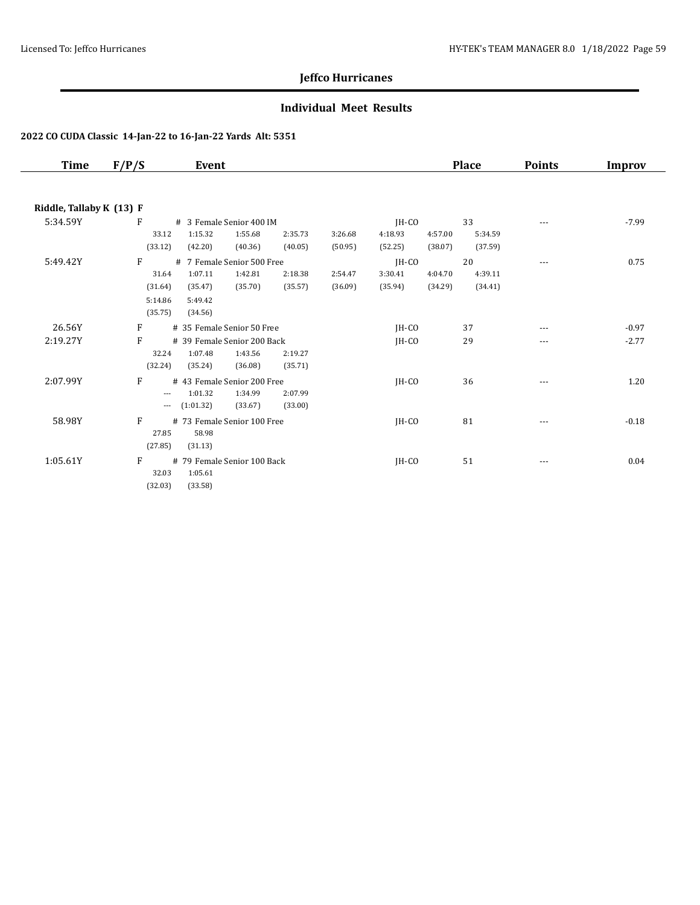### **Individual Meet Results**

| Time                     | F/P/S    | Event                       |         |         |         |         |         | <b>Place</b> | <b>Points</b>        | Improv  |
|--------------------------|----------|-----------------------------|---------|---------|---------|---------|---------|--------------|----------------------|---------|
|                          |          |                             |         |         |         |         |         |              |                      |         |
| Riddle, Tallaby K (13) F |          |                             |         |         |         |         |         |              |                      |         |
| 5:34.59Y                 | F        | # 3 Female Senior 400 IM    |         |         |         | IH-CO   |         | 33           |                      | $-7.99$ |
|                          | 33.12    | 1:15.32                     | 1:55.68 | 2:35.73 | 3:26.68 | 4:18.93 | 4:57.00 | 5:34.59      |                      |         |
|                          | (33.12)  | (42.20)                     | (40.36) | (40.05) | (50.95) | (52.25) | (38.07) | (37.59)      |                      |         |
| 5:49.42Y                 | F        | # 7 Female Senior 500 Free  |         |         |         | JH-CO   |         | 20           | $\sim$ $\sim$ $\sim$ | 0.75    |
|                          | 31.64    | 1:07.11                     | 1:42.81 | 2:18.38 | 2:54.47 | 3:30.41 | 4:04.70 | 4:39.11      |                      |         |
|                          | (31.64)  | (35.47)                     | (35.70) | (35.57) | (36.09) | (35.94) | (34.29) | (34.41)      |                      |         |
|                          | 5:14.86  | 5:49.42                     |         |         |         |         |         |              |                      |         |
|                          | (35.75)  | (34.56)                     |         |         |         |         |         |              |                      |         |
| 26.56Y                   | F        | # 35 Female Senior 50 Free  |         |         |         | $IH-CO$ |         | 37           |                      | $-0.97$ |
| 2:19.27Y                 | F        | # 39 Female Senior 200 Back |         |         |         | IH-CO   |         | 29           | ---                  | $-2.77$ |
|                          | 32.24    | 1:07.48                     | 1:43.56 | 2:19.27 |         |         |         |              |                      |         |
|                          | (32.24)  | (35.24)                     | (36.08) | (35.71) |         |         |         |              |                      |         |
| 2:07.99Y                 | F        | # 43 Female Senior 200 Free |         |         |         | $IH-CO$ |         | 36           | $---$                | 1.20    |
|                          | $---$    | 1:01.32                     | 1:34.99 | 2:07.99 |         |         |         |              |                      |         |
|                          | $\cdots$ | (1:01.32)                   | (33.67) | (33.00) |         |         |         |              |                      |         |
| 58.98Y                   | F        | # 73 Female Senior 100 Free |         |         |         | IH-CO   |         | 81           | ---                  | $-0.18$ |
|                          | 27.85    | 58.98                       |         |         |         |         |         |              |                      |         |
|                          | (27.85)  | (31.13)                     |         |         |         |         |         |              |                      |         |
| 1:05.61Y                 | F        | # 79 Female Senior 100 Back |         |         |         | IH-CO   |         | 51           | $---$                | 0.04    |
|                          | 32.03    | 1:05.61                     |         |         |         |         |         |              |                      |         |
|                          | (32.03)  | (33.58)                     |         |         |         |         |         |              |                      |         |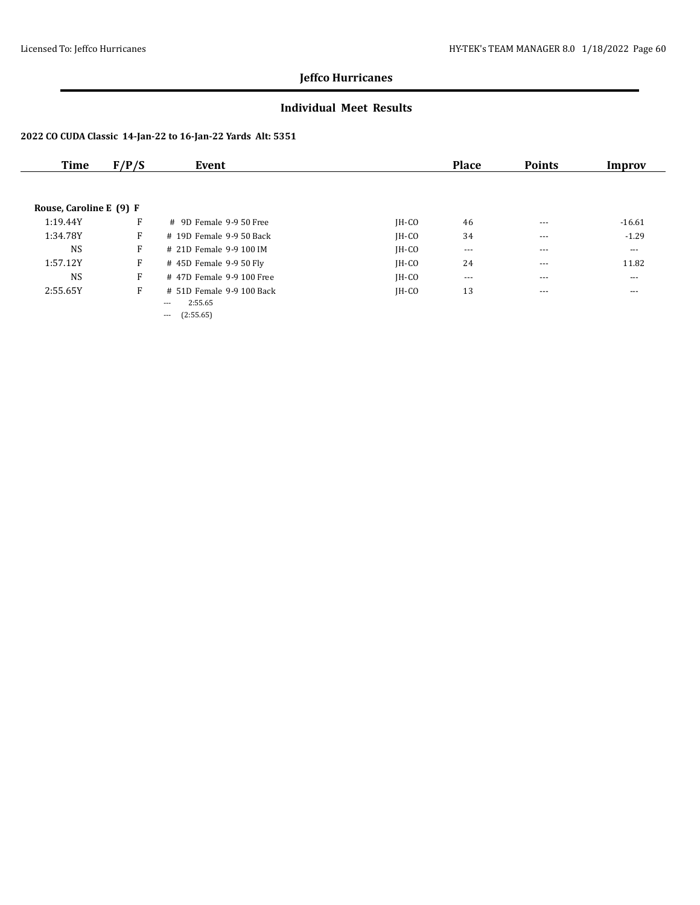### **Individual Meet Results**

| Time                    | F/P/S | Event                      |         | <b>Place</b> | <b>Points</b> | Improv               |
|-------------------------|-------|----------------------------|---------|--------------|---------------|----------------------|
|                         |       |                            |         |              |               |                      |
| Rouse, Caroline E (9) F |       |                            |         |              |               |                      |
| 1:19.44Y                | F     | # 9D Female 9-9 50 Free    | $IH-CO$ | 46           | $- - -$       | $-16.61$             |
| 1:34.78Y                | F     | $#$ 19D Female 9-9.50 Back | $IH-CO$ | 34           | $- - -$       | $-1.29$              |
| <b>NS</b>               | F     | # 21D Female 9-9 100 IM    | $IH-CO$ | $\cdots$     | $- - -$       | $\sim$ $\sim$ $\sim$ |
| 1:57.12Y                | F     | $\#$ 45D Female 9-9 50 Fly | $IH-CO$ | 24           | $- - -$       | 11.82                |
| <b>NS</b>               | F     | # 47D Female 9-9 100 Free  | $IH-CO$ | $\cdots$     | $\cdots$      | $  -$                |
| 2:55.65Y                | F     | # 51D Female 9-9 100 Back  | $IH-CO$ | 13           | $- - -$       | $- - -$              |
|                         |       | 2:55.65<br>---             |         |              |               |                      |
|                         |       | (2:55.65)<br>$---$         |         |              |               |                      |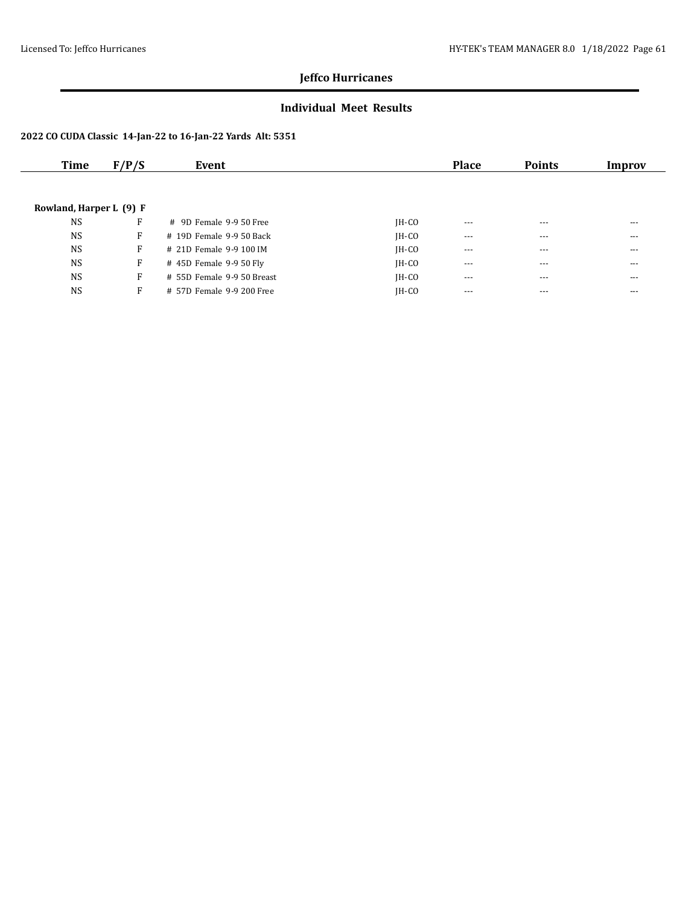### **Individual Meet Results**

| Time                    | F/P/S | Event                      |         | <b>Place</b> | <b>Points</b> | Improv   |
|-------------------------|-------|----------------------------|---------|--------------|---------------|----------|
|                         |       |                            |         |              |               |          |
|                         |       |                            |         |              |               |          |
| Rowland, Harper L (9) F |       |                            |         |              |               |          |
| <b>NS</b>               | F     | $\#$ 9D Female 9-9.50 Free | $IH-CO$ | $- - -$      | $---$         | $---$    |
| <b>NS</b>               | F     | # 19D Female 9-9 50 Back   | $IH-CO$ | $--$         | $\cdots$      | $\cdots$ |
| <b>NS</b>               | F     | # 21D Female 9-9 100 IM    | $IH-CO$ | $\cdots$     | $- - -$       | $---$    |
| <b>NS</b>               | F     | #45D Female 9-950 Fly      | $IH-CO$ | $\cdots$     | $- - -$       | $---$    |
| <b>NS</b>               | F     | # 55D Female 9-9 50 Breast | $IH-CO$ | $- - -$      | $- - -$       | $---$    |
| <b>NS</b>               | F     | # 57D Female 9-9 200 Free  | $IH-CO$ | $---$        | $- - -$       | ---      |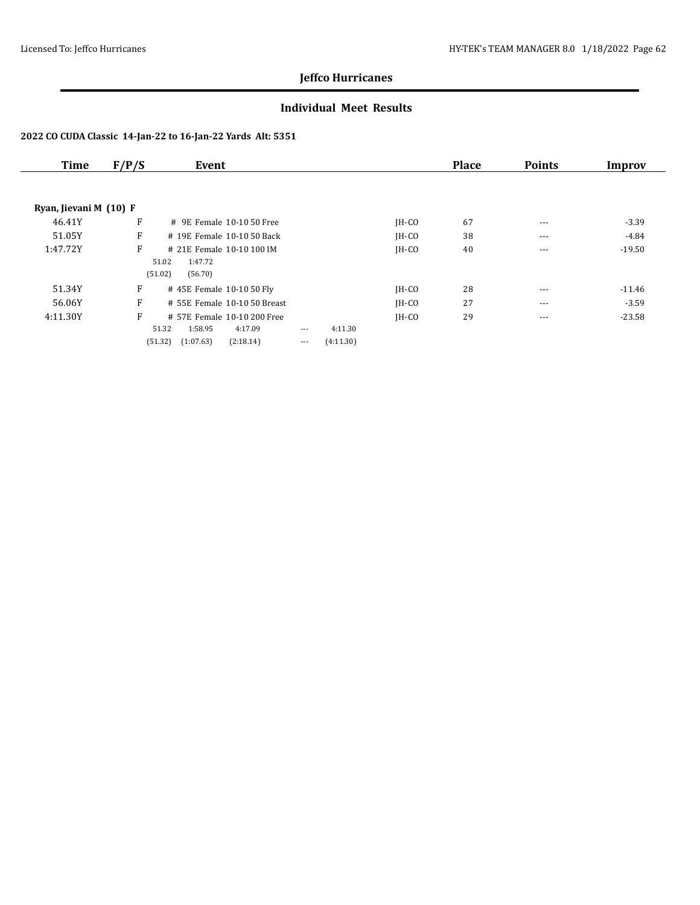### **Individual Meet Results**

| <b>Time</b>            | F/P/S | Event                        |                       |           |         | <b>Place</b> | <b>Points</b> | Improv   |
|------------------------|-------|------------------------------|-----------------------|-----------|---------|--------------|---------------|----------|
|                        |       |                              |                       |           |         |              |               |          |
| Ryan, Jievani M (10) F |       |                              |                       |           |         |              |               |          |
| 46.41Y                 | F     | # 9E Female 10-10 50 Free    |                       |           | $IH-CO$ | 67           | $--$          | $-3.39$  |
| 51.05Y                 | F     | # 19E Female 10-10 50 Back   |                       |           | $IH-CO$ | 38           | ---           | -4.84    |
| 1:47.72Y               | F     | # 21E Female 10-10 100 IM    |                       |           | $IH-CO$ | 40           | $--$          | $-19.50$ |
|                        |       | 1:47.72<br>51.02             |                       |           |         |              |               |          |
|                        |       | (51.02)<br>(56.70)           |                       |           |         |              |               |          |
| 51.34Y                 | F     | #45E Female 10-10 50 Fly     |                       |           | $IH-CO$ | 28           | $\cdots$      | $-11.46$ |
| 56.06Y                 | F     | # 55E Female 10-10 50 Breast |                       |           | $IH-CO$ | 27           | $- - -$       | $-3.59$  |
| 4:11.30Y               | F     | # 57E Female 10-10 200 Free  |                       |           | $IH-CO$ | 29           | $---$         | $-23.58$ |
|                        |       | 51.32<br>1:58.95             | 4:17.09<br>$\cdots$   | 4:11.30   |         |              |               |          |
|                        |       | (51.32)<br>(1:07.63)         | (2:18.14)<br>$\cdots$ | (4:11.30) |         |              |               |          |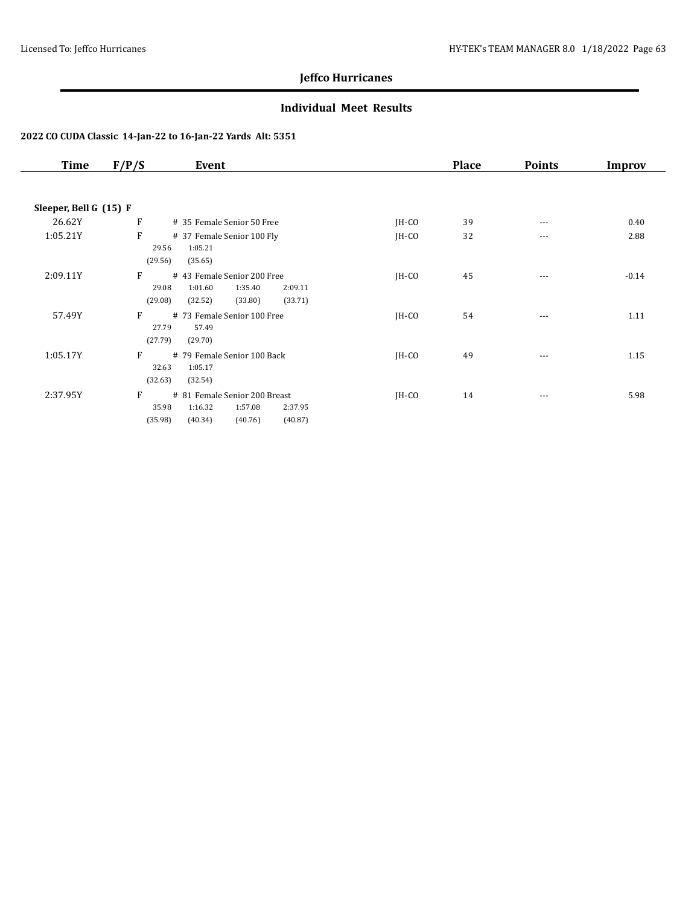### **Individual Meet Results**

| <b>Time</b>            | F/P/S            | Event                                  |         | <b>Place</b> | <b>Points</b> | Improv  |
|------------------------|------------------|----------------------------------------|---------|--------------|---------------|---------|
|                        |                  |                                        |         |              |               |         |
| Sleeper, Bell G (15) F |                  |                                        |         |              |               |         |
| 26.62Y                 | $\mathbf{F}$     | # 35 Female Senior 50 Free             | $IH-CO$ | 39           | $\cdots$      | 0.40    |
| 1:05.21Y               | F                | # 37 Female Senior 100 Fly             | $IH-CO$ | 32           | ---           | 2.88    |
|                        | 29.56            | 1:05.21                                |         |              |               |         |
|                        | (29.56)          | (35.65)                                |         |              |               |         |
| 2:09.11Y               | F                | # 43 Female Senior 200 Free            | $IH-CO$ | 45           | ---           | $-0.14$ |
|                        | 29.08            | 1:01.60<br>1:35.40<br>2:09.11          |         |              |               |         |
|                        | (29.08)          | (32.52)<br>(33.80)<br>(33.71)          |         |              |               |         |
| 57.49Y                 | F                | # 73 Female Senior 100 Free            | $IH-CO$ | 54           | $\cdots$      | 1.11    |
|                        | 27.79<br>(27.79) | 57.49<br>(29.70)                       |         |              |               |         |
|                        |                  |                                        |         |              |               |         |
| 1:05.17Y               | F<br>32.63       | # 79 Female Senior 100 Back<br>1:05.17 | $IH-CO$ | 49           | ---           | 1.15    |
|                        | (32.63)          | (32.54)                                |         |              |               |         |
| 2:37.95Y               | F                | # 81 Female Senior 200 Breast          | $IH-CO$ | 14           | $\cdots$      | 5.98    |
|                        | 35.98            | 1:16.32<br>1:57.08<br>2:37.95          |         |              |               |         |
|                        | (35.98)          | (40.34)<br>(40.76)<br>(40.87)          |         |              |               |         |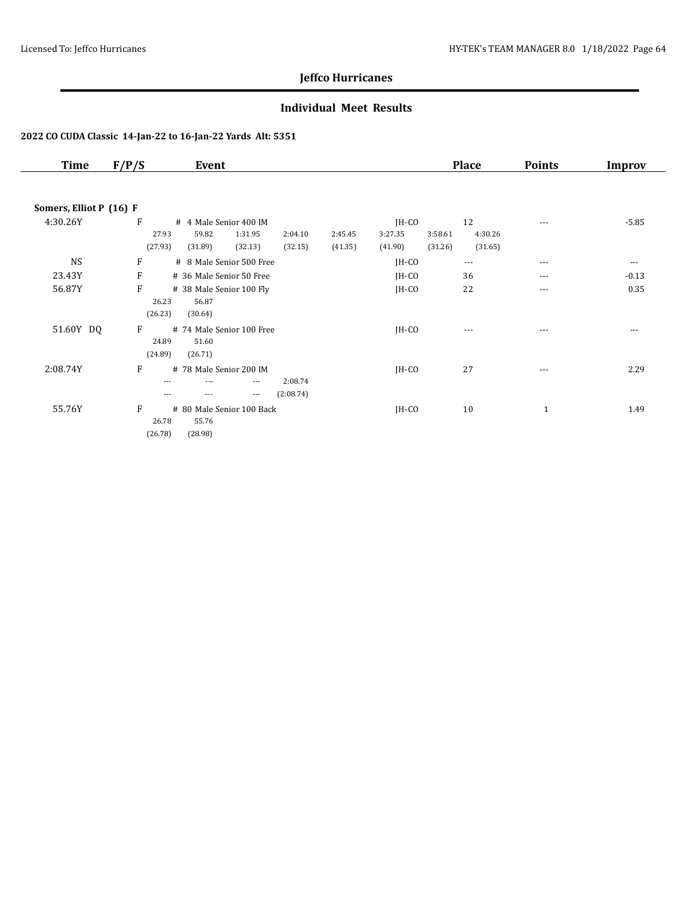### **Individual Meet Results**

| <b>Time</b>             | F/P/S   | Event                     |          |           |         |         |         | <b>Place</b> | <b>Points</b> | <b>Improv</b> |
|-------------------------|---------|---------------------------|----------|-----------|---------|---------|---------|--------------|---------------|---------------|
|                         |         |                           |          |           |         |         |         |              |               |               |
| Somers, Elliot P (16) F |         |                           |          |           |         |         |         |              |               |               |
| 4:30.26Y                | F       | # 4 Male Senior 400 IM    |          |           |         | $IH-CO$ |         | 12           | $--$          | $-5.85$       |
|                         | 27.93   | 59.82                     | 1:31.95  | 2:04.10   | 2:45.45 | 3:27.35 | 3:58.61 | 4:30.26      |               |               |
|                         | (27.93) | (31.89)                   | (32.13)  | (32.15)   | (41.35) | (41.90) | (31.26) | (31.65)      |               |               |
| <b>NS</b>               | F       | # 8 Male Senior 500 Free  |          |           |         | $IH-CO$ |         | $- - -$      | $---$         | $\cdots$      |
| 23.43Y                  | F       | # 36 Male Senior 50 Free  |          |           |         | JH-CO   |         | 36           | $\cdots$      | $-0.13$       |
| 56.87Y                  | F       | # 38 Male Senior 100 Fly  |          |           |         | $IH-CO$ |         | 22           | $---$         | 0.35          |
|                         | 26.23   | 56.87                     |          |           |         |         |         |              |               |               |
|                         | (26.23) | (30.64)                   |          |           |         |         |         |              |               |               |
| 51.60Y DQ               | F       | # 74 Male Senior 100 Free |          |           |         | $IH-CO$ |         | $---$        | $---$         | $\cdots$      |
|                         | 24.89   | 51.60                     |          |           |         |         |         |              |               |               |
|                         | (24.89) | (26.71)                   |          |           |         |         |         |              |               |               |
| 2:08.74Y                | F       | # 78 Male Senior 200 IM   |          |           |         | $IH-CO$ |         | 27           | $---$         | 2.29          |
|                         | ---     | ---                       | $---$    | 2:08.74   |         |         |         |              |               |               |
|                         | ---     | ---                       | $\cdots$ | (2:08.74) |         |         |         |              |               |               |
| 55.76Y                  | F       | # 80 Male Senior 100 Back |          |           |         | $IH-CO$ |         | 10           | $\mathbf{1}$  | 1.49          |
|                         | 26.78   | 55.76                     |          |           |         |         |         |              |               |               |
|                         | (26.78) | (28.98)                   |          |           |         |         |         |              |               |               |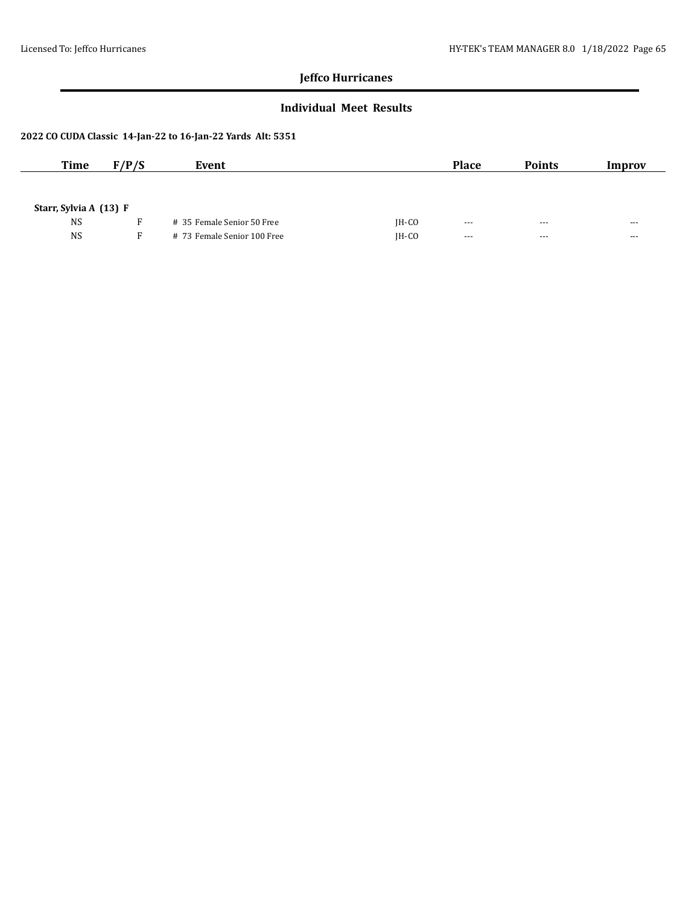### **Individual Meet Results**

| <b>Time</b>            | F/P/S | Event                       |         | <b>Place</b>         | <b>Points</b> | Improv               |
|------------------------|-------|-----------------------------|---------|----------------------|---------------|----------------------|
|                        |       |                             |         |                      |               |                      |
| Starr, Sylvia A (13) F |       |                             |         |                      |               |                      |
|                        |       |                             |         |                      |               |                      |
| <b>NS</b>              |       | # 35 Female Senior 50 Free  | $IH-CO$ | $- - -$              | $- - -$       | ---                  |
| <b>NS</b>              | F.    | # 73 Female Senior 100 Free | $IH-CO$ | $\sim$ $\sim$ $\sim$ | $- - -$       | $\sim$ $\sim$ $\sim$ |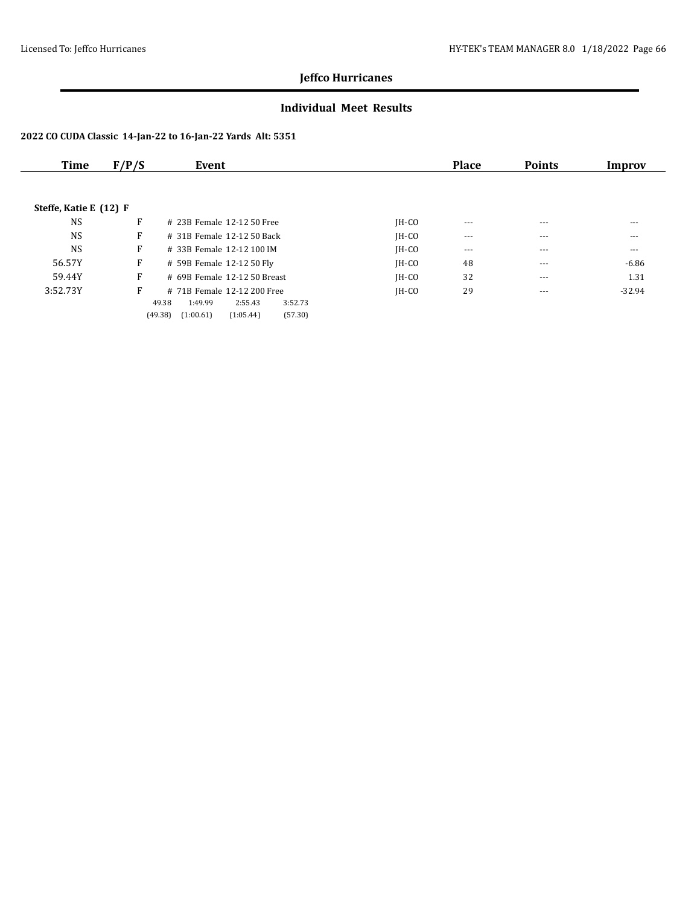### **Individual Meet Results**

| Time                   | F/P/S | Event                                                                                  |         | <b>Place</b> | <b>Points</b> | Improv   |
|------------------------|-------|----------------------------------------------------------------------------------------|---------|--------------|---------------|----------|
|                        |       |                                                                                        |         |              |               |          |
| Steffe, Katie E (12) F |       |                                                                                        |         |              |               |          |
| <b>NS</b>              | F     | # 23B Female 12-12 50 Free                                                             | $IH-CO$ | $---$        | $---$         | $---$    |
| <b>NS</b>              | F     | # 31B Female 12-12 50 Back                                                             | $IH-CO$ | $---$        | $---$         | $---$    |
| <b>NS</b>              | F     | # 33B Female 12-12 100 IM                                                              | $IH-CO$ | $\cdots$     | $---$         | $---$    |
| 56.57Y                 | F     | # 59B Female 12-12 50 Fly                                                              | $IH-CO$ | 48           | ---           | $-6.86$  |
| 59.44Y                 | F     | # 69B Female 12-12 50 Breast                                                           | $IH-CO$ | 32           | $\cdots$      | 1.31     |
| 3:52.73Y               | F     | # 71B Female 12-12 200 Free                                                            | $IH-CO$ | 29           | $---$         | $-32.94$ |
|                        |       | 49.38<br>1:49.99<br>2:55.43<br>3:52.73<br>(57.30)<br>(49.38)<br>(1:00.61)<br>(1:05.44) |         |              |               |          |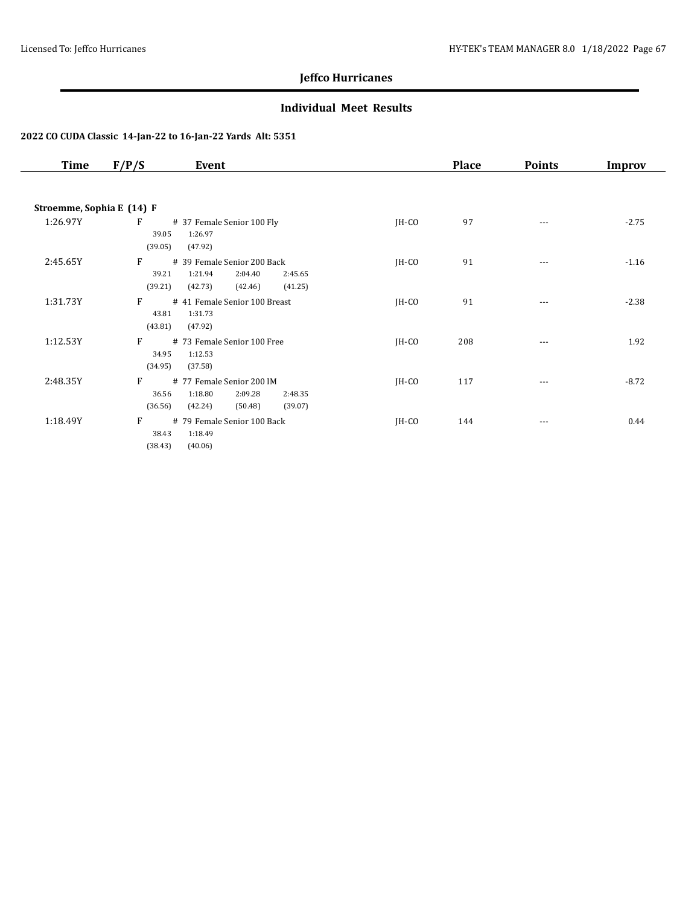### **Individual Meet Results**

| Time                      | F/P/S<br>Event                                                                                                         |         | <b>Place</b> | <b>Points</b> | Improv  |
|---------------------------|------------------------------------------------------------------------------------------------------------------------|---------|--------------|---------------|---------|
|                           |                                                                                                                        |         |              |               |         |
| Stroemme, Sophia E (14) F |                                                                                                                        |         |              |               |         |
| 1:26.97Y                  | F<br># 37 Female Senior 100 Fly<br>1:26.97<br>39.05<br>(39.05)<br>(47.92)                                              | $IH-CO$ | 97           | ---           | $-2.75$ |
| 2:45.65Y                  | F<br># 39 Female Senior 200 Back<br>1:21.94<br>39.21<br>2:04.40<br>2:45.65<br>(41.25)<br>(39.21)<br>(42.73)<br>(42.46) | $IH-CO$ | 91           | $---$         | $-1.16$ |
| 1:31.73Y                  | F<br># 41 Female Senior 100 Breast<br>43.81<br>1:31.73<br>(43.81)<br>(47.92)                                           | JH-CO   | 91           | $---$         | $-2.38$ |
| 1:12.53Y                  | F<br># 73 Female Senior 100 Free<br>34.95<br>1:12.53<br>(34.95)<br>(37.58)                                             | $IH-CO$ | 208          |               | 1.92    |
| 2:48.35Y                  | F<br># 77 Female Senior 200 IM<br>1:18.80<br>36.56<br>2:09.28<br>2:48.35<br>(36.56)<br>(42.24)<br>(39.07)<br>(50.48)   | $IH-CO$ | 117          |               | $-8.72$ |
| 1:18.49Y                  | F<br># 79 Female Senior 100 Back<br>38.43<br>1:18.49<br>(38.43)<br>(40.06)                                             | $IH-CO$ | 144          | $\cdots$      | 0.44    |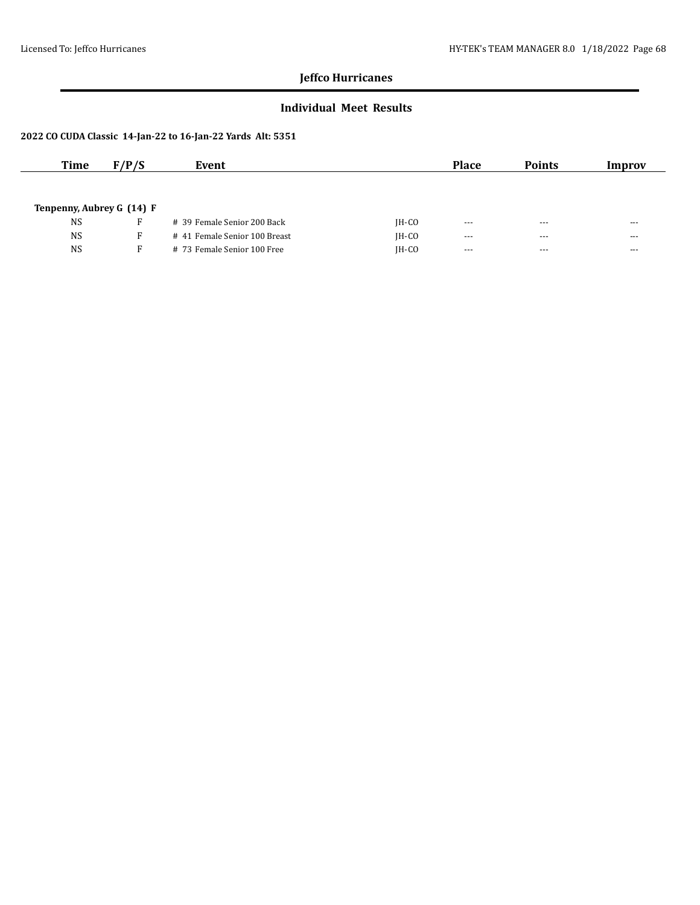### **Individual Meet Results**

| Time      | F/P/S                     | Event                         |         | <b>Place</b> | <b>Points</b> | Improv  |
|-----------|---------------------------|-------------------------------|---------|--------------|---------------|---------|
|           |                           |                               |         |              |               |         |
|           |                           |                               |         |              |               |         |
|           | Tenpenny, Aubrey G (14) F |                               |         |              |               |         |
| <b>NS</b> | R                         | # 39 Female Senior 200 Back   | $IH-CO$ | $---$        | $- - -$       | $--$    |
| <b>NS</b> | F.                        | # 41 Female Senior 100 Breast | $IH-CO$ | $---$        | $- - -$       | $- - -$ |
| <b>NS</b> | F.                        | # 73 Female Senior 100 Free   | $IH-CO$ | $---$        | $- - -$       | $- - -$ |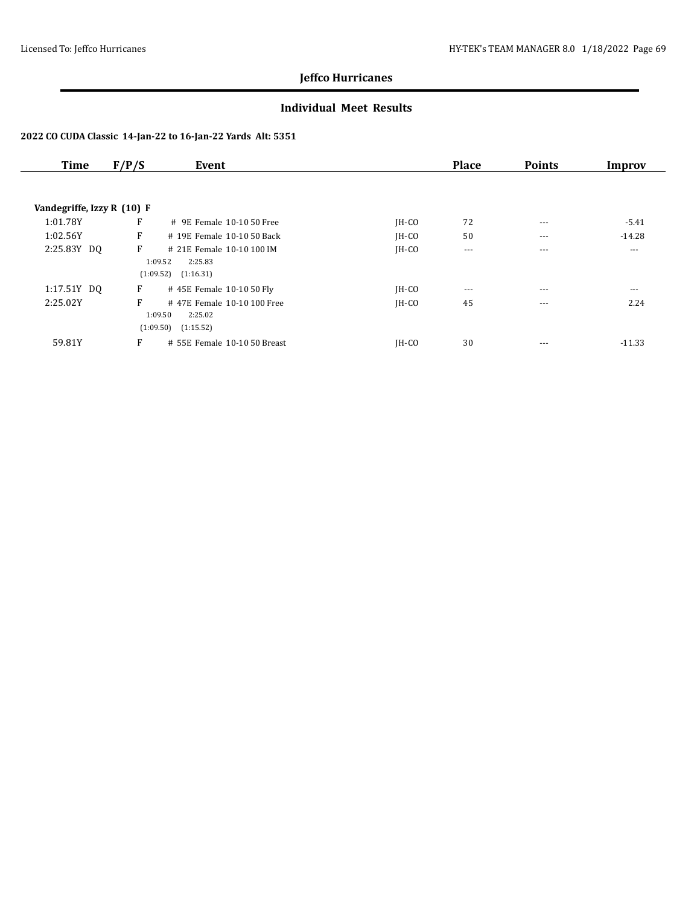### **Individual Meet Results**

| <b>Time</b>                | F/P/S | Event                        |         | <b>Place</b> | <b>Points</b> | Improv   |
|----------------------------|-------|------------------------------|---------|--------------|---------------|----------|
|                            |       |                              |         |              |               |          |
| Vandegriffe, Izzy R (10) F |       |                              |         |              |               |          |
| 1:01.78Y                   | F     | # 9E Female 10-10 50 Free    | $IH-CO$ | 72           | $---$         | $-5.41$  |
| 1:02.56Y                   | F     | # 19E Female 10-10 50 Back   | $IH-CO$ | 50           | $---$         | $-14.28$ |
| 2:25.83Y DQ                | F     | # 21E Female 10-10 100 IM    | $IH-CO$ | $\cdots$     | $---$         | $\cdots$ |
|                            |       | 1:09.52<br>2:25.83           |         |              |               |          |
|                            |       | (1:09.52)<br>(1:16.31)       |         |              |               |          |
| 1:17.51Y DQ                | F     | #45E Female 10-10 50 Fly     | $IH-CO$ | $\cdots$     | $- - -$       | $\cdots$ |
| 2:25.02Y                   | F     | #47E Female 10-10 100 Free   | $IH-CO$ | 45           | $---$         | 2.24     |
|                            |       | 1:09.50<br>2:25.02           |         |              |               |          |
|                            |       | (1:09.50)<br>(1:15.52)       |         |              |               |          |
| 59.81Y                     | F     | # 55E Female 10-10 50 Breast | $IH-CO$ | 30           | ---           | $-11.33$ |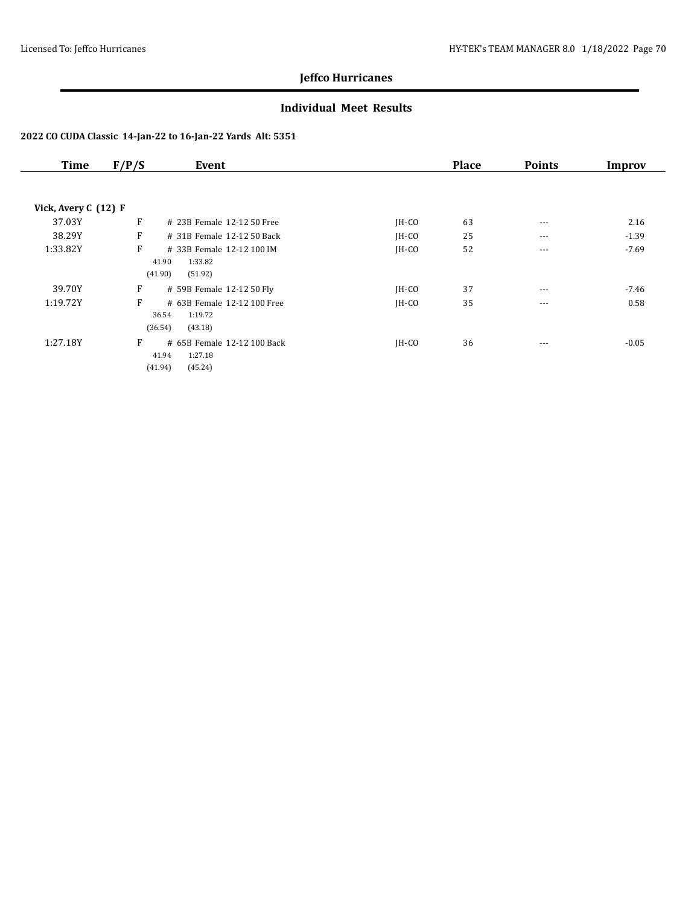### **Individual Meet Results**

| Time                 | F/P/S   | Event                       |         | <b>Place</b> | <b>Points</b> | Improv  |
|----------------------|---------|-----------------------------|---------|--------------|---------------|---------|
|                      |         |                             |         |              |               |         |
| Vick, Avery C (12) F |         |                             |         |              |               |         |
| 37.03Y               | F       | # 23B Female 12-12 50 Free  | $IH-CO$ | 63           | $---$         | 2.16    |
| 38.29Y               | F       | # 31B Female 12-12 50 Back  | $IH-CO$ | 25           | $---$         | $-1.39$ |
| 1:33.82Y             | F       | # 33B Female 12-12 100 IM   | $IH-CO$ | 52           | $---$         | $-7.69$ |
|                      | 41.90   | 1:33.82                     |         |              |               |         |
|                      | (41.90) | (51.92)                     |         |              |               |         |
| 39.70Y               | F       | # 59B Female 12-12 50 Fly   | $IH-CO$ | 37           | $---$         | $-7.46$ |
| 1:19.72Y             | F       | # 63B Female 12-12 100 Free | $IH-CO$ | 35           | $\cdots$      | 0.58    |
|                      | 36.54   | 1:19.72                     |         |              |               |         |
|                      | (36.54) | (43.18)                     |         |              |               |         |
| 1:27.18Y             | F       | # 65B Female 12-12 100 Back | $IH-CO$ | 36           | ---           | $-0.05$ |
|                      | 41.94   | 1:27.18                     |         |              |               |         |
|                      | (41.94) | (45.24)                     |         |              |               |         |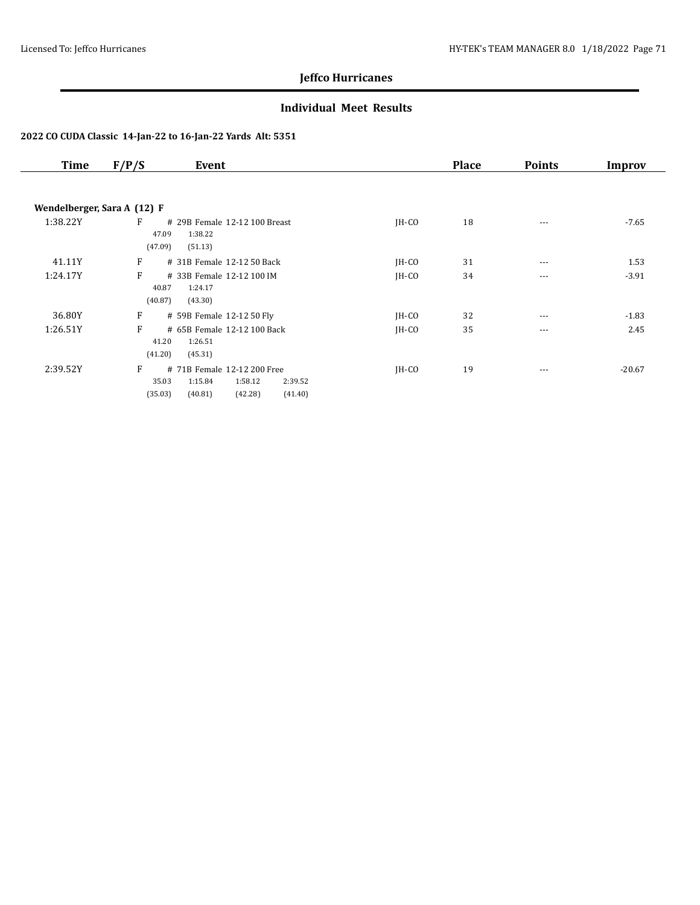### **Individual Meet Results**

| <b>Time</b> | F/P/S<br>Event                                                                                                         |         | <b>Place</b> | <b>Points</b> | Improv   |
|-------------|------------------------------------------------------------------------------------------------------------------------|---------|--------------|---------------|----------|
|             |                                                                                                                        |         |              |               |          |
|             | Wendelberger, Sara A (12) F                                                                                            |         |              |               |          |
| 1:38.22Y    | F<br># 29B Female 12-12 100 Breast<br>1:38.22<br>47.09<br>(47.09)<br>(51.13)                                           | $IH-CO$ | 18           | $\cdots$      | $-7.65$  |
| 41.11Y      | F<br># 31B Female 12-12 50 Back                                                                                        | $IH-CO$ | 31           | $---$         | 1.53     |
| 1:24.17Y    | F<br># 33B Female 12-12 100 IM<br>1:24.17<br>40.87<br>(40.87)<br>(43.30)                                               | $IH-CO$ | 34           | $---$         | $-3.91$  |
| 36.80Y      | F<br># 59B Female 12-12 50 Fly                                                                                         | $IH-CO$ | 32           | $---$         | $-1.83$  |
| 1:26.51Y    | F<br># 65B Female 12-12 100 Back<br>41.20<br>1:26.51<br>(41.20)<br>(45.31)                                             | $IH-CO$ | 35           | $---$         | 2.45     |
| 2:39.52Y    | F<br># 71B Female 12-12 200 Free<br>1:15.84<br>1:58.12<br>2:39.52<br>35.03<br>(35.03)<br>(40.81)<br>(42.28)<br>(41.40) | JH-CO   | 19           | $\cdots$      | $-20.67$ |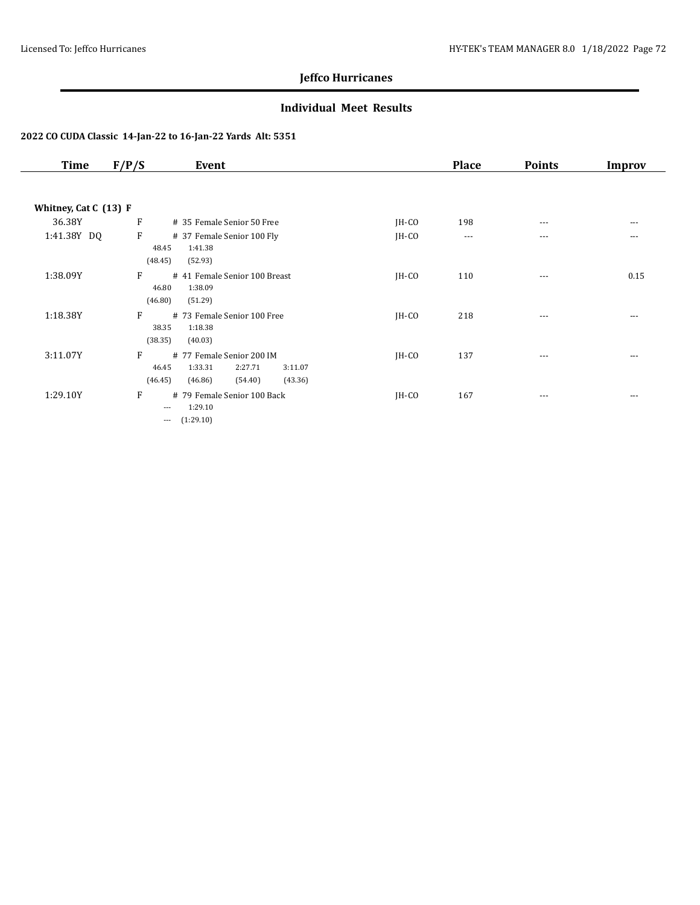### **Individual Meet Results**

| <b>Time</b>           | F/P/S                            | Event                                                                                       |         | <b>Place</b> | <b>Points</b> | Improv |
|-----------------------|----------------------------------|---------------------------------------------------------------------------------------------|---------|--------------|---------------|--------|
|                       |                                  |                                                                                             |         |              |               |        |
| Whitney, Cat C (13) F |                                  |                                                                                             |         |              |               |        |
| 36.38Y                | F                                | # 35 Female Senior 50 Free                                                                  | $IH-CO$ | 198          | $---$         | ---    |
| 1:41.38Y DQ           | $\mathbf{F}$<br>48.45<br>(48.45) | # 37 Female Senior 100 Fly<br>1:41.38<br>(52.93)                                            | $IH-CO$ | ---          | $---$         | ---    |
| 1:38.09Y              | F<br>46.80<br>(46.80)            | # 41 Female Senior 100 Breast<br>1:38.09<br>(51.29)                                         | $IH-CO$ | 110          | $\cdots$      | 0.15   |
| 1:18.38Y              | F<br>38.35<br>(38.35)            | # 73 Female Senior 100 Free<br>1:18.38<br>(40.03)                                           | $IH-CO$ | 218          | ---           | ---    |
| 3:11.07Y              | F<br>46.45<br>(46.45)            | # 77 Female Senior 200 IM<br>1:33.31<br>2:27.71<br>3:11.07<br>(46.86)<br>(43.36)<br>(54.40) | $IH-CO$ | 137          | $---$         |        |
| 1:29.10Y              | F<br>$---$<br>$---$              | # 79 Female Senior 100 Back<br>1:29.10<br>(1:29.10)                                         | $IH-CO$ | 167          | $---$         | ---    |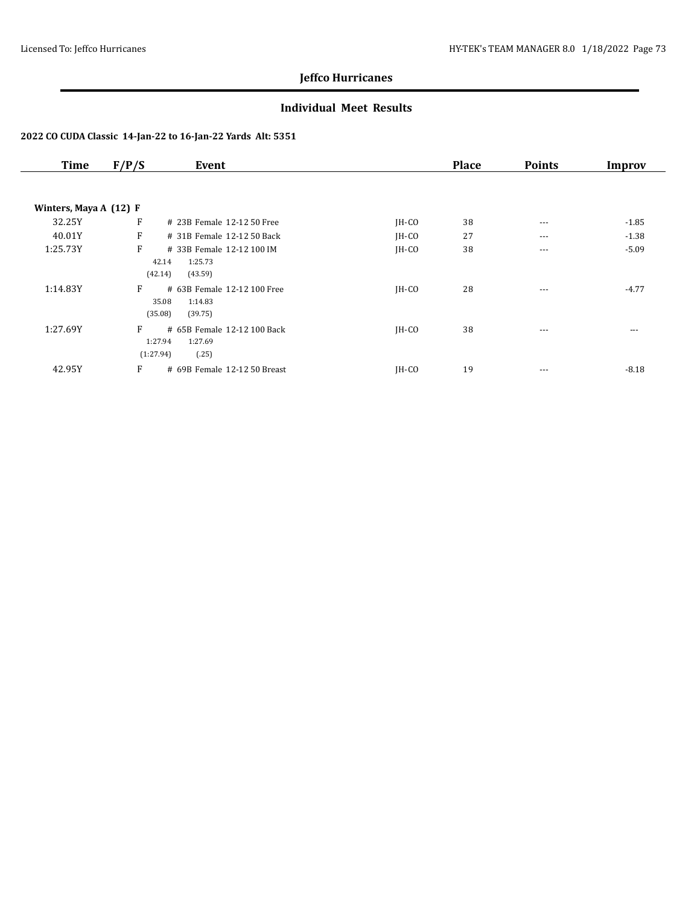## **Individual Meet Results**

| <b>Time</b>              | F/P/S                     | Event                                             |         | <b>Place</b> | <b>Points</b> | Improv  |
|--------------------------|---------------------------|---------------------------------------------------|---------|--------------|---------------|---------|
| Winters, Maya A $(12)$ F |                           |                                                   |         |              |               |         |
| 32.25Y                   | F                         | # 23B Female 12-12 50 Free                        | JH-CO   | 38           | $---$         | $-1.85$ |
| 40.01Y                   | F                         | # 31B Female 12-12 50 Back                        | IH-CO   | 27           | $\cdots$      | $-1.38$ |
| 1:25.73Y                 | F<br>42.14<br>(42.14)     | # 33B Female 12-12 100 IM<br>1:25.73<br>(43.59)   | JH-CO   | 38           | $---$         | $-5.09$ |
| 1:14.83Y                 | F<br>35.08<br>(35.08)     | # 63B Female 12-12 100 Free<br>1:14.83<br>(39.75) | $IH-CO$ | 28           | ---           | $-4.77$ |
| 1:27.69Y                 | F<br>1:27.94<br>(1:27.94) | # 65B Female 12-12 100 Back<br>1:27.69<br>(.25)   | $IH-CO$ | 38           | ---           | ---     |
| 42.95Y                   | F                         | # 69B Female 12-12 50 Breast                      | IH-CO   | 19           | $--$          | $-8.18$ |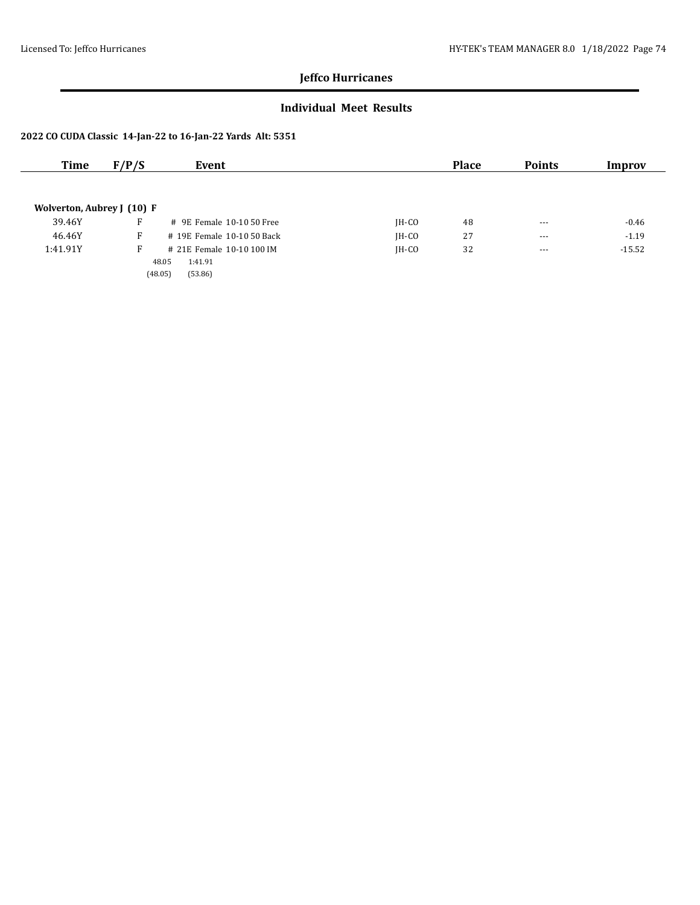## **Individual Meet Results**

| Time                       | F/P/S | Event                      |         | <b>Place</b> | <b>Points</b> | Improv   |
|----------------------------|-------|----------------------------|---------|--------------|---------------|----------|
|                            |       |                            |         |              |               |          |
| Wolverton, Aubrey J (10) F |       |                            |         |              |               |          |
| 39.46Y                     | F     | # 9E Female 10-10 50 Free  | $IH-CO$ | 48           | $\cdots$      | $-0.46$  |
| 46.46Y                     | F     | # 19E Female 10-10 50 Back | $IH-CO$ | 27           | $- - -$       | $-1.19$  |
| 1:41.91Y                   | F     | # 21E Female 10-10 100 IM  | IH-CO   | 32           | $- - -$       | $-15.52$ |
|                            |       | 1:41.91<br>48.05           |         |              |               |          |
|                            |       | (48.05)<br>(53.86)         |         |              |               |          |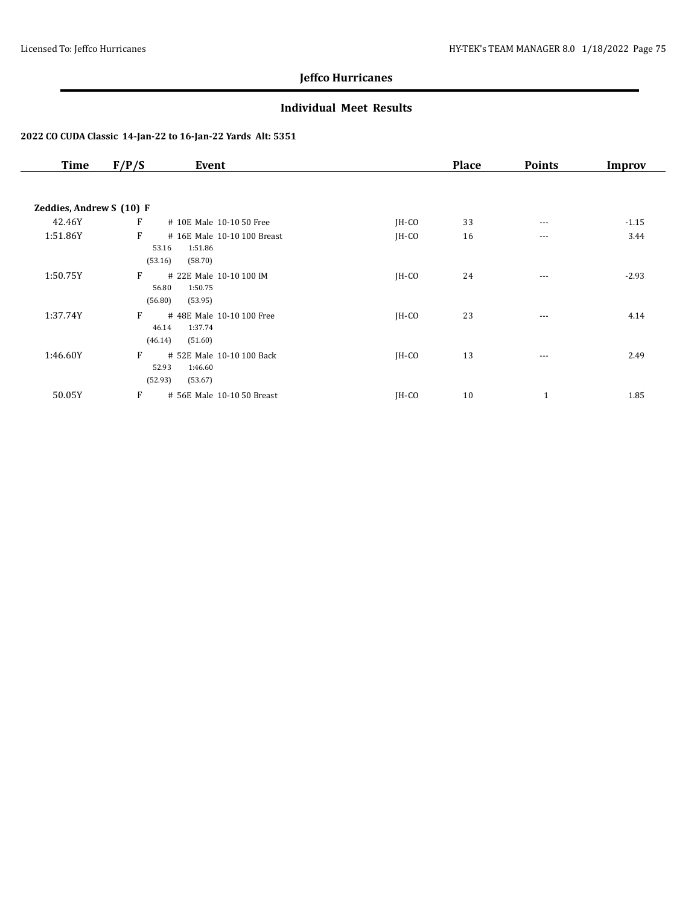## **Individual Meet Results**

| <b>Time</b>              | F/P/S<br>Event                                                             |         | <b>Place</b> | <b>Points</b> | <b>Improv</b> |
|--------------------------|----------------------------------------------------------------------------|---------|--------------|---------------|---------------|
| Zeddies, Andrew S (10) F |                                                                            |         |              |               |               |
| 42.46Y                   | F<br># 10E Male 10-10 50 Free                                              | $IH-CO$ | 33           | $---$         | $-1.15$       |
| 1:51.86Y                 | F<br># 16E Male 10-10 100 Breast<br>1:51.86<br>53.16<br>(53.16)<br>(58.70) | $IH-CO$ | 16           | $\cdots$      | 3.44          |
| 1:50.75Y                 | F<br># 22E Male 10-10 100 IM<br>56.80<br>1:50.75<br>(56.80)<br>(53.95)     | $IH-CO$ | 24           | $---$         | $-2.93$       |
| 1:37.74Y                 | F<br># 48E Male 10-10 100 Free<br>46.14<br>1:37.74<br>(46.14)<br>(51.60)   | JH-CO   | 23           | $\cdots$      | 4.14          |
| 1:46.60Y                 | F<br># 52E Male 10-10 100 Back<br>1:46.60<br>52.93<br>(52.93)<br>(53.67)   | $IH-CO$ | 13           | $---$         | 2.49          |
| 50.05Y                   | F<br># 56E Male 10-10 50 Breast                                            | IH-CO   | 10           | 1             | 1.85          |